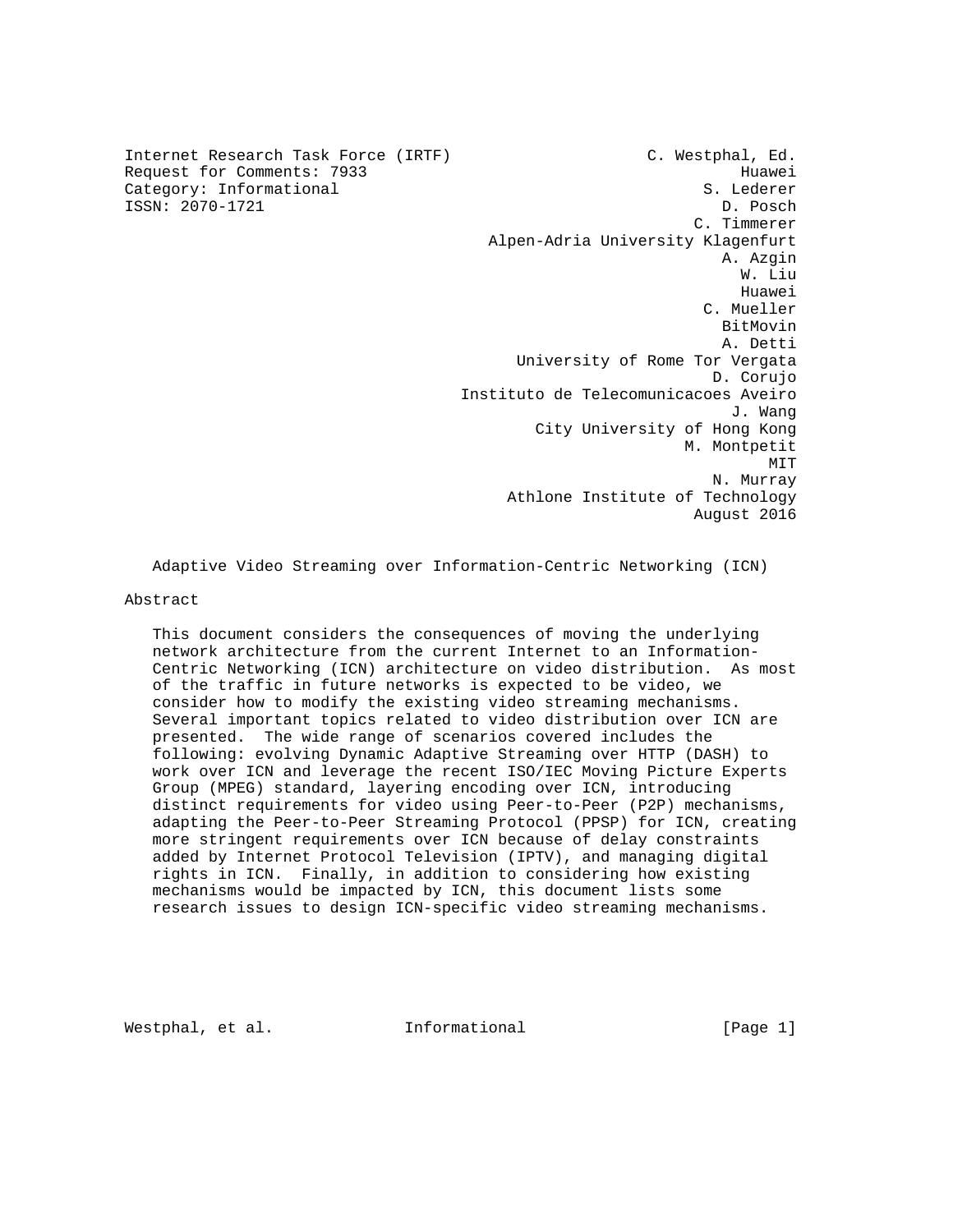Internet Research Task Force (IRTF) C. Westphal, Ed. Request for Comments: 7933 Huawei Category: Informational S. Lederer ISSN: 2070-1721 D. Posch C. Timmerer Alpen-Adria University Klagenfurt A. Azgin W. Liu he distributed by the control of the control of the control of the control of the control of the control of the control of the control of the control of the control of the control of the control of the control of the contr C. Mueller BitMovin A. Detti University of Rome Tor Vergata D. Corujo Instituto de Telecomunicacoes Aveiro J. Wang City University of Hong Kong M. Montpetit MIT **MIT**  N. Murray Athlone Institute of Technology August 2016

Adaptive Video Streaming over Information-Centric Networking (ICN)

# Abstract

 This document considers the consequences of moving the underlying network architecture from the current Internet to an Information- Centric Networking (ICN) architecture on video distribution. As most of the traffic in future networks is expected to be video, we consider how to modify the existing video streaming mechanisms. Several important topics related to video distribution over ICN are presented. The wide range of scenarios covered includes the following: evolving Dynamic Adaptive Streaming over HTTP (DASH) to work over ICN and leverage the recent ISO/IEC Moving Picture Experts Group (MPEG) standard, layering encoding over ICN, introducing distinct requirements for video using Peer-to-Peer (P2P) mechanisms, adapting the Peer-to-Peer Streaming Protocol (PPSP) for ICN, creating more stringent requirements over ICN because of delay constraints added by Internet Protocol Television (IPTV), and managing digital rights in ICN. Finally, in addition to considering how existing mechanisms would be impacted by ICN, this document lists some research issues to design ICN-specific video streaming mechanisms.

Westphal, et al. **Informational** [Page 1]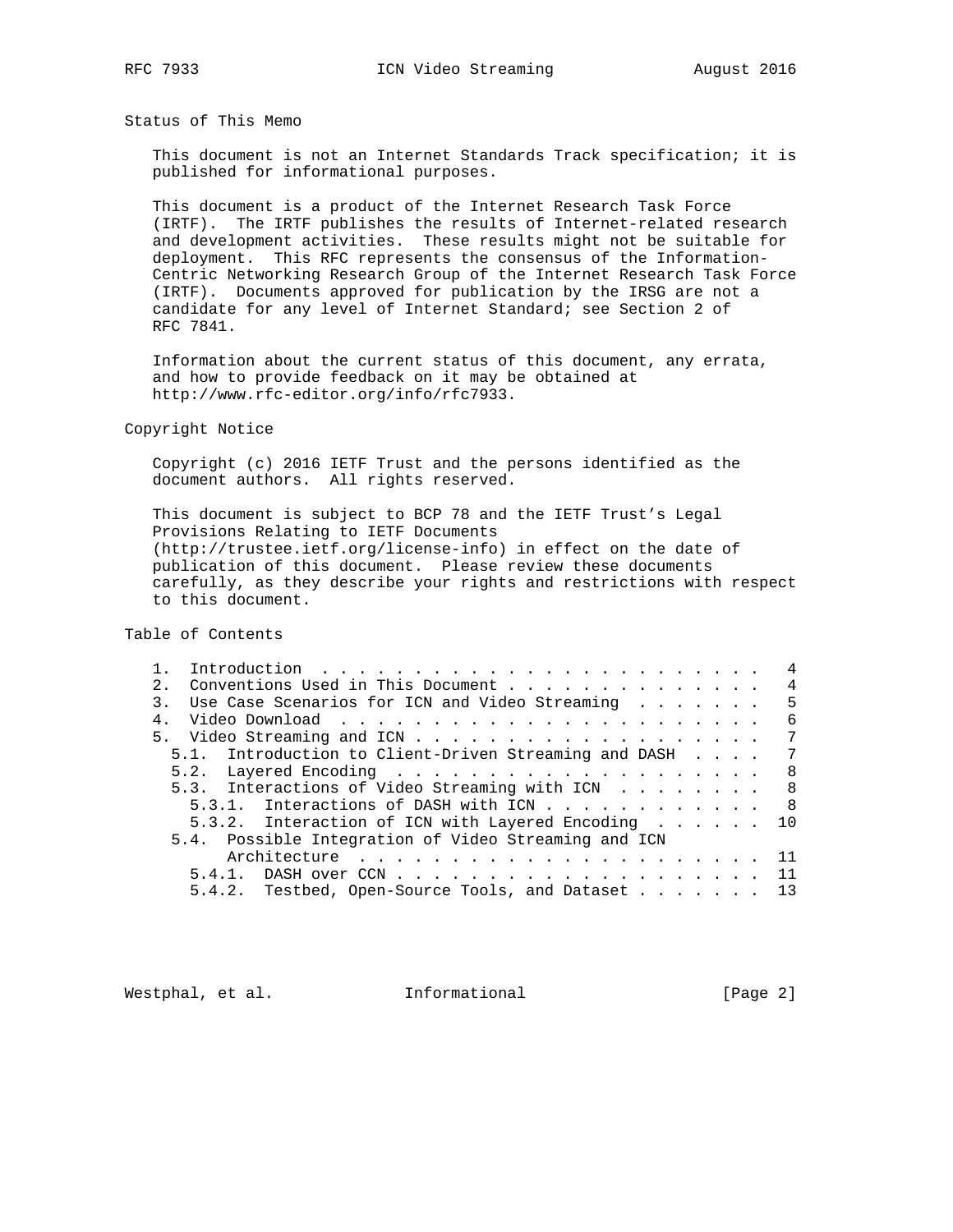Status of This Memo

 This document is not an Internet Standards Track specification; it is published for informational purposes.

 This document is a product of the Internet Research Task Force (IRTF). The IRTF publishes the results of Internet-related research and development activities. These results might not be suitable for deployment. This RFC represents the consensus of the Information- Centric Networking Research Group of the Internet Research Task Force (IRTF). Documents approved for publication by the IRSG are not a candidate for any level of Internet Standard; see Section 2 of RFC 7841.

 Information about the current status of this document, any errata, and how to provide feedback on it may be obtained at http://www.rfc-editor.org/info/rfc7933.

Copyright Notice

 Copyright (c) 2016 IETF Trust and the persons identified as the document authors. All rights reserved.

 This document is subject to BCP 78 and the IETF Trust's Legal Provisions Relating to IETF Documents (http://trustee.ietf.org/license-info) in effect on the date of publication of this document. Please review these documents carefully, as they describe your rights and restrictions with respect to this document.

Table of Contents

|               |                                                         |  |  |  |  |  |  |  | $\overline{4}$ |
|---------------|---------------------------------------------------------|--|--|--|--|--|--|--|----------------|
| $\mathcal{P}$ | Conventions Used in This Document                       |  |  |  |  |  |  |  | $\overline{4}$ |
| $\mathcal{R}$ | Use Case Scenarios for ICN and Video Streaming $\dots$  |  |  |  |  |  |  |  | - 5            |
| 4.            |                                                         |  |  |  |  |  |  |  | - 6            |
|               |                                                         |  |  |  |  |  |  |  | 7              |
|               | 5.1. Introduction to Client-Driven Streaming and DASH 7 |  |  |  |  |  |  |  |                |
|               |                                                         |  |  |  |  |  |  |  | 8              |
|               | 5.3. Interactions of Video Streaming with ICN 8         |  |  |  |  |  |  |  |                |
|               | 5.3.1. Interactions of DASH with ICN 8                  |  |  |  |  |  |  |  |                |
|               | 5.3.2. Interaction of ICN with Layered Encoding 10      |  |  |  |  |  |  |  |                |
|               | 5.4. Possible Integration of Video Streaming and ICN    |  |  |  |  |  |  |  |                |
|               |                                                         |  |  |  |  |  |  |  |                |
|               |                                                         |  |  |  |  |  |  |  |                |
|               | 5.4.2. Testbed, Open-Source Tools, and Dataset 13       |  |  |  |  |  |  |  |                |
|               |                                                         |  |  |  |  |  |  |  |                |

Westphal, et al. 1nformational 1999 [Page 2]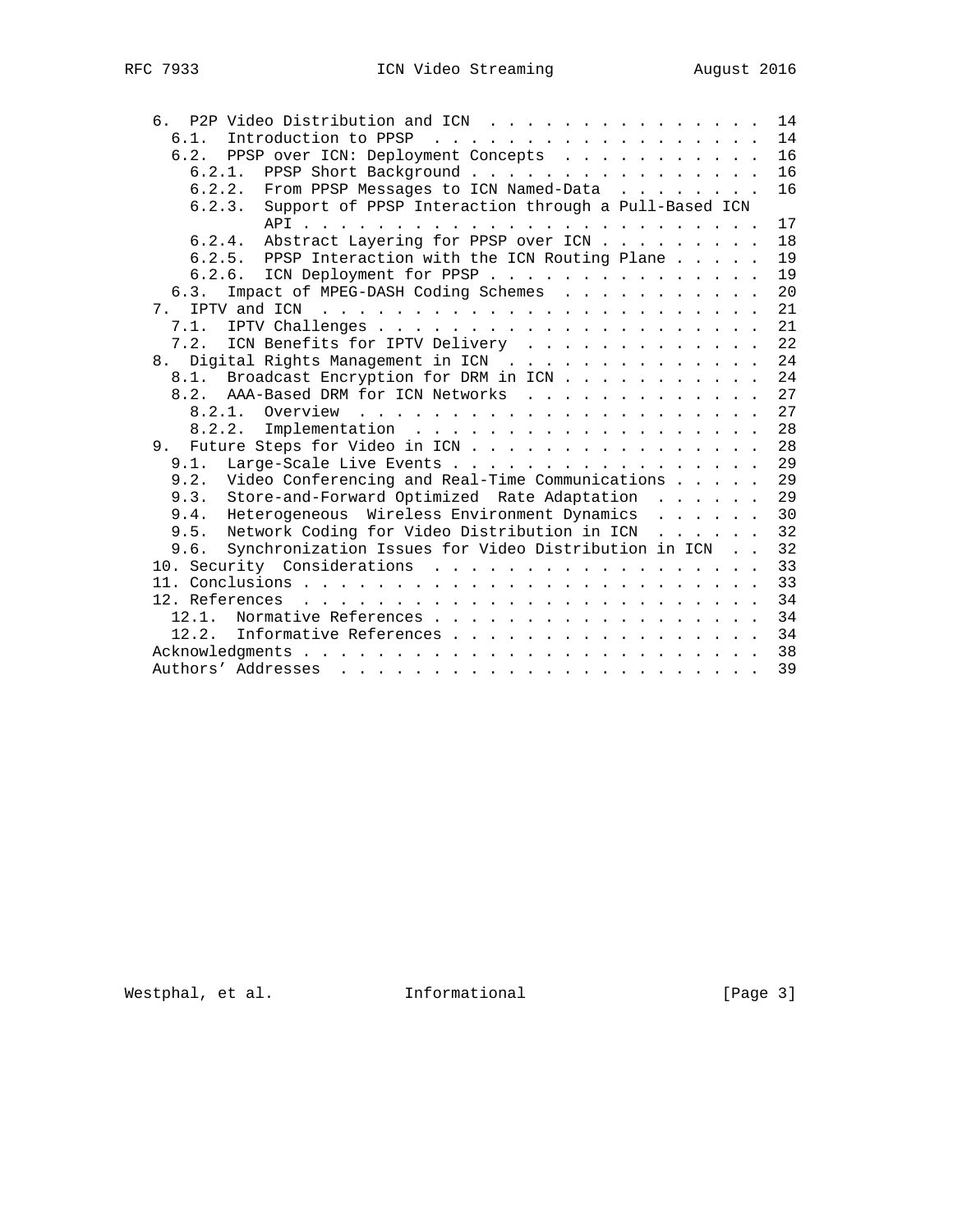| P2P Video Distribution and ICN<br>რ —                                                                                                                                                                                                                                                                                                                                              | 14 |
|------------------------------------------------------------------------------------------------------------------------------------------------------------------------------------------------------------------------------------------------------------------------------------------------------------------------------------------------------------------------------------|----|
| 6.1.                                                                                                                                                                                                                                                                                                                                                                               | 14 |
| 6.2. PPSP over ICN: Deployment Concepts                                                                                                                                                                                                                                                                                                                                            | 16 |
| 6.2.1. PPSP Short Background                                                                                                                                                                                                                                                                                                                                                       | 16 |
| 6.2.2. From PPSP Messages to ICN Named-Data                                                                                                                                                                                                                                                                                                                                        | 16 |
| Support of PPSP Interaction through a Pull-Based ICN<br>6.2.3.                                                                                                                                                                                                                                                                                                                     |    |
|                                                                                                                                                                                                                                                                                                                                                                                    | 17 |
| Abstract Layering for PPSP over ICN<br>6.2.4.                                                                                                                                                                                                                                                                                                                                      | 18 |
| 6.2.5. PPSP Interaction with the ICN Routing Plane                                                                                                                                                                                                                                                                                                                                 | 19 |
| ICN Deployment for PPSP<br>6.2.6.                                                                                                                                                                                                                                                                                                                                                  | 19 |
| Impact of MPEG-DASH Coding Schemes<br>6.3.                                                                                                                                                                                                                                                                                                                                         | 20 |
| 7 <sub>1</sub>                                                                                                                                                                                                                                                                                                                                                                     | 21 |
| 7.1.                                                                                                                                                                                                                                                                                                                                                                               | 21 |
| ICN Benefits for IPTV Delivery<br>7.2.                                                                                                                                                                                                                                                                                                                                             | 22 |
| 8. Digital Rights Management in ICN                                                                                                                                                                                                                                                                                                                                                | 24 |
| 8.1. Broadcast Encryption for DRM in ICN                                                                                                                                                                                                                                                                                                                                           | 24 |
| 8.2. AAA-Based DRM for ICN Networks                                                                                                                                                                                                                                                                                                                                                | 27 |
|                                                                                                                                                                                                                                                                                                                                                                                    | 27 |
| $\verb+Implementation + \verb++ + \verb+++ + \verb+++ + \verb+++ + \verb+++ + \verb+++ + \verb+++ + \verb+++ + \verb+++ + \verb+++ + \verb+++ + \verb+++ + \verb+++ + \verb+++ + \verb+++ + \verb+++ + \verb+++ + \verb+++ + \verb+++ + \verb+++ + \verb+++ + \verb+++ + \verb+++ + \verb+++ + \verb+++ + \verb+++ + \verb+++ + \verb+++ + \verb+++ + \verb+++ + \verb+$<br>8.2.2. | 28 |
| 9. Future Steps for Video in ICN                                                                                                                                                                                                                                                                                                                                                   | 28 |
| Large-Scale Live Events<br>9.1.                                                                                                                                                                                                                                                                                                                                                    | 29 |
| Video Conferencing and Real-Time Communications<br>9.2.                                                                                                                                                                                                                                                                                                                            | 29 |
| Store-and-Forward Optimized Rate Adaptation<br>9.3.                                                                                                                                                                                                                                                                                                                                | 29 |
| Heterogeneous Wireless Environment Dynamics<br>9.4.                                                                                                                                                                                                                                                                                                                                | 30 |
| Network Coding for Video Distribution in ICN<br>9.5.                                                                                                                                                                                                                                                                                                                               | 32 |
| Synchronization Issues for Video Distribution in ICN<br>9.6.                                                                                                                                                                                                                                                                                                                       | 32 |
|                                                                                                                                                                                                                                                                                                                                                                                    | 33 |
|                                                                                                                                                                                                                                                                                                                                                                                    | 33 |
|                                                                                                                                                                                                                                                                                                                                                                                    | 34 |
| Normative References<br>12.1.                                                                                                                                                                                                                                                                                                                                                      | 34 |
| Informative References<br>12.2.                                                                                                                                                                                                                                                                                                                                                    | 34 |
|                                                                                                                                                                                                                                                                                                                                                                                    | 38 |
|                                                                                                                                                                                                                                                                                                                                                                                    | 39 |
|                                                                                                                                                                                                                                                                                                                                                                                    |    |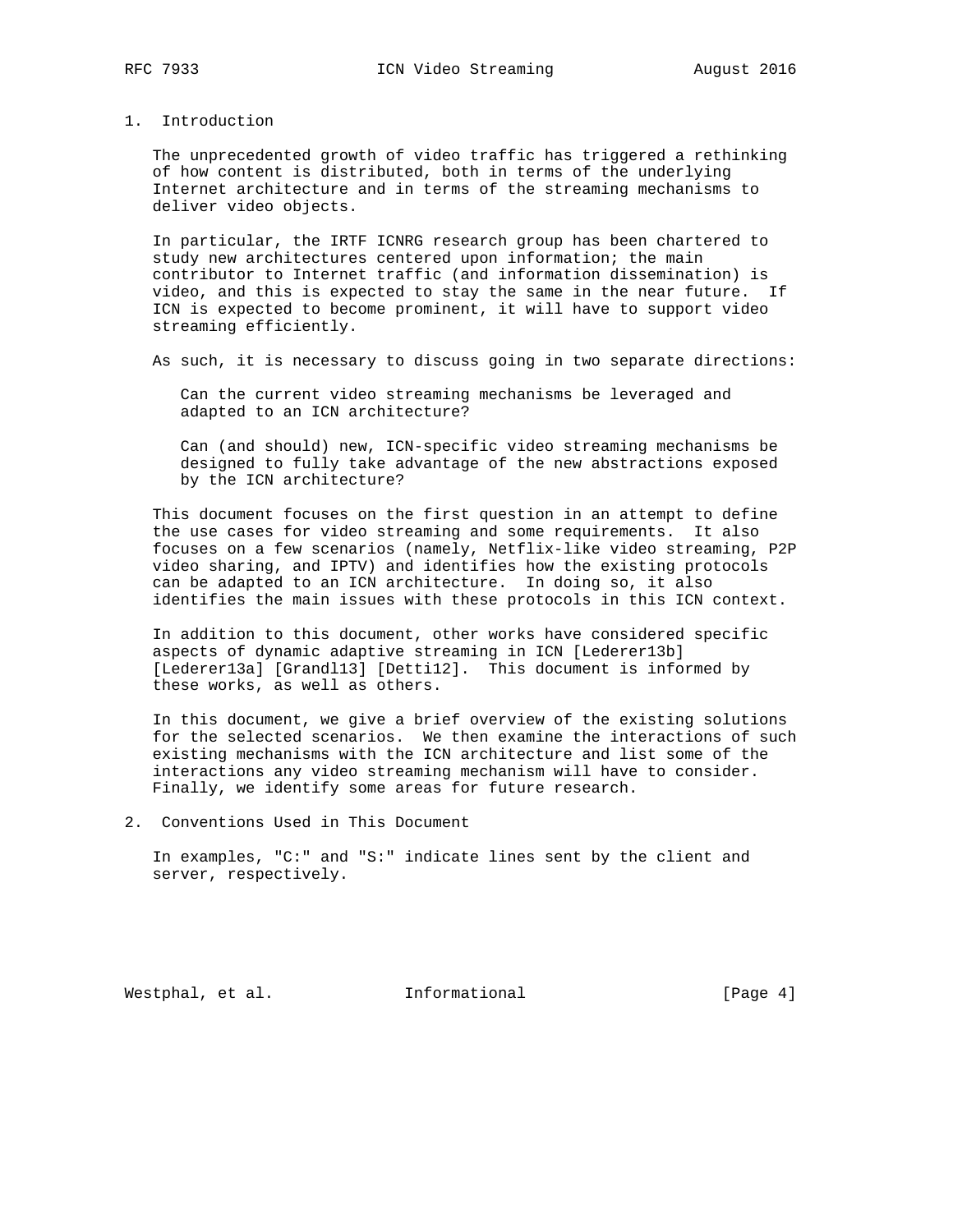# 1. Introduction

 The unprecedented growth of video traffic has triggered a rethinking of how content is distributed, both in terms of the underlying Internet architecture and in terms of the streaming mechanisms to deliver video objects.

 In particular, the IRTF ICNRG research group has been chartered to study new architectures centered upon information; the main contributor to Internet traffic (and information dissemination) is video, and this is expected to stay the same in the near future. If ICN is expected to become prominent, it will have to support video streaming efficiently.

As such, it is necessary to discuss going in two separate directions:

 Can the current video streaming mechanisms be leveraged and adapted to an ICN architecture?

 Can (and should) new, ICN-specific video streaming mechanisms be designed to fully take advantage of the new abstractions exposed by the ICN architecture?

 This document focuses on the first question in an attempt to define the use cases for video streaming and some requirements. It also focuses on a few scenarios (namely, Netflix-like video streaming, P2P video sharing, and IPTV) and identifies how the existing protocols can be adapted to an ICN architecture. In doing so, it also identifies the main issues with these protocols in this ICN context.

 In addition to this document, other works have considered specific aspects of dynamic adaptive streaming in ICN [Lederer13b] [Lederer13a] [Grand113] [Detti12]. This document is informed by these works, as well as others.

 In this document, we give a brief overview of the existing solutions for the selected scenarios. We then examine the interactions of such existing mechanisms with the ICN architecture and list some of the interactions any video streaming mechanism will have to consider. Finally, we identify some areas for future research.

2. Conventions Used in This Document

 In examples, "C:" and "S:" indicate lines sent by the client and server, respectively.

Westphal, et al. **Informational** [Page 4]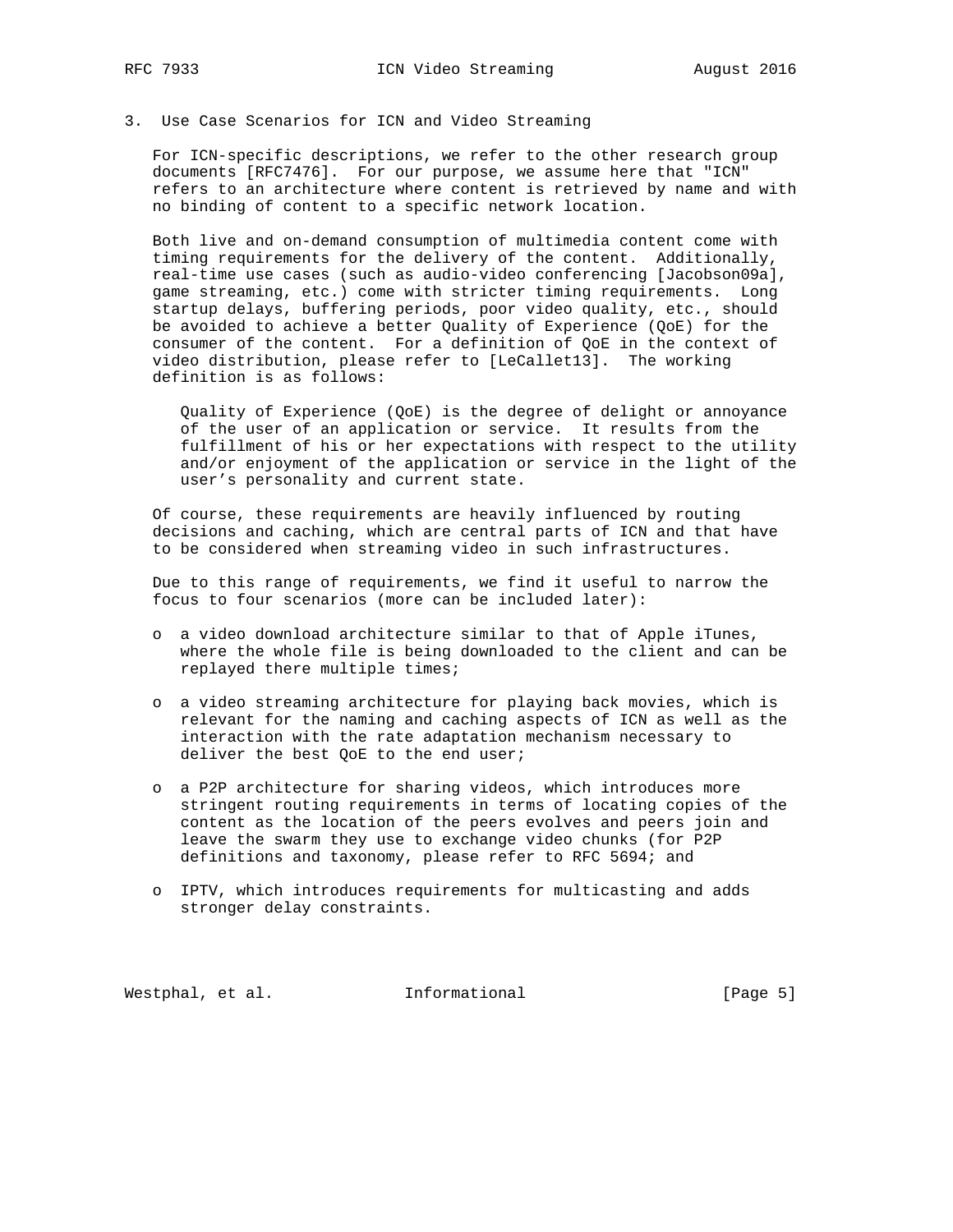# 3. Use Case Scenarios for ICN and Video Streaming

 For ICN-specific descriptions, we refer to the other research group documents [RFC7476]. For our purpose, we assume here that "ICN" refers to an architecture where content is retrieved by name and with no binding of content to a specific network location.

 Both live and on-demand consumption of multimedia content come with timing requirements for the delivery of the content. Additionally, real-time use cases (such as audio-video conferencing [Jacobson09a], game streaming, etc.) come with stricter timing requirements. Long startup delays, buffering periods, poor video quality, etc., should be avoided to achieve a better Quality of Experience (QoE) for the consumer of the content. For a definition of QoE in the context of video distribution, please refer to [LeCallet13]. The working definition is as follows:

 Quality of Experience (QoE) is the degree of delight or annoyance of the user of an application or service. It results from the fulfillment of his or her expectations with respect to the utility and/or enjoyment of the application or service in the light of the user's personality and current state.

 Of course, these requirements are heavily influenced by routing decisions and caching, which are central parts of ICN and that have to be considered when streaming video in such infrastructures.

 Due to this range of requirements, we find it useful to narrow the focus to four scenarios (more can be included later):

- o a video download architecture similar to that of Apple iTunes, where the whole file is being downloaded to the client and can be replayed there multiple times;
- o a video streaming architecture for playing back movies, which is relevant for the naming and caching aspects of ICN as well as the interaction with the rate adaptation mechanism necessary to deliver the best QoE to the end user;
- o a P2P architecture for sharing videos, which introduces more stringent routing requirements in terms of locating copies of the content as the location of the peers evolves and peers join and leave the swarm they use to exchange video chunks (for P2P definitions and taxonomy, please refer to RFC 5694; and
- o IPTV, which introduces requirements for multicasting and adds stronger delay constraints.

Westphal, et al. 1nformational 1999 [Page 5]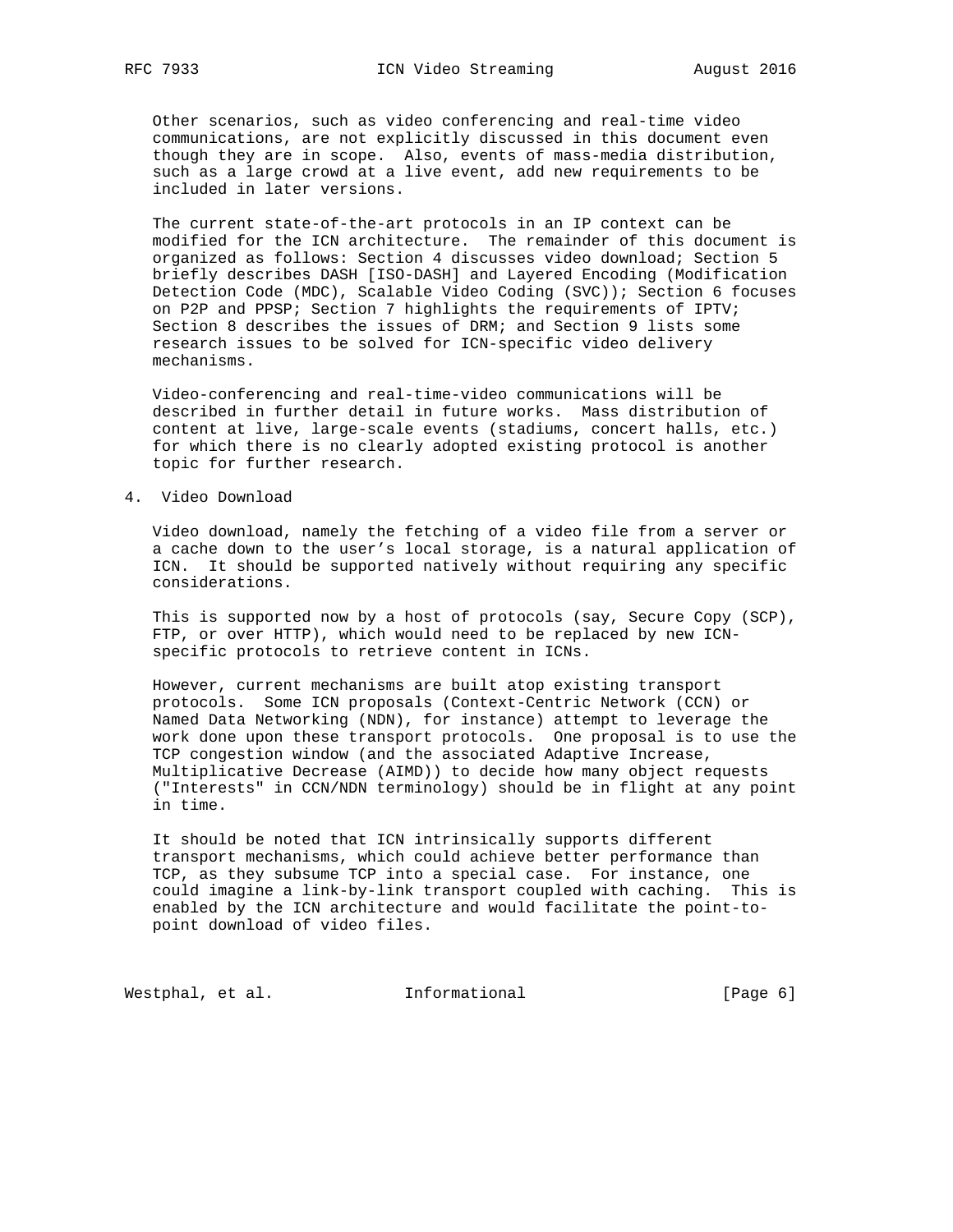Other scenarios, such as video conferencing and real-time video communications, are not explicitly discussed in this document even though they are in scope. Also, events of mass-media distribution, such as a large crowd at a live event, add new requirements to be included in later versions.

 The current state-of-the-art protocols in an IP context can be modified for the ICN architecture. The remainder of this document is organized as follows: Section 4 discusses video download; Section 5 briefly describes DASH [ISO-DASH] and Layered Encoding (Modification Detection Code (MDC), Scalable Video Coding (SVC)); Section 6 focuses on P2P and PPSP; Section 7 highlights the requirements of IPTV; Section 8 describes the issues of DRM; and Section 9 lists some research issues to be solved for ICN-specific video delivery mechanisms.

 Video-conferencing and real-time-video communications will be described in further detail in future works. Mass distribution of content at live, large-scale events (stadiums, concert halls, etc.) for which there is no clearly adopted existing protocol is another topic for further research.

4. Video Download

 Video download, namely the fetching of a video file from a server or a cache down to the user's local storage, is a natural application of ICN. It should be supported natively without requiring any specific considerations.

 This is supported now by a host of protocols (say, Secure Copy (SCP), FTP, or over HTTP), which would need to be replaced by new ICN specific protocols to retrieve content in ICNs.

 However, current mechanisms are built atop existing transport protocols. Some ICN proposals (Context-Centric Network (CCN) or Named Data Networking (NDN), for instance) attempt to leverage the work done upon these transport protocols. One proposal is to use the TCP congestion window (and the associated Adaptive Increase, Multiplicative Decrease (AIMD)) to decide how many object requests ("Interests" in CCN/NDN terminology) should be in flight at any point in time.

 It should be noted that ICN intrinsically supports different transport mechanisms, which could achieve better performance than TCP, as they subsume TCP into a special case. For instance, one could imagine a link-by-link transport coupled with caching. This is enabled by the ICN architecture and would facilitate the point-to point download of video files.

Westphal, et al. 1nformational 1999 [Page 6]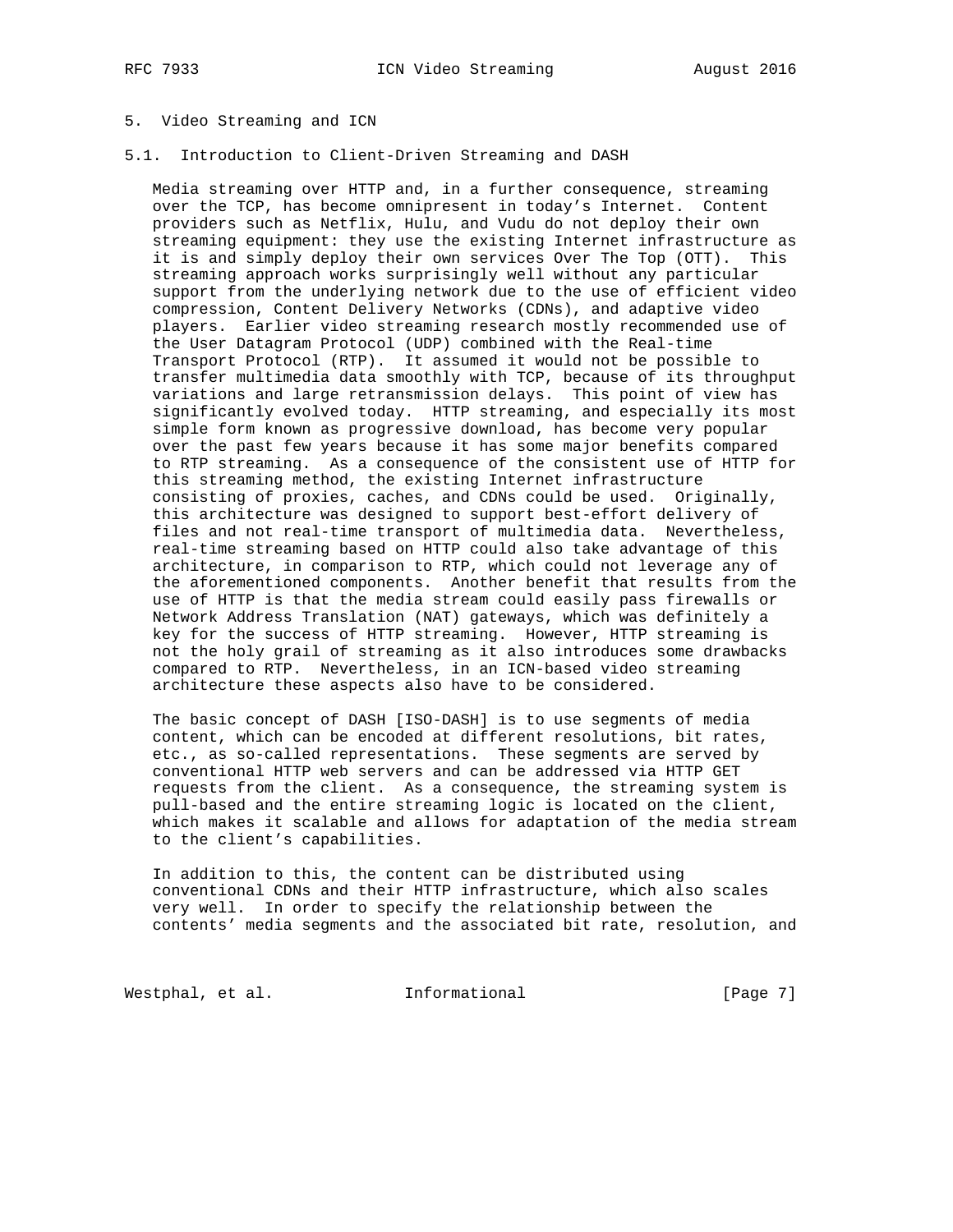# 5. Video Streaming and ICN

# 5.1. Introduction to Client-Driven Streaming and DASH

 Media streaming over HTTP and, in a further consequence, streaming over the TCP, has become omnipresent in today's Internet. Content providers such as Netflix, Hulu, and Vudu do not deploy their own streaming equipment: they use the existing Internet infrastructure as it is and simply deploy their own services Over The Top (OTT). This streaming approach works surprisingly well without any particular support from the underlying network due to the use of efficient video compression, Content Delivery Networks (CDNs), and adaptive video players. Earlier video streaming research mostly recommended use of the User Datagram Protocol (UDP) combined with the Real-time Transport Protocol (RTP). It assumed it would not be possible to transfer multimedia data smoothly with TCP, because of its throughput variations and large retransmission delays. This point of view has significantly evolved today. HTTP streaming, and especially its most simple form known as progressive download, has become very popular over the past few years because it has some major benefits compared to RTP streaming. As a consequence of the consistent use of HTTP for this streaming method, the existing Internet infrastructure consisting of proxies, caches, and CDNs could be used. Originally, this architecture was designed to support best-effort delivery of files and not real-time transport of multimedia data. Nevertheless, real-time streaming based on HTTP could also take advantage of this architecture, in comparison to RTP, which could not leverage any of the aforementioned components. Another benefit that results from the use of HTTP is that the media stream could easily pass firewalls or Network Address Translation (NAT) gateways, which was definitely a key for the success of HTTP streaming. However, HTTP streaming is not the holy grail of streaming as it also introduces some drawbacks compared to RTP. Nevertheless, in an ICN-based video streaming architecture these aspects also have to be considered.

 The basic concept of DASH [ISO-DASH] is to use segments of media content, which can be encoded at different resolutions, bit rates, etc., as so-called representations. These segments are served by conventional HTTP web servers and can be addressed via HTTP GET requests from the client. As a consequence, the streaming system is pull-based and the entire streaming logic is located on the client, which makes it scalable and allows for adaptation of the media stream to the client's capabilities.

 In addition to this, the content can be distributed using conventional CDNs and their HTTP infrastructure, which also scales very well. In order to specify the relationship between the contents' media segments and the associated bit rate, resolution, and

Westphal, et al. 1nformational 1999 [Page 7]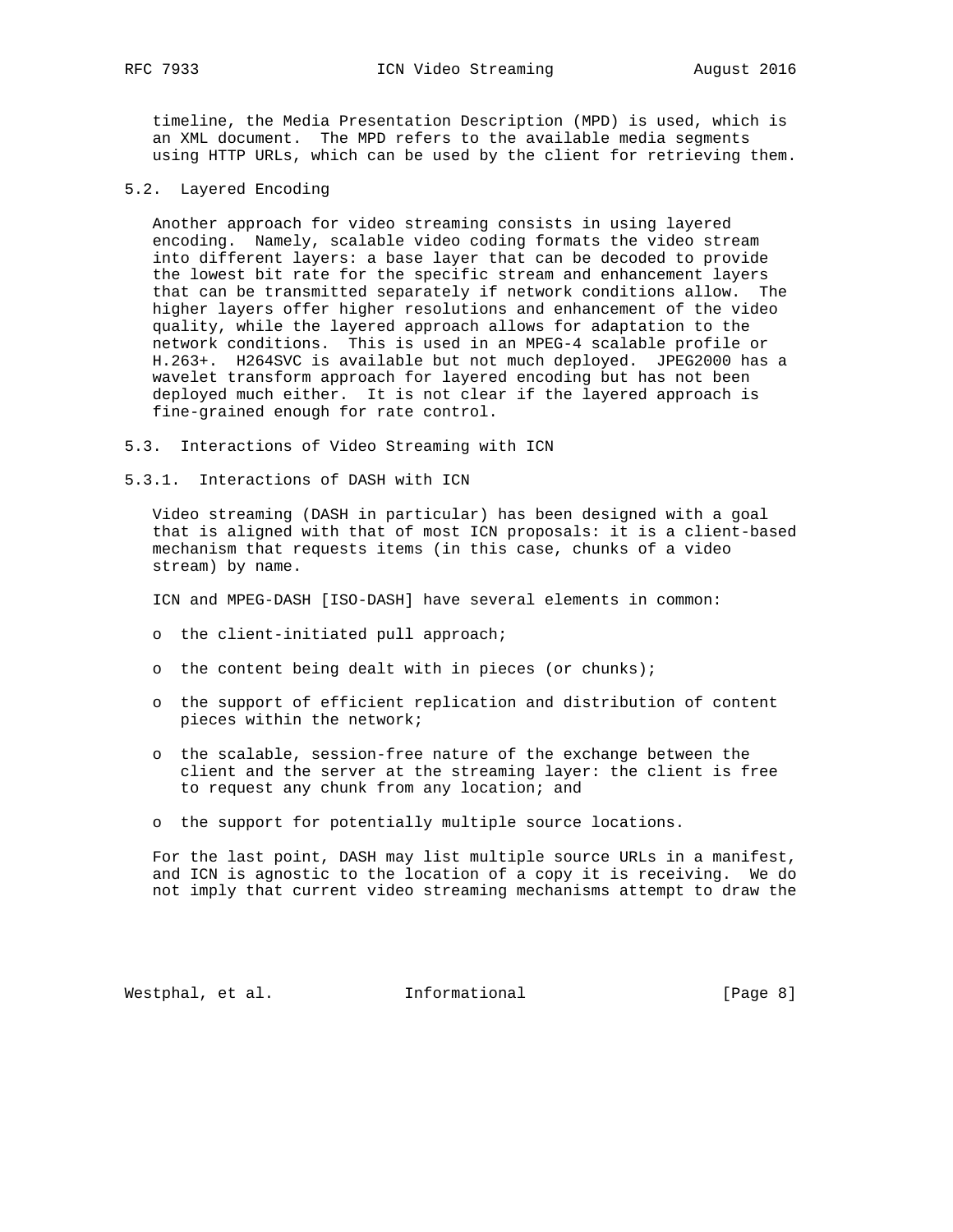timeline, the Media Presentation Description (MPD) is used, which is an XML document. The MPD refers to the available media segments using HTTP URLs, which can be used by the client for retrieving them.

5.2. Layered Encoding

 Another approach for video streaming consists in using layered encoding. Namely, scalable video coding formats the video stream into different layers: a base layer that can be decoded to provide the lowest bit rate for the specific stream and enhancement layers that can be transmitted separately if network conditions allow. The higher layers offer higher resolutions and enhancement of the video quality, while the layered approach allows for adaptation to the network conditions. This is used in an MPEG-4 scalable profile or H.263+. H264SVC is available but not much deployed. JPEG2000 has a wavelet transform approach for layered encoding but has not been deployed much either. It is not clear if the layered approach is fine-grained enough for rate control.

- 5.3. Interactions of Video Streaming with ICN
- 5.3.1. Interactions of DASH with ICN

 Video streaming (DASH in particular) has been designed with a goal that is aligned with that of most ICN proposals: it is a client-based mechanism that requests items (in this case, chunks of a video stream) by name.

ICN and MPEG-DASH [ISO-DASH] have several elements in common:

- o the client-initiated pull approach;
- o the content being dealt with in pieces (or chunks);
- o the support of efficient replication and distribution of content pieces within the network;
- o the scalable, session-free nature of the exchange between the client and the server at the streaming layer: the client is free to request any chunk from any location; and
- o the support for potentially multiple source locations.

 For the last point, DASH may list multiple source URLs in a manifest, and ICN is agnostic to the location of a copy it is receiving. We do not imply that current video streaming mechanisms attempt to draw the

Westphal, et al. 1nformational 1999 [Page 8]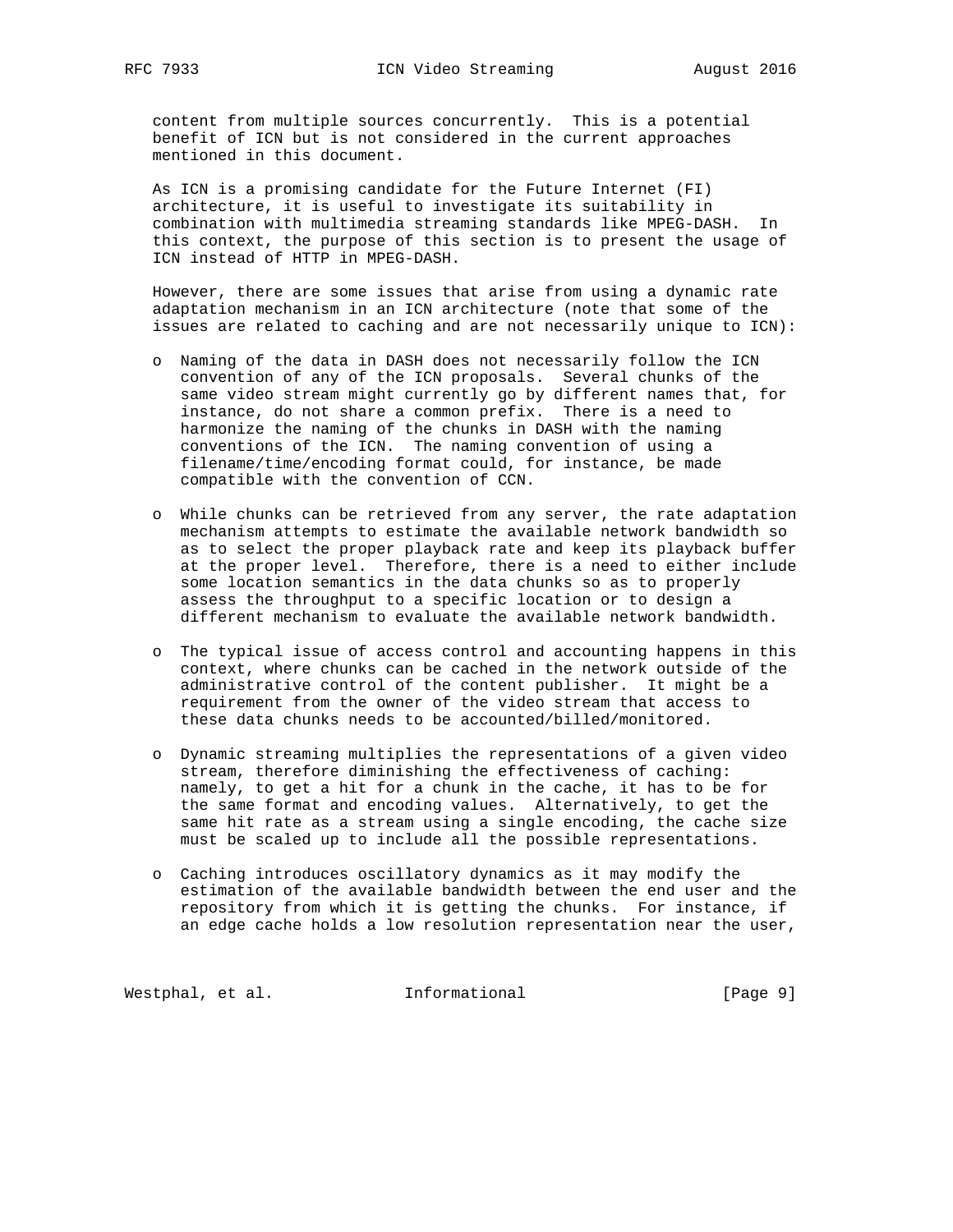content from multiple sources concurrently. This is a potential benefit of ICN but is not considered in the current approaches mentioned in this document.

 As ICN is a promising candidate for the Future Internet (FI) architecture, it is useful to investigate its suitability in combination with multimedia streaming standards like MPEG-DASH. In this context, the purpose of this section is to present the usage of ICN instead of HTTP in MPEG-DASH.

 However, there are some issues that arise from using a dynamic rate adaptation mechanism in an ICN architecture (note that some of the issues are related to caching and are not necessarily unique to ICN):

- o Naming of the data in DASH does not necessarily follow the ICN convention of any of the ICN proposals. Several chunks of the same video stream might currently go by different names that, for instance, do not share a common prefix. There is a need to harmonize the naming of the chunks in DASH with the naming conventions of the ICN. The naming convention of using a filename/time/encoding format could, for instance, be made compatible with the convention of CCN.
- o While chunks can be retrieved from any server, the rate adaptation mechanism attempts to estimate the available network bandwidth so as to select the proper playback rate and keep its playback buffer at the proper level. Therefore, there is a need to either include some location semantics in the data chunks so as to properly assess the throughput to a specific location or to design a different mechanism to evaluate the available network bandwidth.
- o The typical issue of access control and accounting happens in this context, where chunks can be cached in the network outside of the administrative control of the content publisher. It might be a requirement from the owner of the video stream that access to these data chunks needs to be accounted/billed/monitored.
- o Dynamic streaming multiplies the representations of a given video stream, therefore diminishing the effectiveness of caching: namely, to get a hit for a chunk in the cache, it has to be for the same format and encoding values. Alternatively, to get the same hit rate as a stream using a single encoding, the cache size must be scaled up to include all the possible representations.
- o Caching introduces oscillatory dynamics as it may modify the estimation of the available bandwidth between the end user and the repository from which it is getting the chunks. For instance, if an edge cache holds a low resolution representation near the user,

Westphal, et al. 1nformational 1999 [Page 9]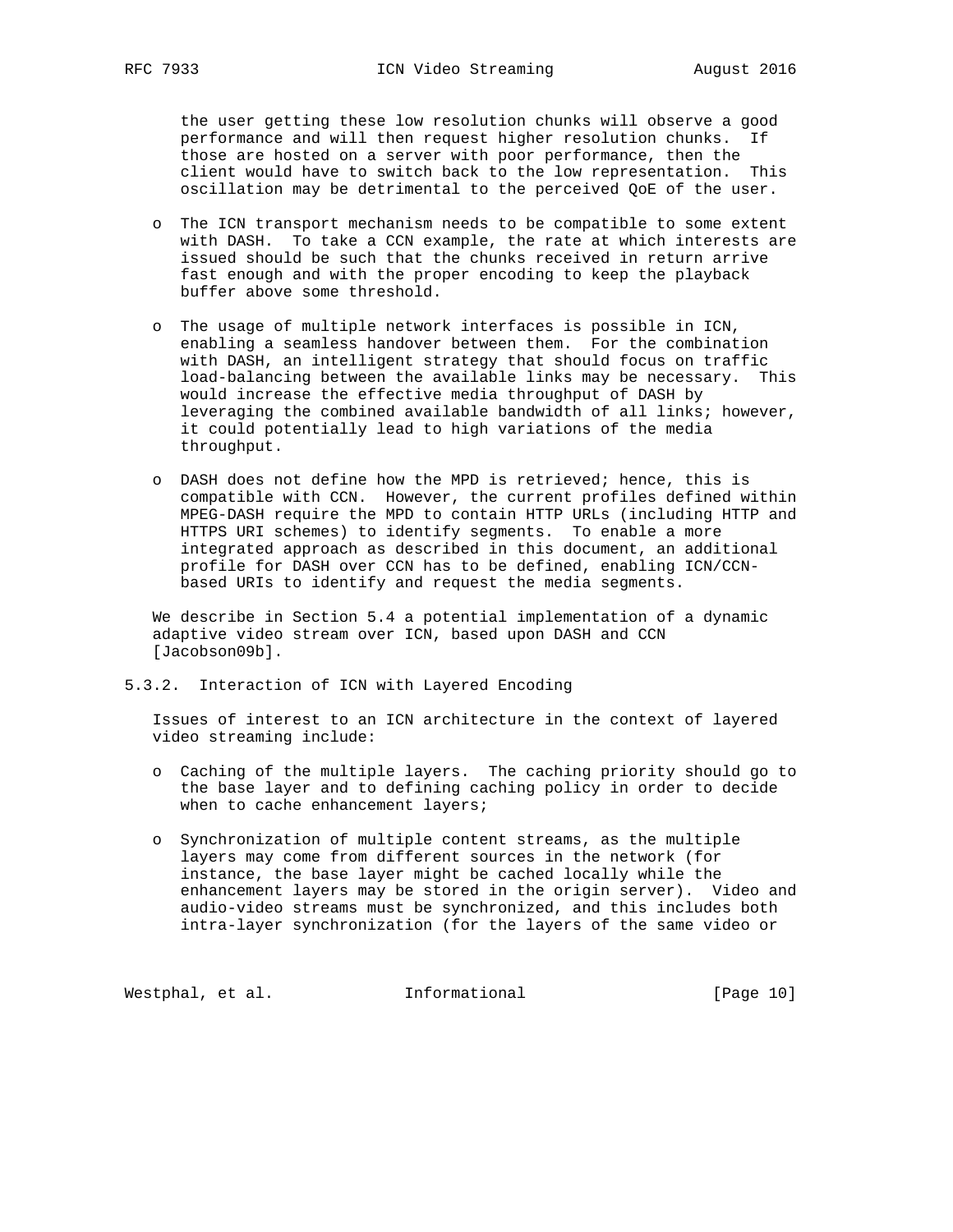the user getting these low resolution chunks will observe a good performance and will then request higher resolution chunks. If those are hosted on a server with poor performance, then the client would have to switch back to the low representation. This oscillation may be detrimental to the perceived QoE of the user.

- o The ICN transport mechanism needs to be compatible to some extent with DASH. To take a CCN example, the rate at which interests are issued should be such that the chunks received in return arrive fast enough and with the proper encoding to keep the playback buffer above some threshold.
- o The usage of multiple network interfaces is possible in ICN, enabling a seamless handover between them. For the combination with DASH, an intelligent strategy that should focus on traffic load-balancing between the available links may be necessary. This would increase the effective media throughput of DASH by leveraging the combined available bandwidth of all links; however, it could potentially lead to high variations of the media throughput.
- o DASH does not define how the MPD is retrieved; hence, this is compatible with CCN. However, the current profiles defined within MPEG-DASH require the MPD to contain HTTP URLs (including HTTP and HTTPS URI schemes) to identify segments. To enable a more integrated approach as described in this document, an additional profile for DASH over CCN has to be defined, enabling ICN/CCN based URIs to identify and request the media segments.

 We describe in Section 5.4 a potential implementation of a dynamic adaptive video stream over ICN, based upon DASH and CCN [Jacobson09b].

5.3.2. Interaction of ICN with Layered Encoding

 Issues of interest to an ICN architecture in the context of layered video streaming include:

- o Caching of the multiple layers. The caching priority should go to the base layer and to defining caching policy in order to decide when to cache enhancement layers;
- o Synchronization of multiple content streams, as the multiple layers may come from different sources in the network (for instance, the base layer might be cached locally while the enhancement layers may be stored in the origin server). Video and audio-video streams must be synchronized, and this includes both intra-layer synchronization (for the layers of the same video or

Westphal, et al. 1nformational 1999 [Page 10]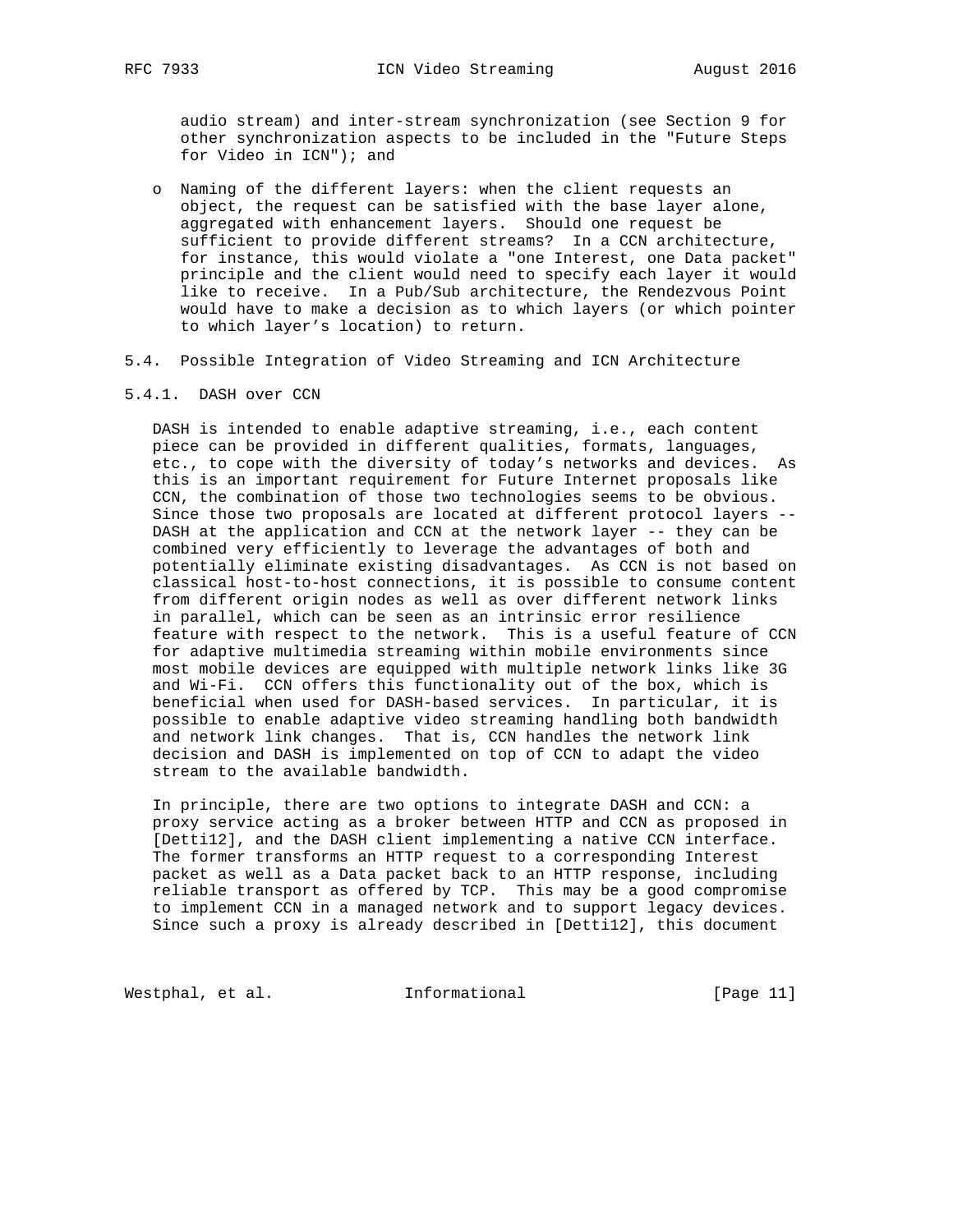audio stream) and inter-stream synchronization (see Section 9 for other synchronization aspects to be included in the "Future Steps for Video in ICN"); and

- o Naming of the different layers: when the client requests an object, the request can be satisfied with the base layer alone, aggregated with enhancement layers. Should one request be sufficient to provide different streams? In a CCN architecture, for instance, this would violate a "one Interest, one Data packet" principle and the client would need to specify each layer it would like to receive. In a Pub/Sub architecture, the Rendezvous Point would have to make a decision as to which layers (or which pointer to which layer's location) to return.
- 5.4. Possible Integration of Video Streaming and ICN Architecture
- 5.4.1. DASH over CCN

 DASH is intended to enable adaptive streaming, i.e., each content piece can be provided in different qualities, formats, languages, etc., to cope with the diversity of today's networks and devices. As this is an important requirement for Future Internet proposals like CCN, the combination of those two technologies seems to be obvious. Since those two proposals are located at different protocol layers -- DASH at the application and CCN at the network layer -- they can be combined very efficiently to leverage the advantages of both and potentially eliminate existing disadvantages. As CCN is not based on classical host-to-host connections, it is possible to consume content from different origin nodes as well as over different network links in parallel, which can be seen as an intrinsic error resilience feature with respect to the network. This is a useful feature of CCN for adaptive multimedia streaming within mobile environments since most mobile devices are equipped with multiple network links like 3G and Wi-Fi. CCN offers this functionality out of the box, which is beneficial when used for DASH-based services. In particular, it is possible to enable adaptive video streaming handling both bandwidth and network link changes. That is, CCN handles the network link decision and DASH is implemented on top of CCN to adapt the video stream to the available bandwidth.

 In principle, there are two options to integrate DASH and CCN: a proxy service acting as a broker between HTTP and CCN as proposed in [Detti12], and the DASH client implementing a native CCN interface. The former transforms an HTTP request to a corresponding Interest packet as well as a Data packet back to an HTTP response, including reliable transport as offered by TCP. This may be a good compromise to implement CCN in a managed network and to support legacy devices. Since such a proxy is already described in [Detti12], this document

Westphal, et al. 1nformational 1999 [Page 11]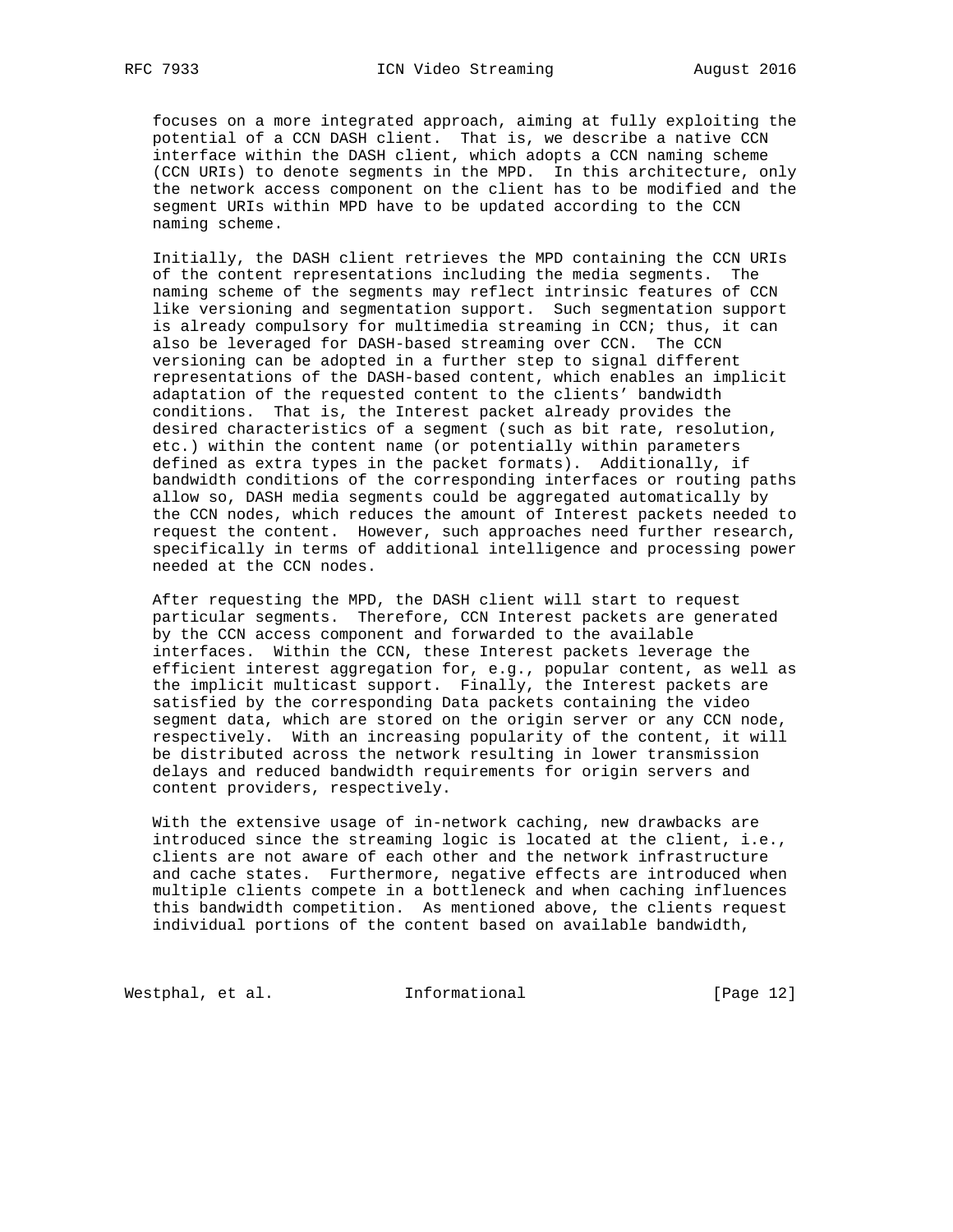focuses on a more integrated approach, aiming at fully exploiting the potential of a CCN DASH client. That is, we describe a native CCN interface within the DASH client, which adopts a CCN naming scheme (CCN URIs) to denote segments in the MPD. In this architecture, only the network access component on the client has to be modified and the segment URIs within MPD have to be updated according to the CCN naming scheme.

 Initially, the DASH client retrieves the MPD containing the CCN URIs of the content representations including the media segments. The naming scheme of the segments may reflect intrinsic features of CCN like versioning and segmentation support. Such segmentation support is already compulsory for multimedia streaming in CCN; thus, it can also be leveraged for DASH-based streaming over CCN. The CCN versioning can be adopted in a further step to signal different representations of the DASH-based content, which enables an implicit adaptation of the requested content to the clients' bandwidth conditions. That is, the Interest packet already provides the desired characteristics of a segment (such as bit rate, resolution, etc.) within the content name (or potentially within parameters defined as extra types in the packet formats). Additionally, if bandwidth conditions of the corresponding interfaces or routing paths allow so, DASH media segments could be aggregated automatically by the CCN nodes, which reduces the amount of Interest packets needed to request the content. However, such approaches need further research, specifically in terms of additional intelligence and processing power needed at the CCN nodes.

 After requesting the MPD, the DASH client will start to request particular segments. Therefore, CCN Interest packets are generated by the CCN access component and forwarded to the available interfaces. Within the CCN, these Interest packets leverage the efficient interest aggregation for, e.g., popular content, as well as the implicit multicast support. Finally, the Interest packets are satisfied by the corresponding Data packets containing the video segment data, which are stored on the origin server or any CCN node, respectively. With an increasing popularity of the content, it will be distributed across the network resulting in lower transmission delays and reduced bandwidth requirements for origin servers and content providers, respectively.

 With the extensive usage of in-network caching, new drawbacks are introduced since the streaming logic is located at the client, i.e., clients are not aware of each other and the network infrastructure and cache states. Furthermore, negative effects are introduced when multiple clients compete in a bottleneck and when caching influences this bandwidth competition. As mentioned above, the clients request individual portions of the content based on available bandwidth,

Westphal, et al. 1nformational 1999 [Page 12]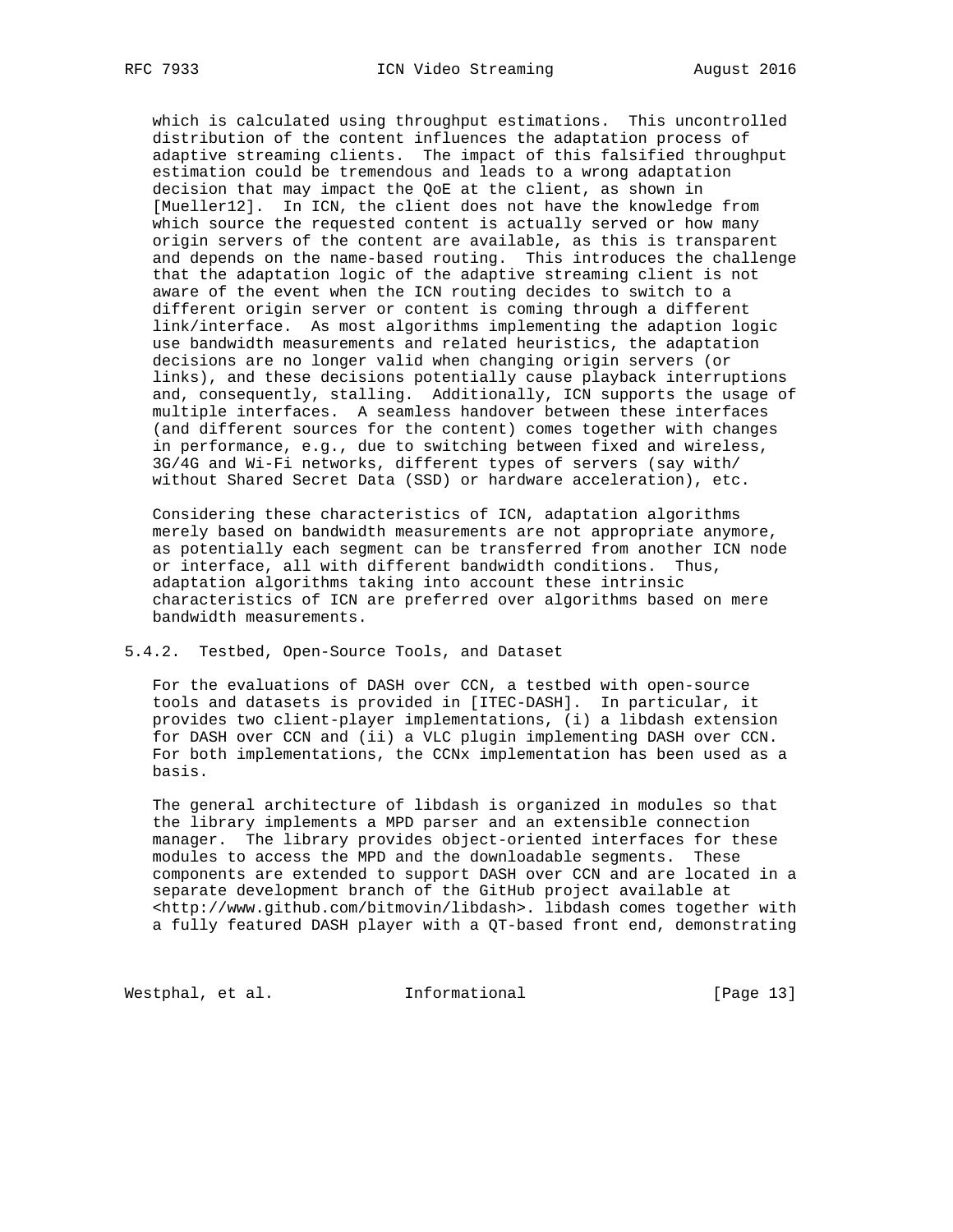which is calculated using throughput estimations. This uncontrolled distribution of the content influences the adaptation process of adaptive streaming clients. The impact of this falsified throughput estimation could be tremendous and leads to a wrong adaptation decision that may impact the QoE at the client, as shown in [Mueller12]. In ICN, the client does not have the knowledge from which source the requested content is actually served or how many origin servers of the content are available, as this is transparent and depends on the name-based routing. This introduces the challenge that the adaptation logic of the adaptive streaming client is not aware of the event when the ICN routing decides to switch to a different origin server or content is coming through a different link/interface. As most algorithms implementing the adaption logic use bandwidth measurements and related heuristics, the adaptation decisions are no longer valid when changing origin servers (or links), and these decisions potentially cause playback interruptions and, consequently, stalling. Additionally, ICN supports the usage of multiple interfaces. A seamless handover between these interfaces (and different sources for the content) comes together with changes in performance, e.g., due to switching between fixed and wireless, 3G/4G and Wi-Fi networks, different types of servers (say with/ without Shared Secret Data (SSD) or hardware acceleration), etc.

 Considering these characteristics of ICN, adaptation algorithms merely based on bandwidth measurements are not appropriate anymore, as potentially each segment can be transferred from another ICN node or interface, all with different bandwidth conditions. Thus, adaptation algorithms taking into account these intrinsic characteristics of ICN are preferred over algorithms based on mere bandwidth measurements.

# 5.4.2. Testbed, Open-Source Tools, and Dataset

 For the evaluations of DASH over CCN, a testbed with open-source tools and datasets is provided in [ITEC-DASH]. In particular, it provides two client-player implementations, (i) a libdash extension for DASH over CCN and (ii) a VLC plugin implementing DASH over CCN. For both implementations, the CCNx implementation has been used as a basis.

 The general architecture of libdash is organized in modules so that the library implements a MPD parser and an extensible connection manager. The library provides object-oriented interfaces for these modules to access the MPD and the downloadable segments. These components are extended to support DASH over CCN and are located in a separate development branch of the GitHub project available at <http://www.github.com/bitmovin/libdash>. libdash comes together with a fully featured DASH player with a QT-based front end, demonstrating

Westphal, et al. 1nformational 1999 [Page 13]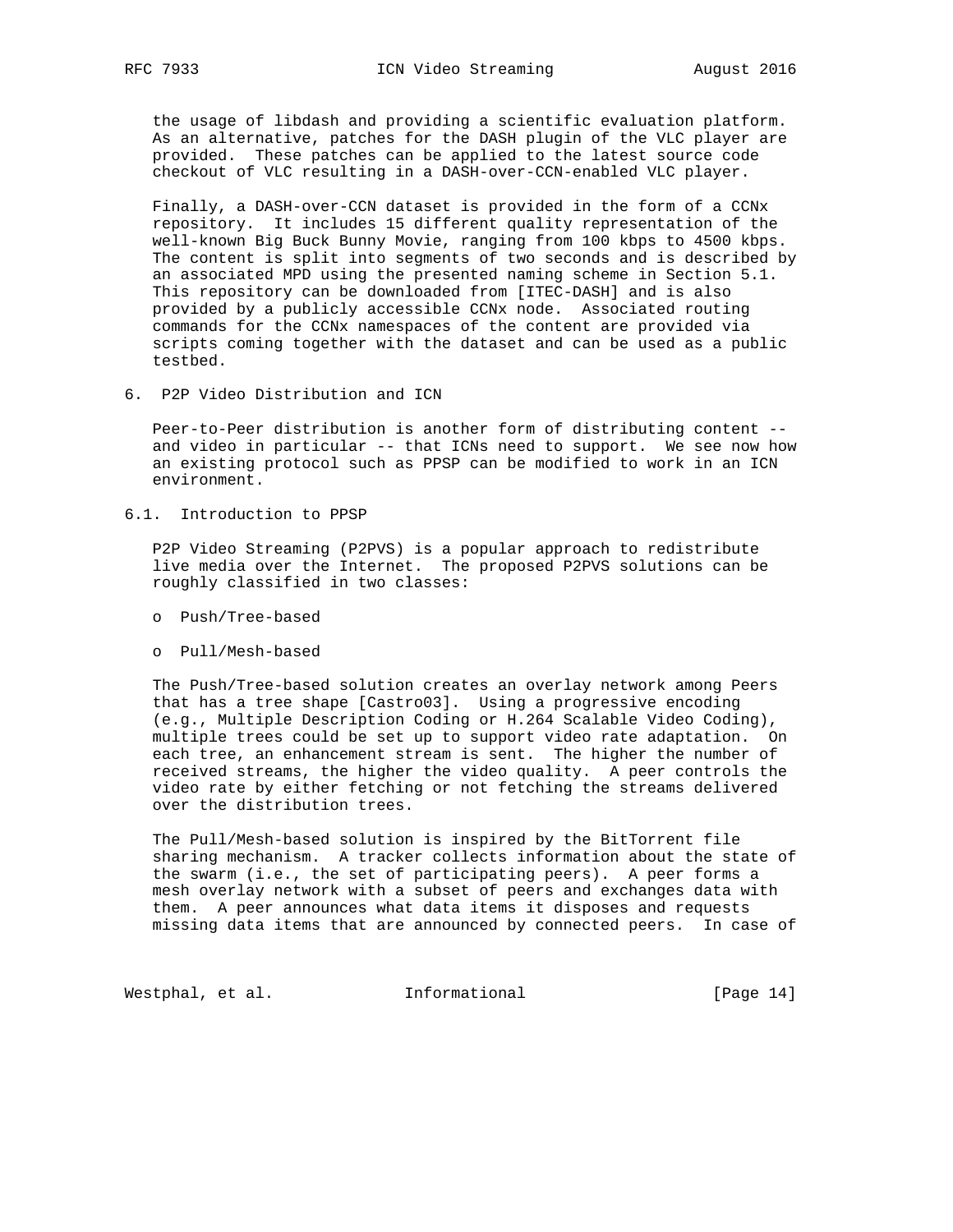the usage of libdash and providing a scientific evaluation platform. As an alternative, patches for the DASH plugin of the VLC player are provided. These patches can be applied to the latest source code checkout of VLC resulting in a DASH-over-CCN-enabled VLC player.

 Finally, a DASH-over-CCN dataset is provided in the form of a CCNx repository. It includes 15 different quality representation of the well-known Big Buck Bunny Movie, ranging from 100 kbps to 4500 kbps. The content is split into segments of two seconds and is described by an associated MPD using the presented naming scheme in Section 5.1. This repository can be downloaded from [ITEC-DASH] and is also provided by a publicly accessible CCNx node. Associated routing commands for the CCNx namespaces of the content are provided via scripts coming together with the dataset and can be used as a public testbed.

6. P2P Video Distribution and ICN

 Peer-to-Peer distribution is another form of distributing content - and video in particular -- that ICNs need to support. We see now how an existing protocol such as PPSP can be modified to work in an ICN environment.

6.1. Introduction to PPSP

 P2P Video Streaming (P2PVS) is a popular approach to redistribute live media over the Internet. The proposed P2PVS solutions can be roughly classified in two classes:

- o Push/Tree-based
- o Pull/Mesh-based

 The Push/Tree-based solution creates an overlay network among Peers that has a tree shape [Castro03]. Using a progressive encoding (e.g., Multiple Description Coding or H.264 Scalable Video Coding), multiple trees could be set up to support video rate adaptation. On each tree, an enhancement stream is sent. The higher the number of received streams, the higher the video quality. A peer controls the video rate by either fetching or not fetching the streams delivered over the distribution trees.

 The Pull/Mesh-based solution is inspired by the BitTorrent file sharing mechanism. A tracker collects information about the state of the swarm (i.e., the set of participating peers). A peer forms a mesh overlay network with a subset of peers and exchanges data with them. A peer announces what data items it disposes and requests missing data items that are announced by connected peers. In case of

Westphal, et al. Informational [Page 14]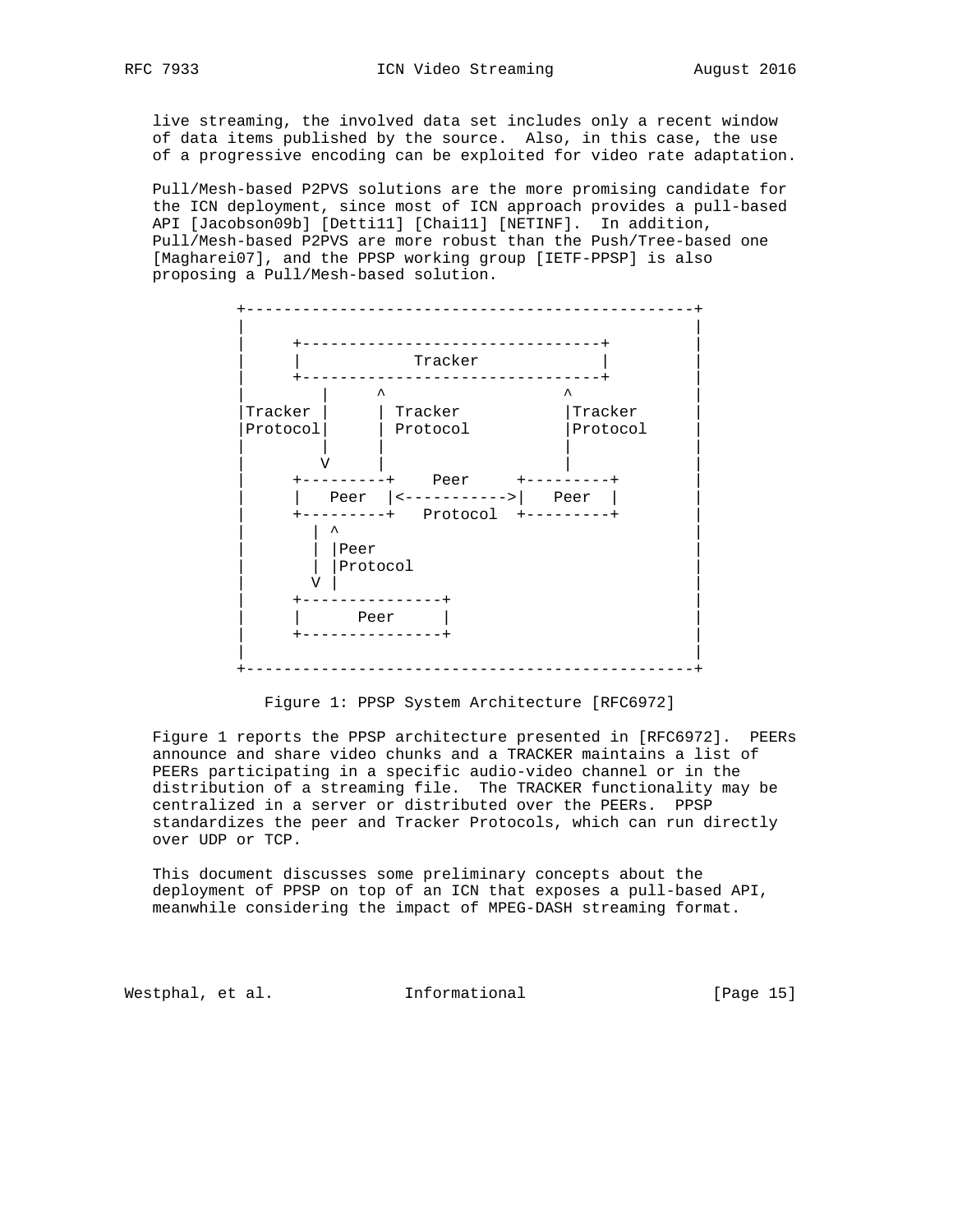live streaming, the involved data set includes only a recent window of data items published by the source. Also, in this case, the use of a progressive encoding can be exploited for video rate adaptation.

 Pull/Mesh-based P2PVS solutions are the more promising candidate for the ICN deployment, since most of ICN approach provides a pull-based API [Jacobson09b] [Detti11] [Chai11] [NETINF]. In addition, Pull/Mesh-based P2PVS are more robust than the Push/Tree-based one [Magharei07], and the PPSP working group [IETF-PPSP] is also proposing a Pull/Mesh-based solution.



Figure 1: PPSP System Architecture [RFC6972]

 Figure 1 reports the PPSP architecture presented in [RFC6972]. PEERs announce and share video chunks and a TRACKER maintains a list of PEERs participating in a specific audio-video channel or in the distribution of a streaming file. The TRACKER functionality may be centralized in a server or distributed over the PEERs. PPSP standardizes the peer and Tracker Protocols, which can run directly over UDP or TCP.

 This document discusses some preliminary concepts about the deployment of PPSP on top of an ICN that exposes a pull-based API, meanwhile considering the impact of MPEG-DASH streaming format.

Westphal, et al. 1nformational 1999 [Page 15]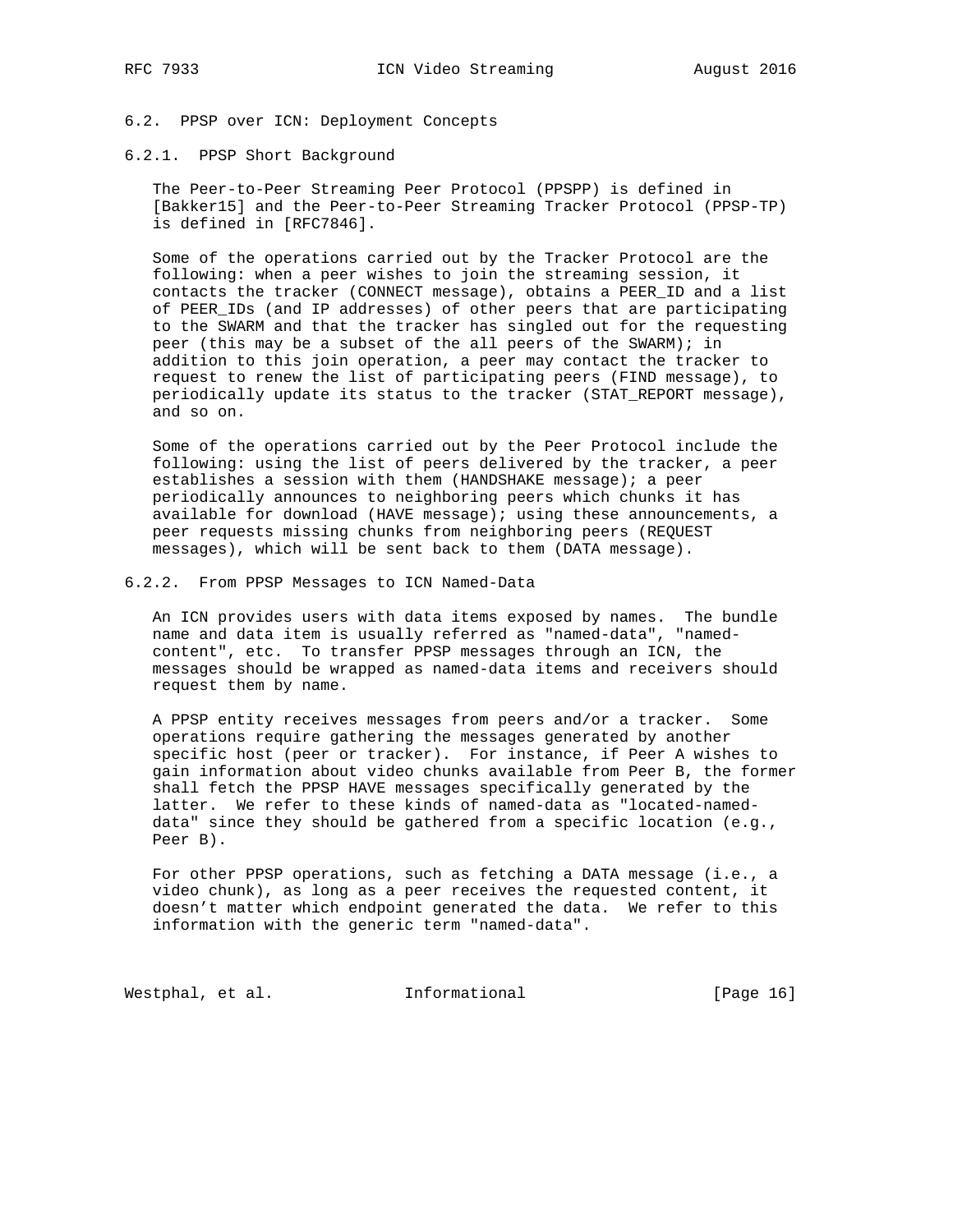# 6.2. PPSP over ICN: Deployment Concepts

## 6.2.1. PPSP Short Background

 The Peer-to-Peer Streaming Peer Protocol (PPSPP) is defined in [Bakker15] and the Peer-to-Peer Streaming Tracker Protocol (PPSP-TP) is defined in [RFC7846].

 Some of the operations carried out by the Tracker Protocol are the following: when a peer wishes to join the streaming session, it contacts the tracker (CONNECT message), obtains a PEER\_ID and a list of PEER\_IDs (and IP addresses) of other peers that are participating to the SWARM and that the tracker has singled out for the requesting peer (this may be a subset of the all peers of the SWARM); in addition to this join operation, a peer may contact the tracker to request to renew the list of participating peers (FIND message), to periodically update its status to the tracker (STAT\_REPORT message), and so on.

 Some of the operations carried out by the Peer Protocol include the following: using the list of peers delivered by the tracker, a peer establishes a session with them (HANDSHAKE message); a peer periodically announces to neighboring peers which chunks it has available for download (HAVE message); using these announcements, a peer requests missing chunks from neighboring peers (REQUEST messages), which will be sent back to them (DATA message).

## 6.2.2. From PPSP Messages to ICN Named-Data

 An ICN provides users with data items exposed by names. The bundle name and data item is usually referred as "named-data", "named content", etc. To transfer PPSP messages through an ICN, the messages should be wrapped as named-data items and receivers should request them by name.

 A PPSP entity receives messages from peers and/or a tracker. Some operations require gathering the messages generated by another specific host (peer or tracker). For instance, if Peer A wishes to gain information about video chunks available from Peer B, the former shall fetch the PPSP HAVE messages specifically generated by the latter. We refer to these kinds of named-data as "located-named data" since they should be gathered from a specific location (e.g., Peer B).

For other PPSP operations, such as fetching a DATA message (i.e., a video chunk), as long as a peer receives the requested content, it doesn't matter which endpoint generated the data. We refer to this information with the generic term "named-data".

Westphal, et al. 1nformational 1999 [Page 16]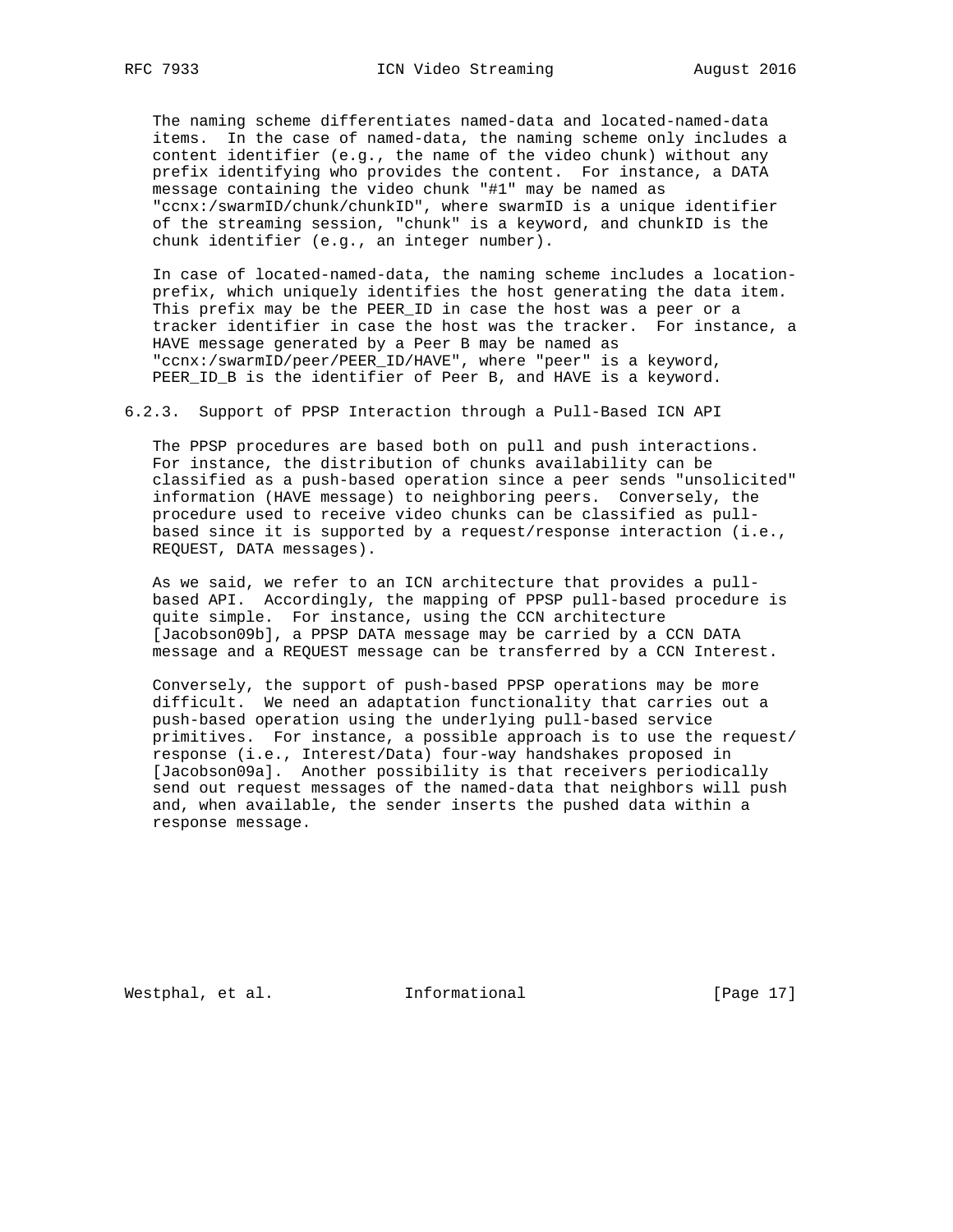The naming scheme differentiates named-data and located-named-data items. In the case of named-data, the naming scheme only includes a content identifier (e.g., the name of the video chunk) without any prefix identifying who provides the content. For instance, a DATA message containing the video chunk "#1" may be named as "ccnx:/swarmID/chunk/chunkID", where swarmID is a unique identifier of the streaming session, "chunk" is a keyword, and chunkID is the chunk identifier (e.g., an integer number).

 In case of located-named-data, the naming scheme includes a location prefix, which uniquely identifies the host generating the data item. This prefix may be the PEER\_ID in case the host was a peer or a tracker identifier in case the host was the tracker. For instance, a HAVE message generated by a Peer B may be named as "ccnx:/swarmID/peer/PEER\_ID/HAVE", where "peer" is a keyword, PEER\_ID\_B is the identifier of Peer B, and HAVE is a keyword.

6.2.3. Support of PPSP Interaction through a Pull-Based ICN API

 The PPSP procedures are based both on pull and push interactions. For instance, the distribution of chunks availability can be classified as a push-based operation since a peer sends "unsolicited" information (HAVE message) to neighboring peers. Conversely, the procedure used to receive video chunks can be classified as pull based since it is supported by a request/response interaction (i.e., REQUEST, DATA messages).

 As we said, we refer to an ICN architecture that provides a pull based API. Accordingly, the mapping of PPSP pull-based procedure is quite simple. For instance, using the CCN architecture [Jacobson09b], a PPSP DATA message may be carried by a CCN DATA message and a REQUEST message can be transferred by a CCN Interest.

 Conversely, the support of push-based PPSP operations may be more difficult. We need an adaptation functionality that carries out a push-based operation using the underlying pull-based service primitives. For instance, a possible approach is to use the request/ response (i.e., Interest/Data) four-way handshakes proposed in [Jacobson09a]. Another possibility is that receivers periodically send out request messages of the named-data that neighbors will push and, when available, the sender inserts the pushed data within a response message.

Westphal, et al. 1nformational 1999 [Page 17]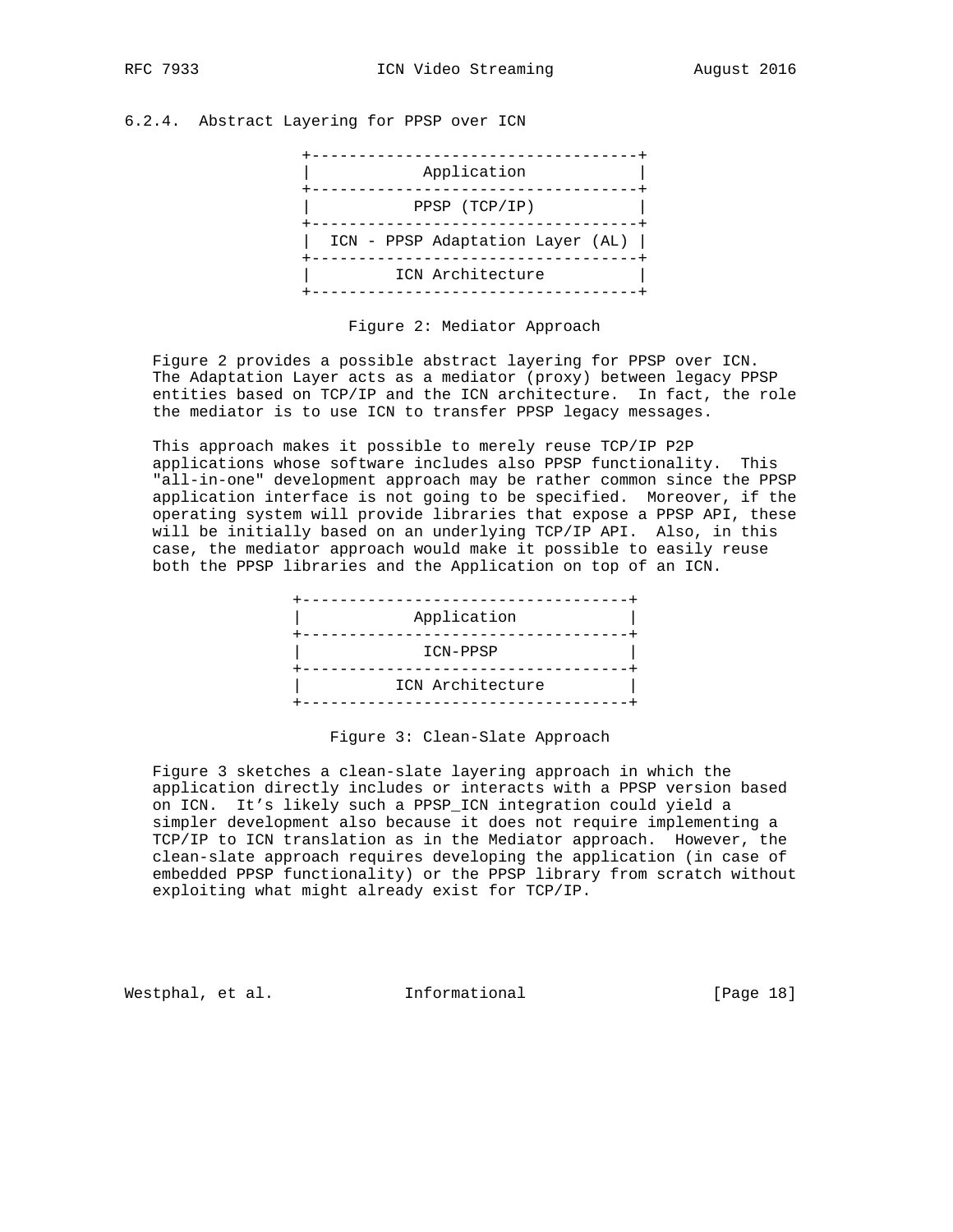# 6.2.4. Abstract Layering for PPSP over ICN



#### Figure 2: Mediator Approach

 Figure 2 provides a possible abstract layering for PPSP over ICN. The Adaptation Layer acts as a mediator (proxy) between legacy PPSP entities based on TCP/IP and the ICN architecture. In fact, the role the mediator is to use ICN to transfer PPSP legacy messages.

 This approach makes it possible to merely reuse TCP/IP P2P applications whose software includes also PPSP functionality. This "all-in-one" development approach may be rather common since the PPSP application interface is not going to be specified. Moreover, if the operating system will provide libraries that expose a PPSP API, these will be initially based on an underlying TCP/IP API. Also, in this case, the mediator approach would make it possible to easily reuse both the PPSP libraries and the Application on top of an ICN.



#### Figure 3: Clean-Slate Approach

 Figure 3 sketches a clean-slate layering approach in which the application directly includes or interacts with a PPSP version based on ICN. It's likely such a PPSP\_ICN integration could yield a simpler development also because it does not require implementing a TCP/IP to ICN translation as in the Mediator approach. However, the clean-slate approach requires developing the application (in case of embedded PPSP functionality) or the PPSP library from scratch without exploiting what might already exist for TCP/IP.

Westphal, et al. 1nformational 1999 [Page 18]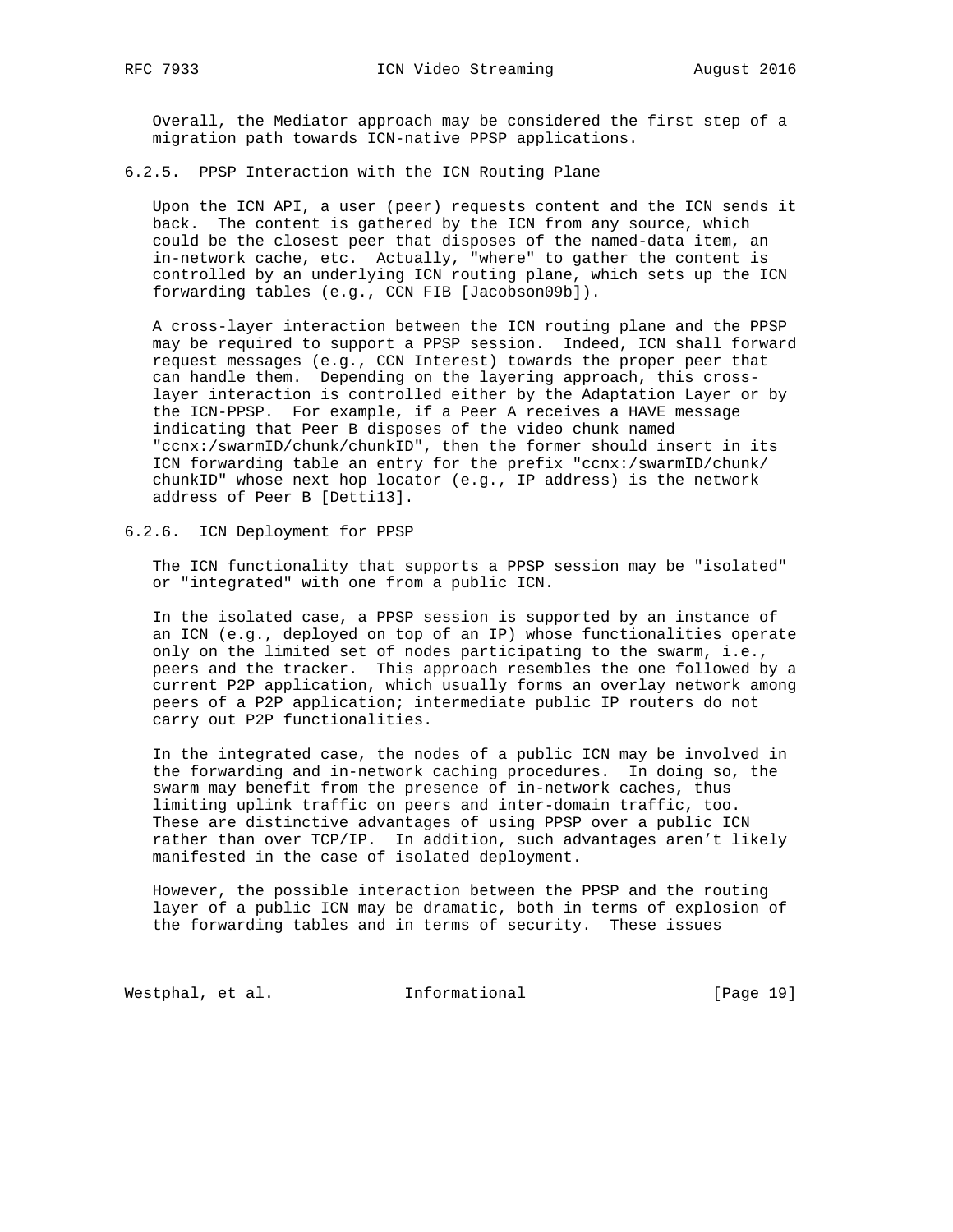Overall, the Mediator approach may be considered the first step of a migration path towards ICN-native PPSP applications.

6.2.5. PPSP Interaction with the ICN Routing Plane

 Upon the ICN API, a user (peer) requests content and the ICN sends it back. The content is gathered by the ICN from any source, which could be the closest peer that disposes of the named-data item, an in-network cache, etc. Actually, "where" to gather the content is controlled by an underlying ICN routing plane, which sets up the ICN forwarding tables (e.g., CCN FIB [Jacobson09b]).

 A cross-layer interaction between the ICN routing plane and the PPSP may be required to support a PPSP session. Indeed, ICN shall forward request messages (e.g., CCN Interest) towards the proper peer that can handle them. Depending on the layering approach, this cross layer interaction is controlled either by the Adaptation Layer or by the ICN-PPSP. For example, if a Peer A receives a HAVE message indicating that Peer B disposes of the video chunk named "ccnx:/swarmID/chunk/chunkID", then the former should insert in its ICN forwarding table an entry for the prefix "ccnx:/swarmID/chunk/ chunkID" whose next hop locator (e.g., IP address) is the network address of Peer B [Detti13].

6.2.6. ICN Deployment for PPSP

 The ICN functionality that supports a PPSP session may be "isolated" or "integrated" with one from a public ICN.

 In the isolated case, a PPSP session is supported by an instance of an ICN (e.g., deployed on top of an IP) whose functionalities operate only on the limited set of nodes participating to the swarm, i.e., peers and the tracker. This approach resembles the one followed by a current P2P application, which usually forms an overlay network among peers of a P2P application; intermediate public IP routers do not carry out P2P functionalities.

 In the integrated case, the nodes of a public ICN may be involved in the forwarding and in-network caching procedures. In doing so, the swarm may benefit from the presence of in-network caches, thus limiting uplink traffic on peers and inter-domain traffic, too. These are distinctive advantages of using PPSP over a public ICN rather than over TCP/IP. In addition, such advantages aren't likely manifested in the case of isolated deployment.

 However, the possible interaction between the PPSP and the routing layer of a public ICN may be dramatic, both in terms of explosion of the forwarding tables and in terms of security. These issues

Westphal, et al. 1nformational 1915 [Page 19]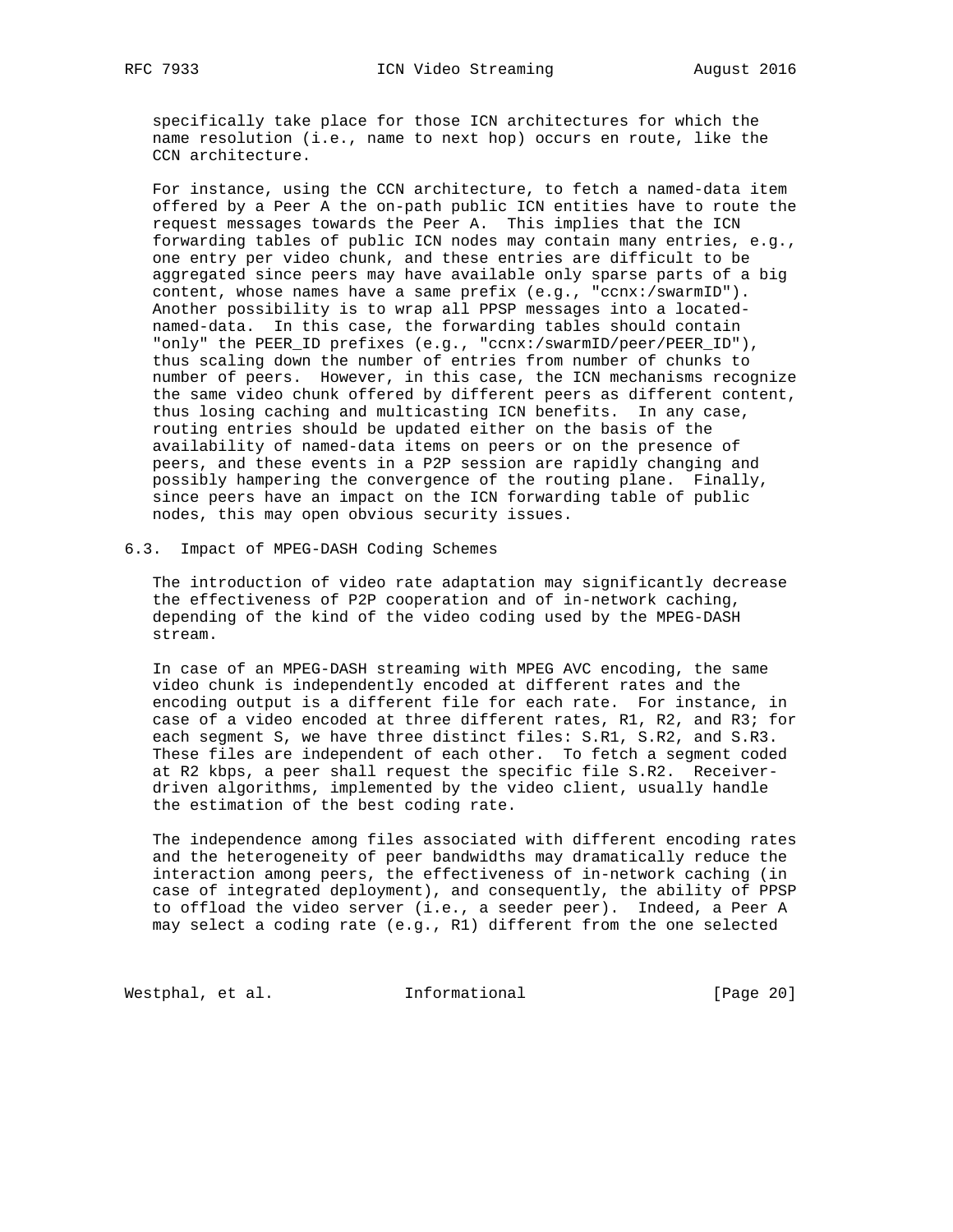specifically take place for those ICN architectures for which the name resolution (i.e., name to next hop) occurs en route, like the CCN architecture.

 For instance, using the CCN architecture, to fetch a named-data item offered by a Peer A the on-path public ICN entities have to route the request messages towards the Peer A. This implies that the ICN forwarding tables of public ICN nodes may contain many entries, e.g., one entry per video chunk, and these entries are difficult to be aggregated since peers may have available only sparse parts of a big content, whose names have a same prefix (e.g., "ccnx:/swarmID"). Another possibility is to wrap all PPSP messages into a located named-data. In this case, the forwarding tables should contain "only" the PEER\_ID prefixes (e.g., "ccnx:/swarmID/peer/PEER\_ID"), thus scaling down the number of entries from number of chunks to number of peers. However, in this case, the ICN mechanisms recognize the same video chunk offered by different peers as different content, thus losing caching and multicasting ICN benefits. In any case, routing entries should be updated either on the basis of the availability of named-data items on peers or on the presence of peers, and these events in a P2P session are rapidly changing and possibly hampering the convergence of the routing plane. Finally, since peers have an impact on the ICN forwarding table of public nodes, this may open obvious security issues.

6.3. Impact of MPEG-DASH Coding Schemes

 The introduction of video rate adaptation may significantly decrease the effectiveness of P2P cooperation and of in-network caching, depending of the kind of the video coding used by the MPEG-DASH stream.

 In case of an MPEG-DASH streaming with MPEG AVC encoding, the same video chunk is independently encoded at different rates and the encoding output is a different file for each rate. For instance, in case of a video encoded at three different rates, R1, R2, and R3; for each segment S, we have three distinct files: S.R1, S.R2, and S.R3. These files are independent of each other. To fetch a segment coded at R2 kbps, a peer shall request the specific file S.R2. Receiver driven algorithms, implemented by the video client, usually handle the estimation of the best coding rate.

 The independence among files associated with different encoding rates and the heterogeneity of peer bandwidths may dramatically reduce the interaction among peers, the effectiveness of in-network caching (in case of integrated deployment), and consequently, the ability of PPSP to offload the video server (i.e., a seeder peer). Indeed, a Peer A may select a coding rate (e.g., R1) different from the one selected

Westphal, et al. 1nformational 1999 [Page 20]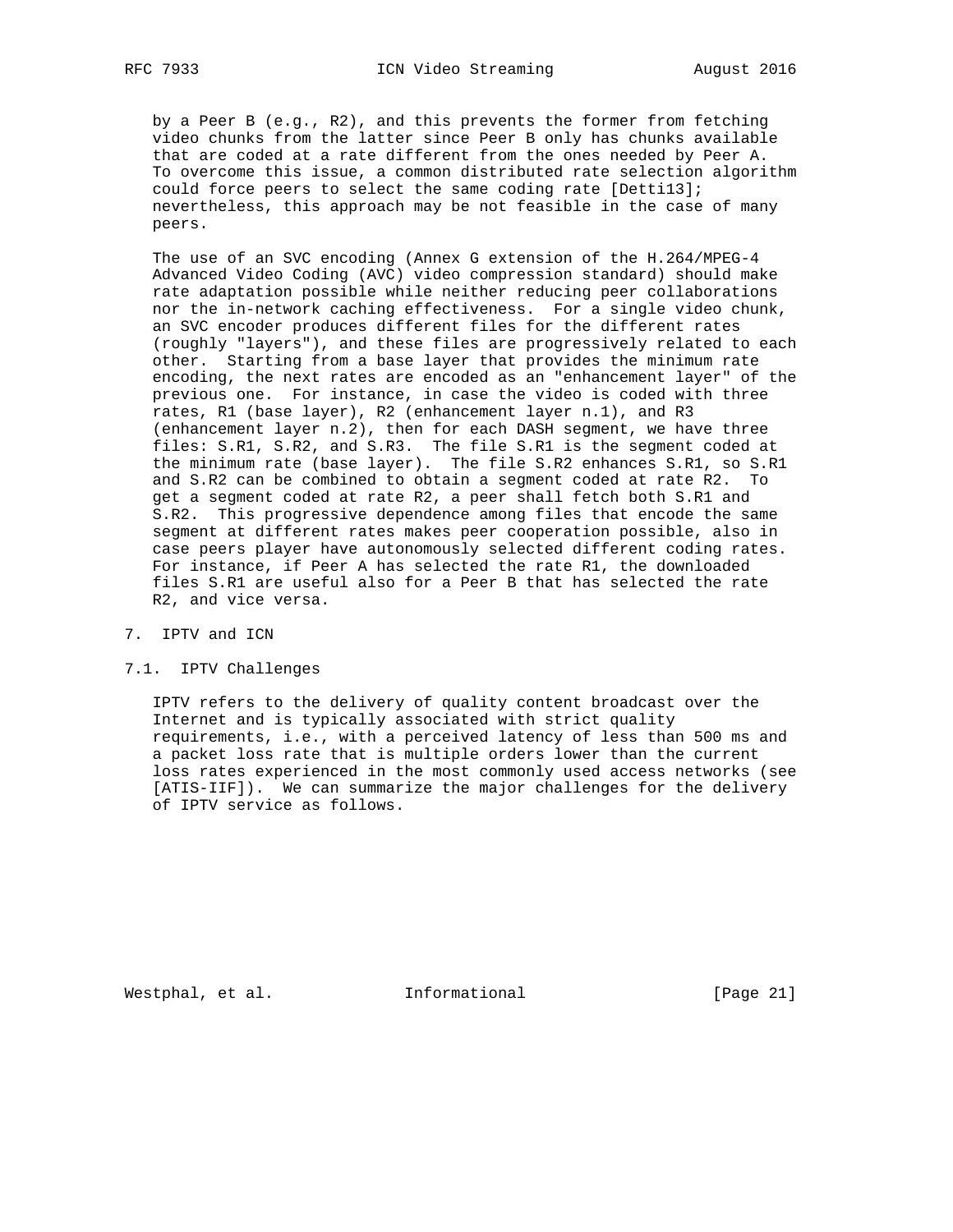by a Peer B (e.g., R2), and this prevents the former from fetching video chunks from the latter since Peer B only has chunks available that are coded at a rate different from the ones needed by Peer A. To overcome this issue, a common distributed rate selection algorithm could force peers to select the same coding rate [Detti13]; nevertheless, this approach may be not feasible in the case of many peers.

 The use of an SVC encoding (Annex G extension of the H.264/MPEG-4 Advanced Video Coding (AVC) video compression standard) should make rate adaptation possible while neither reducing peer collaborations nor the in-network caching effectiveness. For a single video chunk, an SVC encoder produces different files for the different rates (roughly "layers"), and these files are progressively related to each other. Starting from a base layer that provides the minimum rate encoding, the next rates are encoded as an "enhancement layer" of the previous one. For instance, in case the video is coded with three rates, R1 (base layer), R2 (enhancement layer n.1), and R3 (enhancement layer n.2), then for each DASH segment, we have three files: S.R1, S.R2, and S.R3. The file S.R1 is the segment coded at the minimum rate (base layer). The file S.R2 enhances S.R1, so S.R1 and S.R2 can be combined to obtain a segment coded at rate R2. To get a segment coded at rate R2, a peer shall fetch both S.R1 and S.R2. This progressive dependence among files that encode the same segment at different rates makes peer cooperation possible, also in case peers player have autonomously selected different coding rates. For instance, if Peer A has selected the rate R1, the downloaded files S.R1 are useful also for a Peer B that has selected the rate R2, and vice versa.

- 7. IPTV and ICN
- 7.1. IPTV Challenges

 IPTV refers to the delivery of quality content broadcast over the Internet and is typically associated with strict quality requirements, i.e., with a perceived latency of less than 500 ms and a packet loss rate that is multiple orders lower than the current loss rates experienced in the most commonly used access networks (see [ATIS-IIF]). We can summarize the major challenges for the delivery of IPTV service as follows.

Westphal, et al. 1nformational 1999 [Page 21]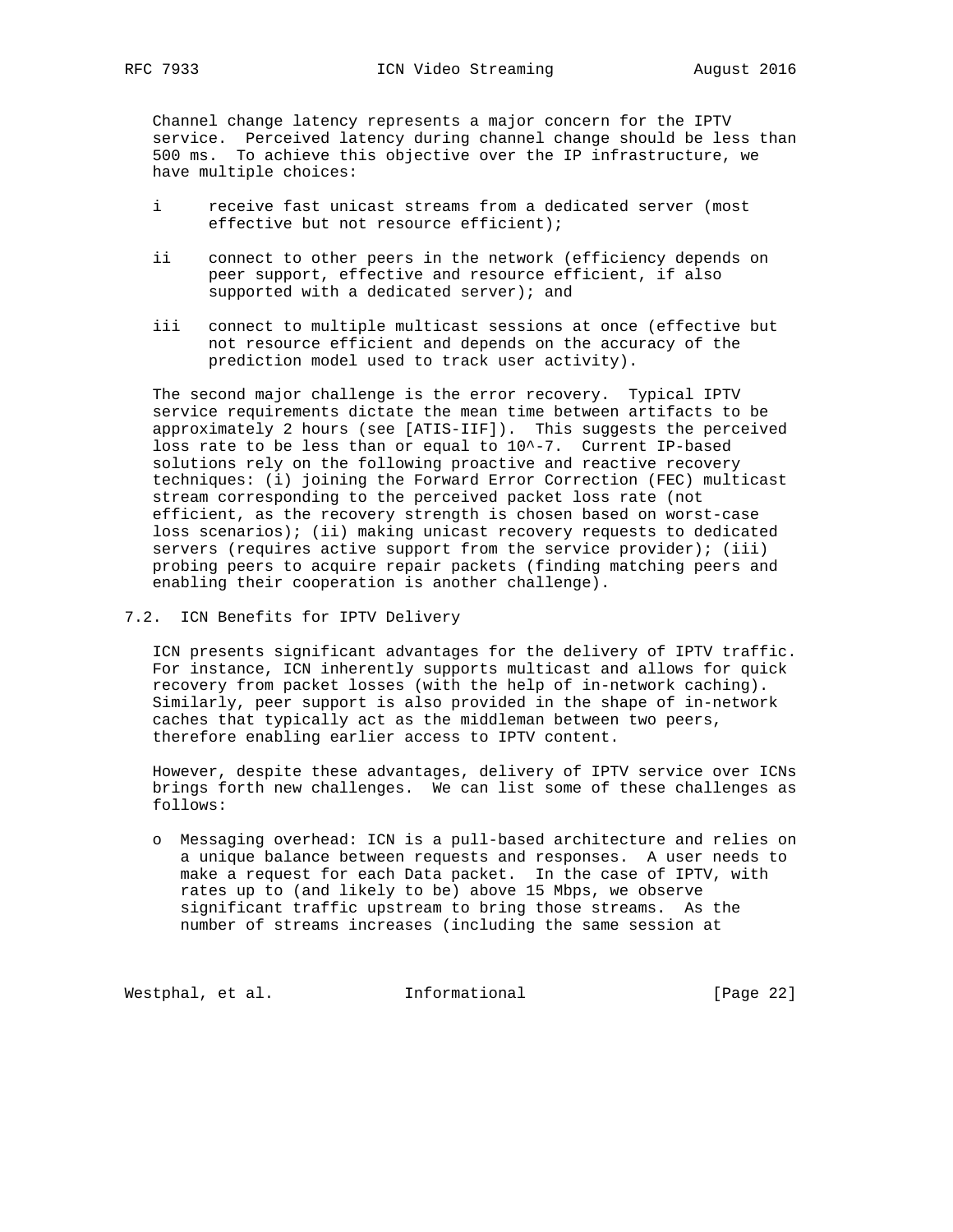Channel change latency represents a major concern for the IPTV service. Perceived latency during channel change should be less than 500 ms. To achieve this objective over the IP infrastructure, we have multiple choices:

- i receive fast unicast streams from a dedicated server (most effective but not resource efficient);
- ii connect to other peers in the network (efficiency depends on peer support, effective and resource efficient, if also supported with a dedicated server); and
- iii connect to multiple multicast sessions at once (effective but not resource efficient and depends on the accuracy of the prediction model used to track user activity).

 The second major challenge is the error recovery. Typical IPTV service requirements dictate the mean time between artifacts to be approximately 2 hours (see [ATIS-IIF]). This suggests the perceived loss rate to be less than or equal to 10^-7. Current IP-based solutions rely on the following proactive and reactive recovery techniques: (i) joining the Forward Error Correction (FEC) multicast stream corresponding to the perceived packet loss rate (not efficient, as the recovery strength is chosen based on worst-case loss scenarios); (ii) making unicast recovery requests to dedicated servers (requires active support from the service provider); (iii) probing peers to acquire repair packets (finding matching peers and enabling their cooperation is another challenge).

7.2. ICN Benefits for IPTV Delivery

 ICN presents significant advantages for the delivery of IPTV traffic. For instance, ICN inherently supports multicast and allows for quick recovery from packet losses (with the help of in-network caching). Similarly, peer support is also provided in the shape of in-network caches that typically act as the middleman between two peers, therefore enabling earlier access to IPTV content.

 However, despite these advantages, delivery of IPTV service over ICNs brings forth new challenges. We can list some of these challenges as follows:

 o Messaging overhead: ICN is a pull-based architecture and relies on a unique balance between requests and responses. A user needs to make a request for each Data packet. In the case of IPTV, with rates up to (and likely to be) above 15 Mbps, we observe significant traffic upstream to bring those streams. As the number of streams increases (including the same session at

Westphal, et al. 1nformational 1999 [Page 22]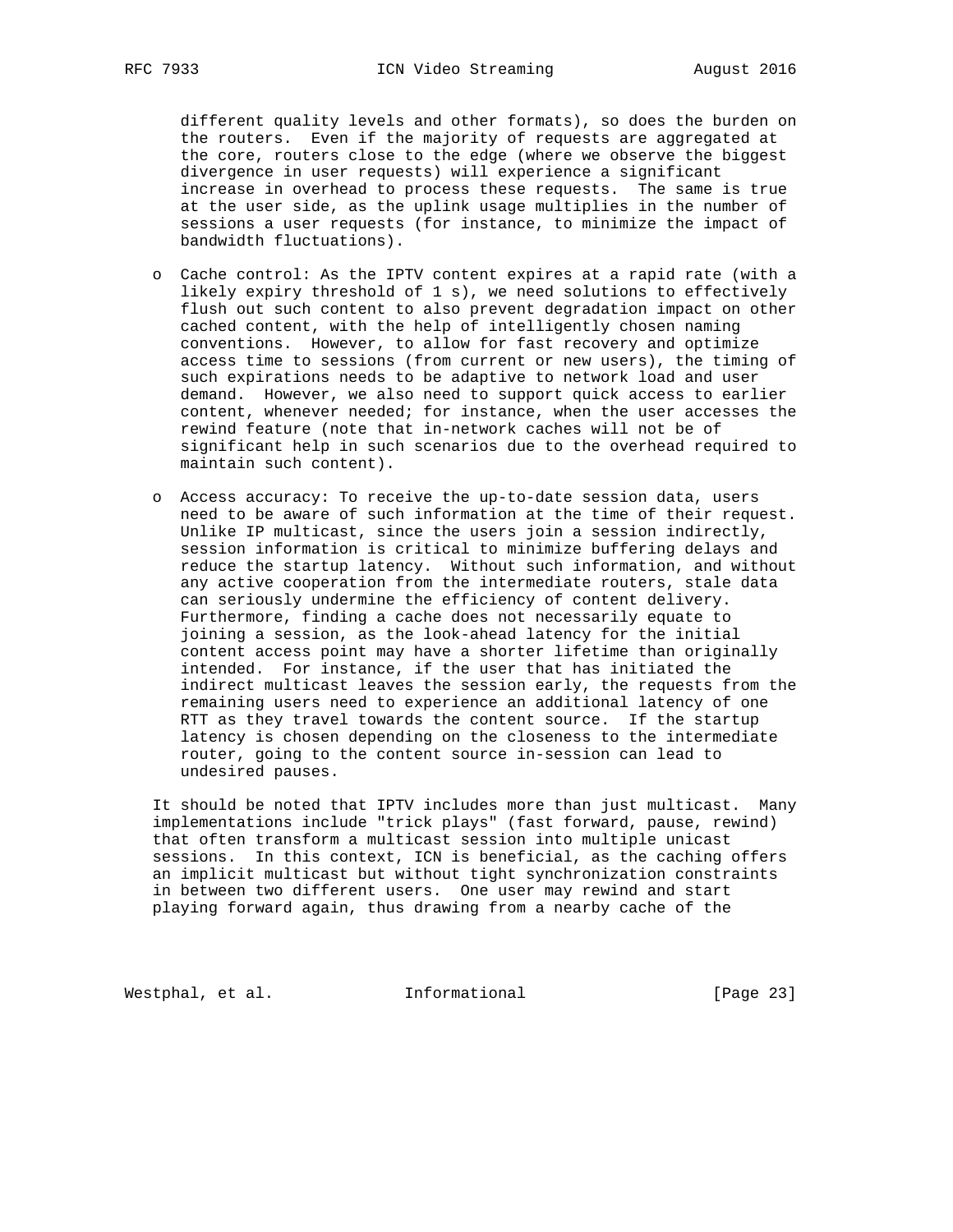different quality levels and other formats), so does the burden on the routers. Even if the majority of requests are aggregated at the core, routers close to the edge (where we observe the biggest divergence in user requests) will experience a significant increase in overhead to process these requests. The same is true at the user side, as the uplink usage multiplies in the number of sessions a user requests (for instance, to minimize the impact of bandwidth fluctuations).

- o Cache control: As the IPTV content expires at a rapid rate (with a likely expiry threshold of 1 s), we need solutions to effectively flush out such content to also prevent degradation impact on other cached content, with the help of intelligently chosen naming conventions. However, to allow for fast recovery and optimize access time to sessions (from current or new users), the timing of such expirations needs to be adaptive to network load and user demand. However, we also need to support quick access to earlier content, whenever needed; for instance, when the user accesses the rewind feature (note that in-network caches will not be of significant help in such scenarios due to the overhead required to maintain such content).
- o Access accuracy: To receive the up-to-date session data, users need to be aware of such information at the time of their request. Unlike IP multicast, since the users join a session indirectly, session information is critical to minimize buffering delays and reduce the startup latency. Without such information, and without any active cooperation from the intermediate routers, stale data can seriously undermine the efficiency of content delivery. Furthermore, finding a cache does not necessarily equate to joining a session, as the look-ahead latency for the initial content access point may have a shorter lifetime than originally intended. For instance, if the user that has initiated the indirect multicast leaves the session early, the requests from the remaining users need to experience an additional latency of one RTT as they travel towards the content source. If the startup latency is chosen depending on the closeness to the intermediate router, going to the content source in-session can lead to undesired pauses.

 It should be noted that IPTV includes more than just multicast. Many implementations include "trick plays" (fast forward, pause, rewind) that often transform a multicast session into multiple unicast sessions. In this context, ICN is beneficial, as the caching offers an implicit multicast but without tight synchronization constraints in between two different users. One user may rewind and start playing forward again, thus drawing from a nearby cache of the

Westphal, et al. 1nformational 1999 [Page 23]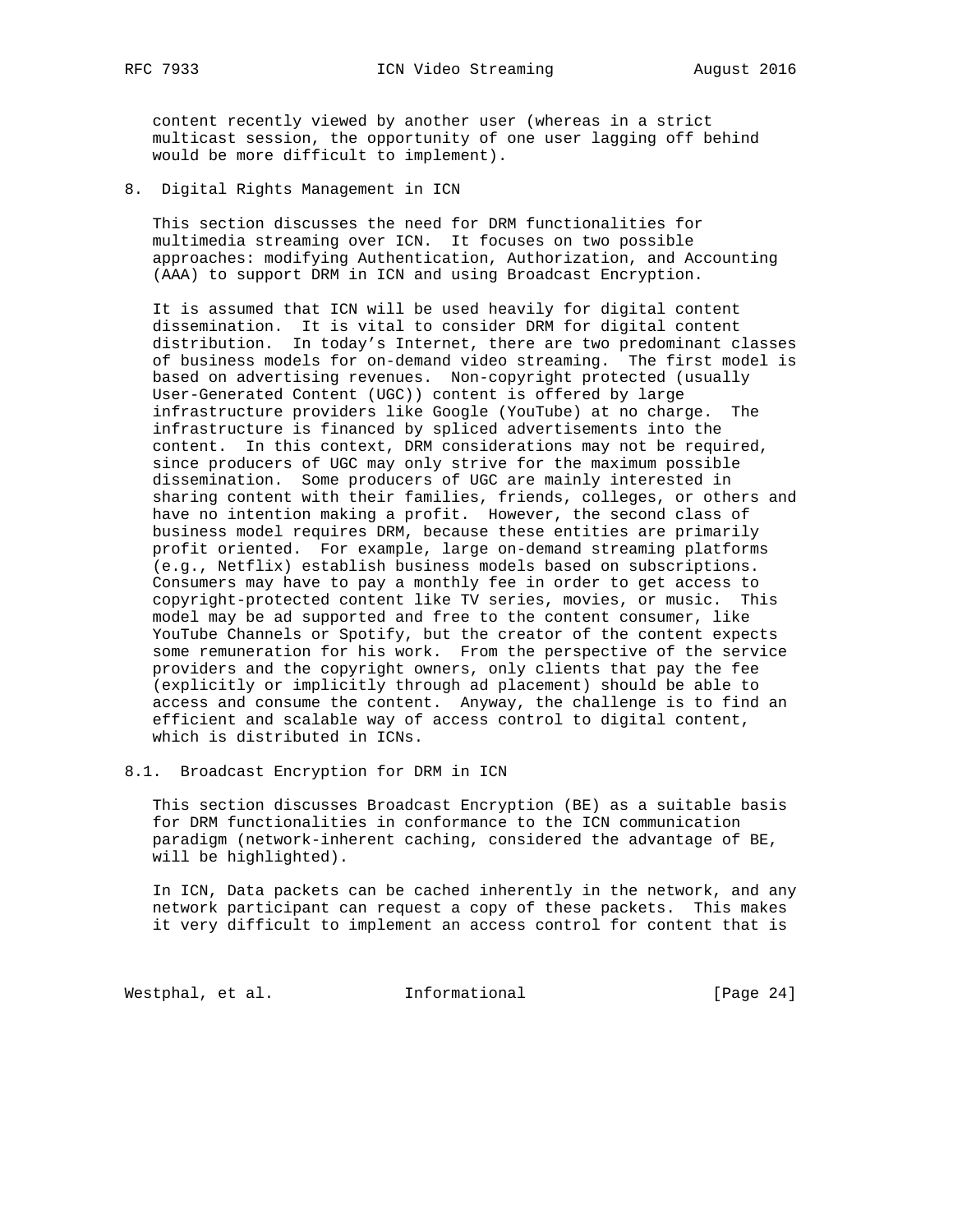content recently viewed by another user (whereas in a strict multicast session, the opportunity of one user lagging off behind would be more difficult to implement).

8. Digital Rights Management in ICN

 This section discusses the need for DRM functionalities for multimedia streaming over ICN. It focuses on two possible approaches: modifying Authentication, Authorization, and Accounting (AAA) to support DRM in ICN and using Broadcast Encryption.

 It is assumed that ICN will be used heavily for digital content dissemination. It is vital to consider DRM for digital content distribution. In today's Internet, there are two predominant classes of business models for on-demand video streaming. The first model is based on advertising revenues. Non-copyright protected (usually User-Generated Content (UGC)) content is offered by large infrastructure providers like Google (YouTube) at no charge. The infrastructure is financed by spliced advertisements into the content. In this context, DRM considerations may not be required, since producers of UGC may only strive for the maximum possible dissemination. Some producers of UGC are mainly interested in sharing content with their families, friends, colleges, or others and have no intention making a profit. However, the second class of business model requires DRM, because these entities are primarily profit oriented. For example, large on-demand streaming platforms (e.g., Netflix) establish business models based on subscriptions. Consumers may have to pay a monthly fee in order to get access to copyright-protected content like TV series, movies, or music. This model may be ad supported and free to the content consumer, like YouTube Channels or Spotify, but the creator of the content expects some remuneration for his work. From the perspective of the service providers and the copyright owners, only clients that pay the fee (explicitly or implicitly through ad placement) should be able to access and consume the content. Anyway, the challenge is to find an efficient and scalable way of access control to digital content, which is distributed in ICNs.

8.1. Broadcast Encryption for DRM in ICN

 This section discusses Broadcast Encryption (BE) as a suitable basis for DRM functionalities in conformance to the ICN communication paradigm (network-inherent caching, considered the advantage of BE, will be highlighted).

 In ICN, Data packets can be cached inherently in the network, and any network participant can request a copy of these packets. This makes it very difficult to implement an access control for content that is

Westphal, et al. 1nformational 1999 [Page 24]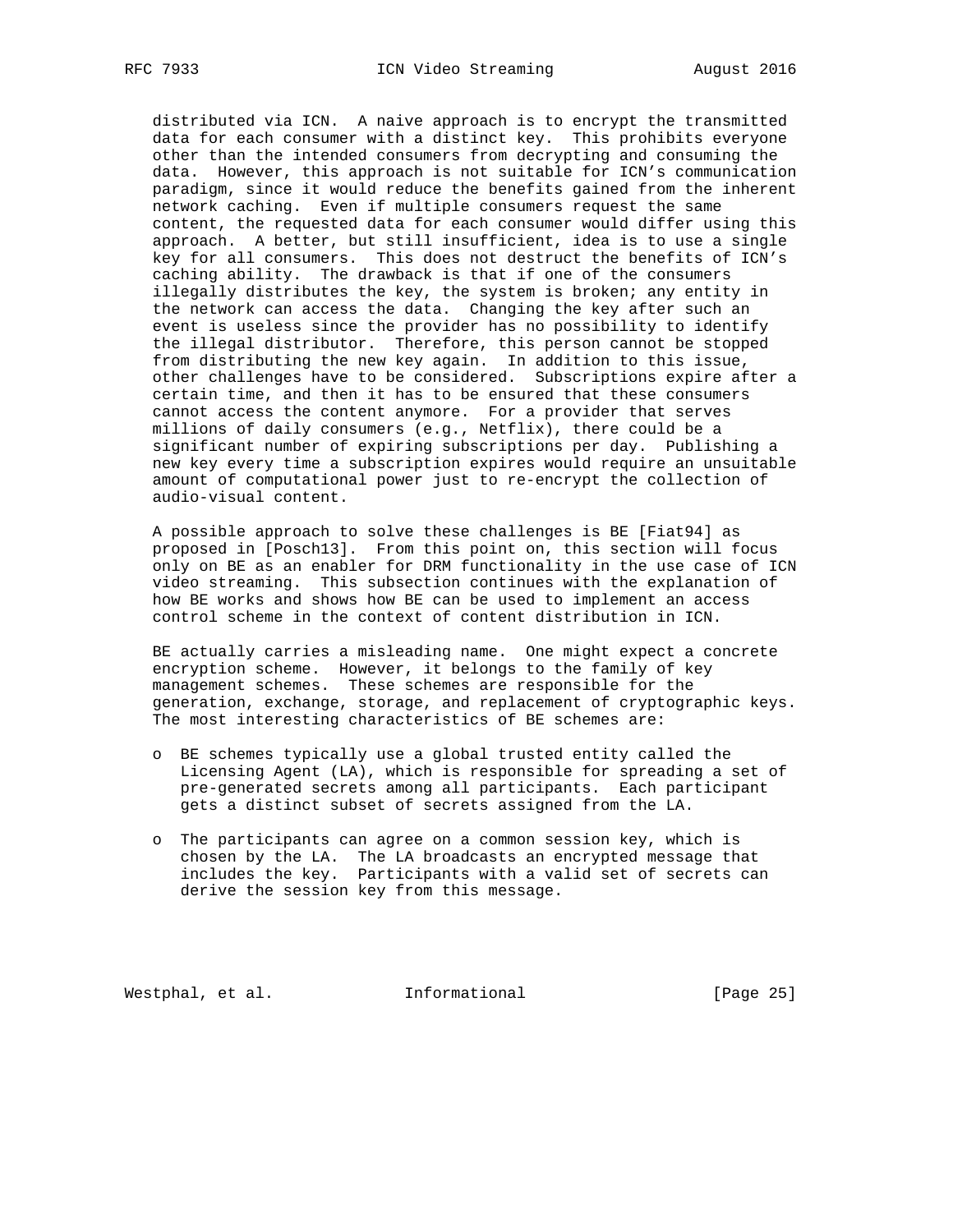distributed via ICN. A naive approach is to encrypt the transmitted data for each consumer with a distinct key. This prohibits everyone other than the intended consumers from decrypting and consuming the data. However, this approach is not suitable for ICN's communication paradigm, since it would reduce the benefits gained from the inherent network caching. Even if multiple consumers request the same content, the requested data for each consumer would differ using this approach. A better, but still insufficient, idea is to use a single key for all consumers. This does not destruct the benefits of ICN's caching ability. The drawback is that if one of the consumers illegally distributes the key, the system is broken; any entity in the network can access the data. Changing the key after such an event is useless since the provider has no possibility to identify the illegal distributor. Therefore, this person cannot be stopped from distributing the new key again. In addition to this issue, other challenges have to be considered. Subscriptions expire after a certain time, and then it has to be ensured that these consumers cannot access the content anymore. For a provider that serves millions of daily consumers (e.g., Netflix), there could be a significant number of expiring subscriptions per day. Publishing a new key every time a subscription expires would require an unsuitable amount of computational power just to re-encrypt the collection of audio-visual content.

 A possible approach to solve these challenges is BE [Fiat94] as proposed in [Posch13]. From this point on, this section will focus only on BE as an enabler for DRM functionality in the use case of ICN video streaming. This subsection continues with the explanation of how BE works and shows how BE can be used to implement an access control scheme in the context of content distribution in ICN.

 BE actually carries a misleading name. One might expect a concrete encryption scheme. However, it belongs to the family of key management schemes. These schemes are responsible for the generation, exchange, storage, and replacement of cryptographic keys. The most interesting characteristics of BE schemes are:

- o BE schemes typically use a global trusted entity called the Licensing Agent (LA), which is responsible for spreading a set of pre-generated secrets among all participants. Each participant gets a distinct subset of secrets assigned from the LA.
- o The participants can agree on a common session key, which is chosen by the LA. The LA broadcasts an encrypted message that includes the key. Participants with a valid set of secrets can derive the session key from this message.

Westphal, et al. 1nformational 1999 [Page 25]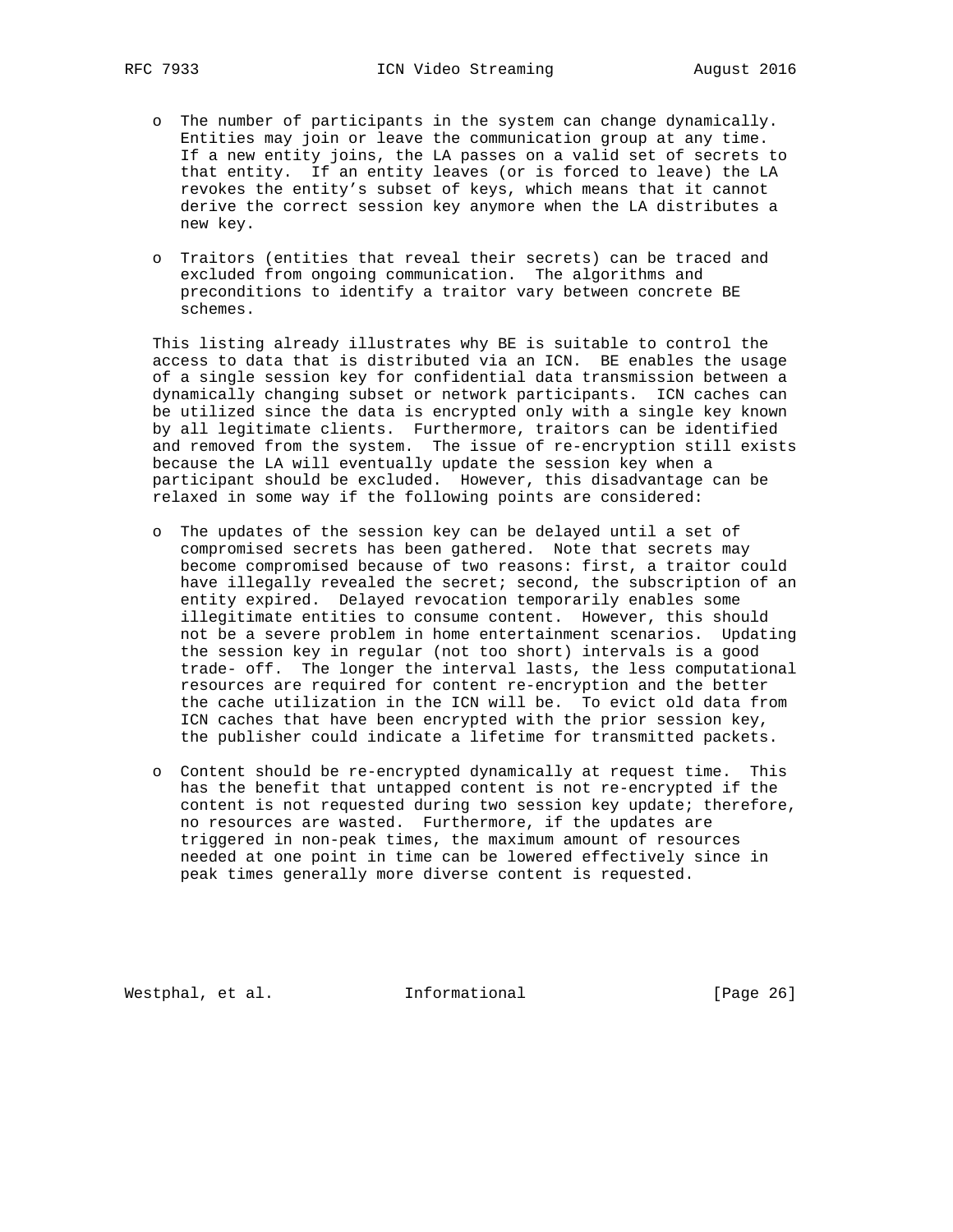- o The number of participants in the system can change dynamically. Entities may join or leave the communication group at any time. If a new entity joins, the LA passes on a valid set of secrets to that entity. If an entity leaves (or is forced to leave) the LA revokes the entity's subset of keys, which means that it cannot derive the correct session key anymore when the LA distributes a new key.
- o Traitors (entities that reveal their secrets) can be traced and excluded from ongoing communication. The algorithms and preconditions to identify a traitor vary between concrete BE schemes.

 This listing already illustrates why BE is suitable to control the access to data that is distributed via an ICN. BE enables the usage of a single session key for confidential data transmission between a dynamically changing subset or network participants. ICN caches can be utilized since the data is encrypted only with a single key known by all legitimate clients. Furthermore, traitors can be identified and removed from the system. The issue of re-encryption still exists because the LA will eventually update the session key when a participant should be excluded. However, this disadvantage can be relaxed in some way if the following points are considered:

- o The updates of the session key can be delayed until a set of compromised secrets has been gathered. Note that secrets may become compromised because of two reasons: first, a traitor could have illegally revealed the secret; second, the subscription of an entity expired. Delayed revocation temporarily enables some illegitimate entities to consume content. However, this should not be a severe problem in home entertainment scenarios. Updating the session key in regular (not too short) intervals is a good trade- off. The longer the interval lasts, the less computational resources are required for content re-encryption and the better the cache utilization in the ICN will be. To evict old data from ICN caches that have been encrypted with the prior session key, the publisher could indicate a lifetime for transmitted packets.
- o Content should be re-encrypted dynamically at request time. This has the benefit that untapped content is not re-encrypted if the content is not requested during two session key update; therefore, no resources are wasted. Furthermore, if the updates are triggered in non-peak times, the maximum amount of resources needed at one point in time can be lowered effectively since in peak times generally more diverse content is requested.

Westphal, et al. 1nformational [Page 26]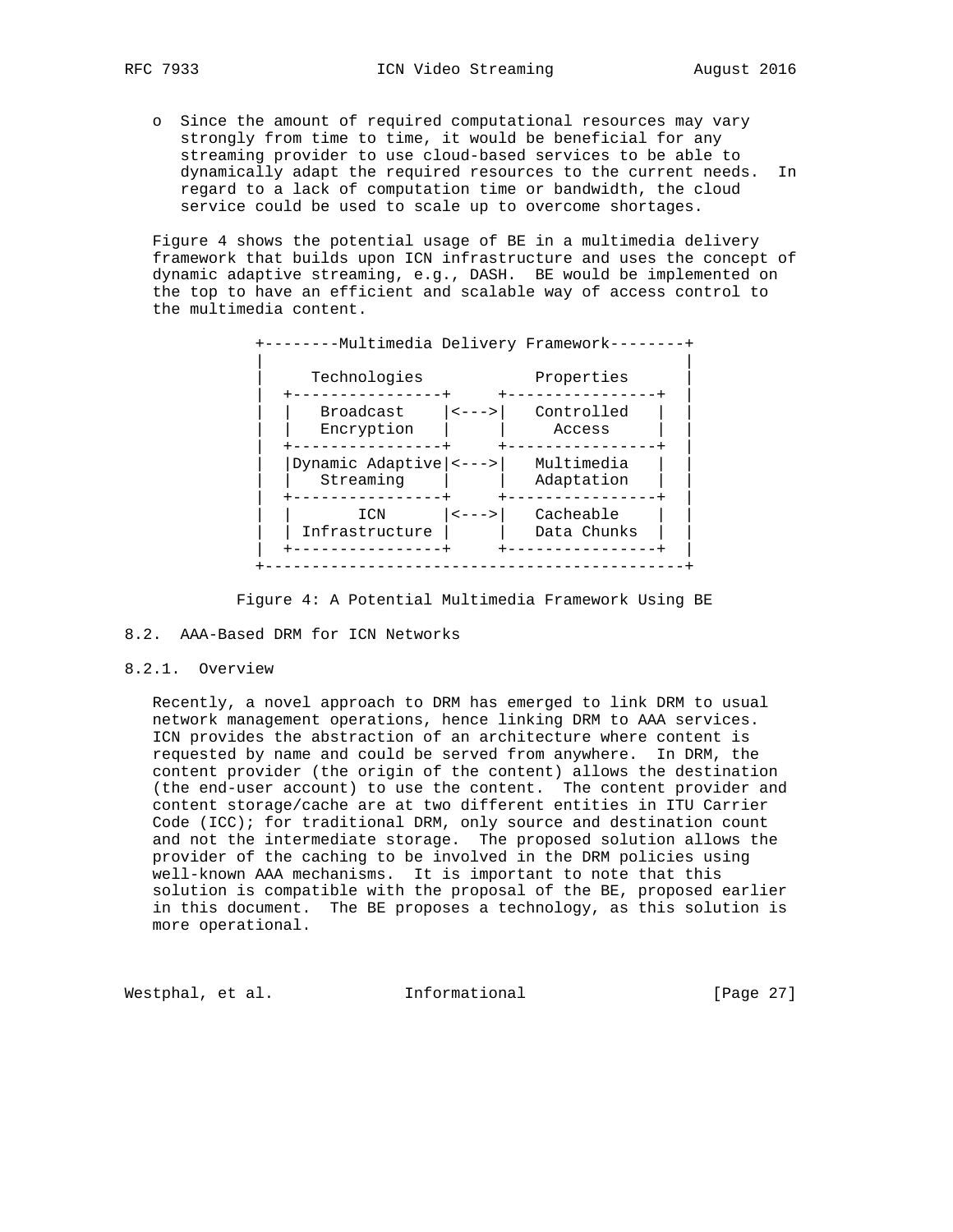o Since the amount of required computational resources may vary strongly from time to time, it would be beneficial for any streaming provider to use cloud-based services to be able to dynamically adapt the required resources to the current needs. In regard to a lack of computation time or bandwidth, the cloud service could be used to scale up to overcome shortages.

 Figure 4 shows the potential usage of BE in a multimedia delivery framework that builds upon ICN infrastructure and uses the concept of dynamic adaptive streaming, e.g., DASH. BE would be implemented on the top to have an efficient and scalable way of access control to the multimedia content.

| Technologies<br><b>Broadcast</b><br>Encryption  | $\left\langle \,--\,\right\rangle$ | Properties<br>Controlled<br>Access |
|-------------------------------------------------|------------------------------------|------------------------------------|
|                                                 |                                    |                                    |
|                                                 |                                    |                                    |
| Dynamic Adaptive $ $ < - - - > $ $<br>Streaming |                                    | Multimedia<br>Adaptation           |
| ICN<br>Infrastructure                           | $\leftarrow$ - - >                 | Cacheable<br>Data Chunks           |
|                                                 |                                    |                                    |

## Figure 4: A Potential Multimedia Framework Using BE

# 8.2. AAA-Based DRM for ICN Networks

# 8.2.1. Overview

 Recently, a novel approach to DRM has emerged to link DRM to usual network management operations, hence linking DRM to AAA services. ICN provides the abstraction of an architecture where content is requested by name and could be served from anywhere. In DRM, the content provider (the origin of the content) allows the destination (the end-user account) to use the content. The content provider and content storage/cache are at two different entities in ITU Carrier Code (ICC); for traditional DRM, only source and destination count and not the intermediate storage. The proposed solution allows the provider of the caching to be involved in the DRM policies using well-known AAA mechanisms. It is important to note that this solution is compatible with the proposal of the BE, proposed earlier in this document. The BE proposes a technology, as this solution is more operational.

Westphal, et al. 1nformational 1999 [Page 27]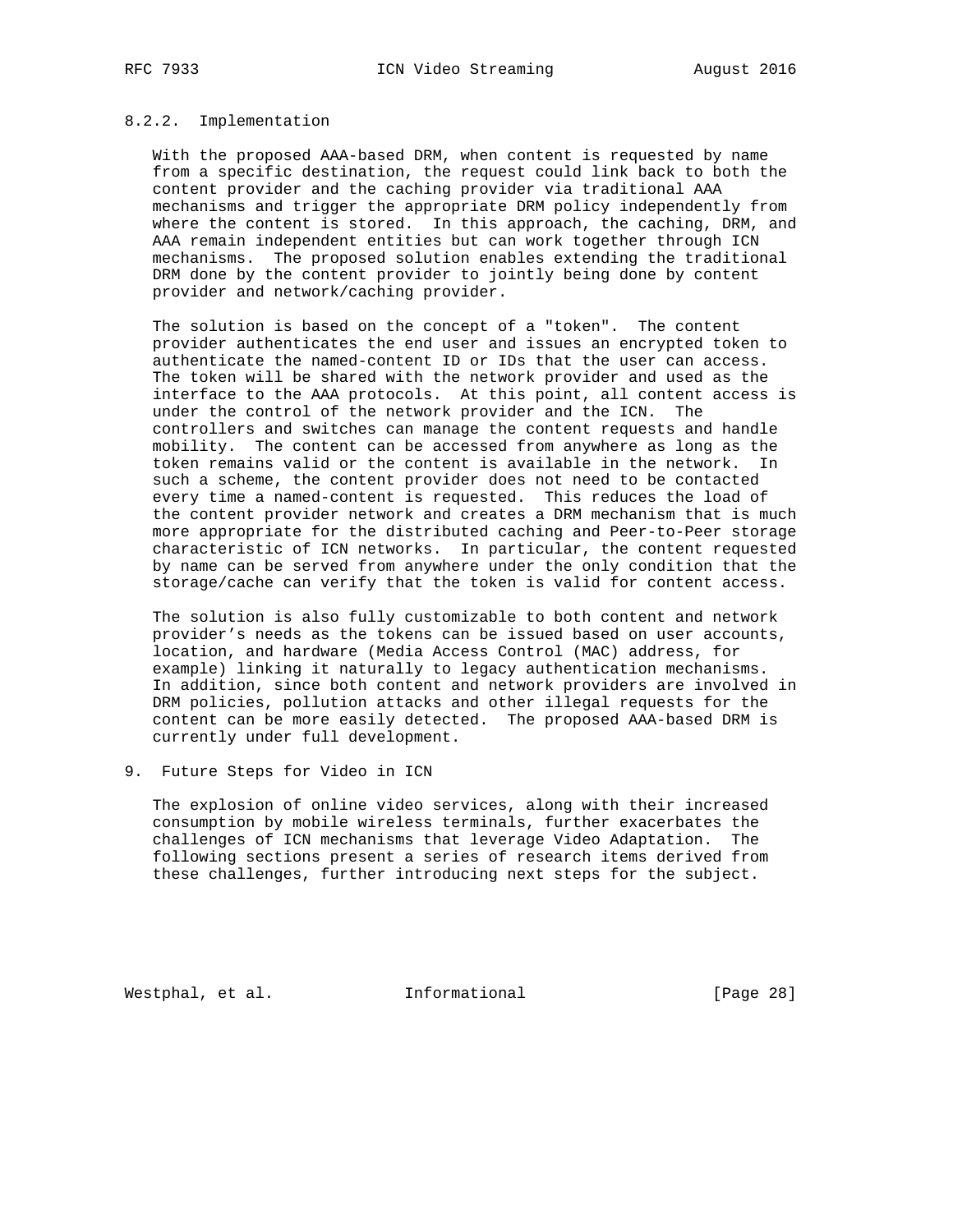# 8.2.2. Implementation

 With the proposed AAA-based DRM, when content is requested by name from a specific destination, the request could link back to both the content provider and the caching provider via traditional AAA mechanisms and trigger the appropriate DRM policy independently from where the content is stored. In this approach, the caching, DRM, and AAA remain independent entities but can work together through ICN mechanisms. The proposed solution enables extending the traditional DRM done by the content provider to jointly being done by content provider and network/caching provider.

 The solution is based on the concept of a "token". The content provider authenticates the end user and issues an encrypted token to authenticate the named-content ID or IDs that the user can access. The token will be shared with the network provider and used as the interface to the AAA protocols. At this point, all content access is under the control of the network provider and the ICN. The controllers and switches can manage the content requests and handle mobility. The content can be accessed from anywhere as long as the token remains valid or the content is available in the network. In such a scheme, the content provider does not need to be contacted every time a named-content is requested. This reduces the load of the content provider network and creates a DRM mechanism that is much more appropriate for the distributed caching and Peer-to-Peer storage characteristic of ICN networks. In particular, the content requested by name can be served from anywhere under the only condition that the storage/cache can verify that the token is valid for content access.

 The solution is also fully customizable to both content and network provider's needs as the tokens can be issued based on user accounts, location, and hardware (Media Access Control (MAC) address, for example) linking it naturally to legacy authentication mechanisms. In addition, since both content and network providers are involved in DRM policies, pollution attacks and other illegal requests for the content can be more easily detected. The proposed AAA-based DRM is currently under full development.

# 9. Future Steps for Video in ICN

 The explosion of online video services, along with their increased consumption by mobile wireless terminals, further exacerbates the challenges of ICN mechanisms that leverage Video Adaptation. The following sections present a series of research items derived from these challenges, further introducing next steps for the subject.

Westphal, et al. 1nformational [Page 28]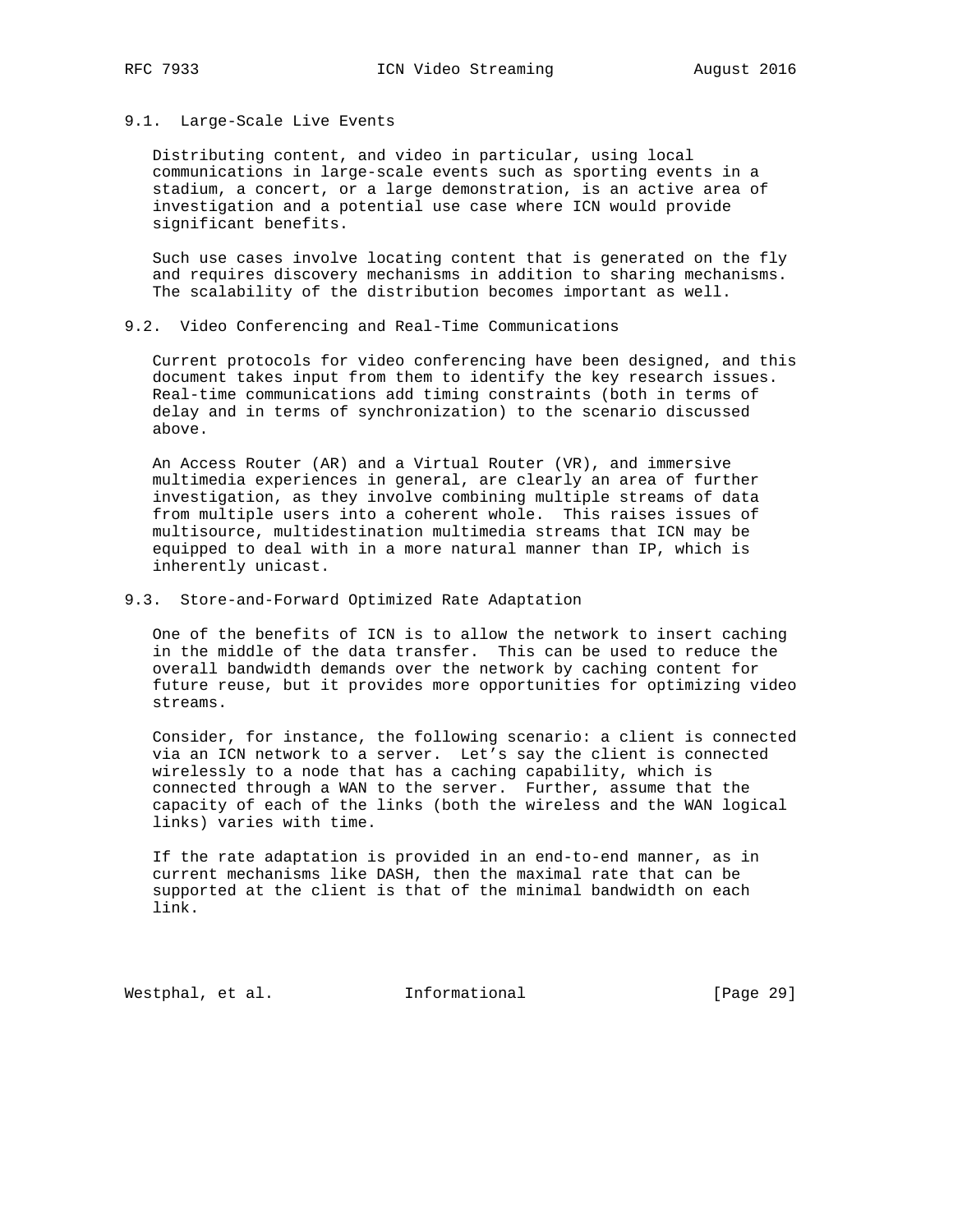# 9.1. Large-Scale Live Events

 Distributing content, and video in particular, using local communications in large-scale events such as sporting events in a stadium, a concert, or a large demonstration, is an active area of investigation and a potential use case where ICN would provide significant benefits.

 Such use cases involve locating content that is generated on the fly and requires discovery mechanisms in addition to sharing mechanisms. The scalability of the distribution becomes important as well.

# 9.2. Video Conferencing and Real-Time Communications

 Current protocols for video conferencing have been designed, and this document takes input from them to identify the key research issues. Real-time communications add timing constraints (both in terms of delay and in terms of synchronization) to the scenario discussed above.

 An Access Router (AR) and a Virtual Router (VR), and immersive multimedia experiences in general, are clearly an area of further investigation, as they involve combining multiple streams of data from multiple users into a coherent whole. This raises issues of multisource, multidestination multimedia streams that ICN may be equipped to deal with in a more natural manner than IP, which is inherently unicast.

## 9.3. Store-and-Forward Optimized Rate Adaptation

 One of the benefits of ICN is to allow the network to insert caching in the middle of the data transfer. This can be used to reduce the overall bandwidth demands over the network by caching content for future reuse, but it provides more opportunities for optimizing video streams.

 Consider, for instance, the following scenario: a client is connected via an ICN network to a server. Let's say the client is connected wirelessly to a node that has a caching capability, which is connected through a WAN to the server. Further, assume that the capacity of each of the links (both the wireless and the WAN logical links) varies with time.

 If the rate adaptation is provided in an end-to-end manner, as in current mechanisms like DASH, then the maximal rate that can be supported at the client is that of the minimal bandwidth on each link.

Westphal, et al. 1nformational 1999 [Page 29]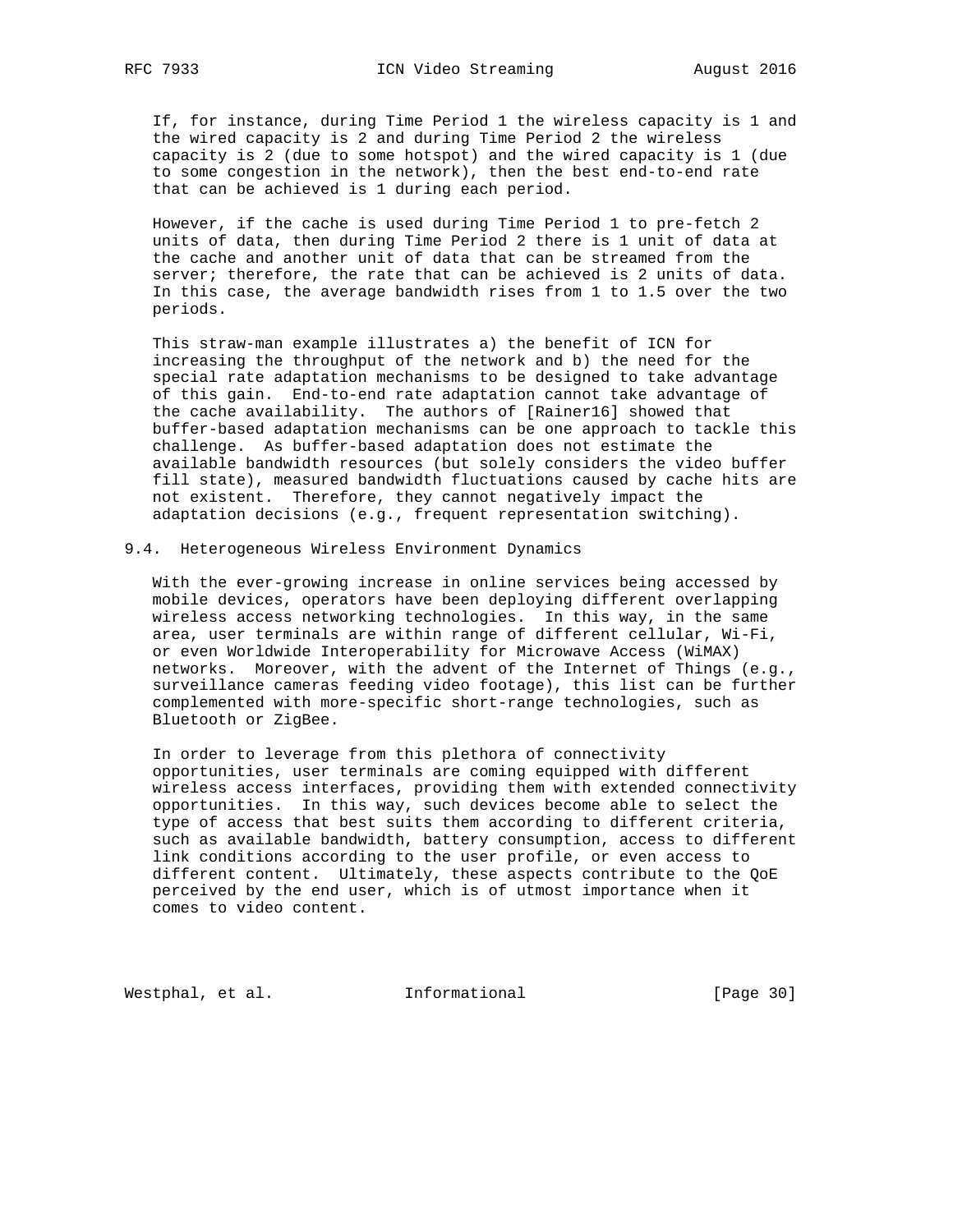If, for instance, during Time Period 1 the wireless capacity is 1 and the wired capacity is 2 and during Time Period 2 the wireless capacity is 2 (due to some hotspot) and the wired capacity is 1 (due to some congestion in the network), then the best end-to-end rate that can be achieved is 1 during each period.

 However, if the cache is used during Time Period 1 to pre-fetch 2 units of data, then during Time Period 2 there is 1 unit of data at the cache and another unit of data that can be streamed from the server; therefore, the rate that can be achieved is 2 units of data. In this case, the average bandwidth rises from 1 to 1.5 over the two periods.

 This straw-man example illustrates a) the benefit of ICN for increasing the throughput of the network and b) the need for the special rate adaptation mechanisms to be designed to take advantage of this gain. End-to-end rate adaptation cannot take advantage of the cache availability. The authors of [Rainer16] showed that buffer-based adaptation mechanisms can be one approach to tackle this challenge. As buffer-based adaptation does not estimate the available bandwidth resources (but solely considers the video buffer fill state), measured bandwidth fluctuations caused by cache hits are not existent. Therefore, they cannot negatively impact the adaptation decisions (e.g., frequent representation switching).

#### 9.4. Heterogeneous Wireless Environment Dynamics

 With the ever-growing increase in online services being accessed by mobile devices, operators have been deploying different overlapping wireless access networking technologies. In this way, in the same area, user terminals are within range of different cellular, Wi-Fi, or even Worldwide Interoperability for Microwave Access (WiMAX) networks. Moreover, with the advent of the Internet of Things (e.g., surveillance cameras feeding video footage), this list can be further complemented with more-specific short-range technologies, such as Bluetooth or ZigBee.

 In order to leverage from this plethora of connectivity opportunities, user terminals are coming equipped with different wireless access interfaces, providing them with extended connectivity opportunities. In this way, such devices become able to select the type of access that best suits them according to different criteria, such as available bandwidth, battery consumption, access to different link conditions according to the user profile, or even access to different content. Ultimately, these aspects contribute to the QoE perceived by the end user, which is of utmost importance when it comes to video content.

Westphal, et al. 1nformational 1999 [Page 30]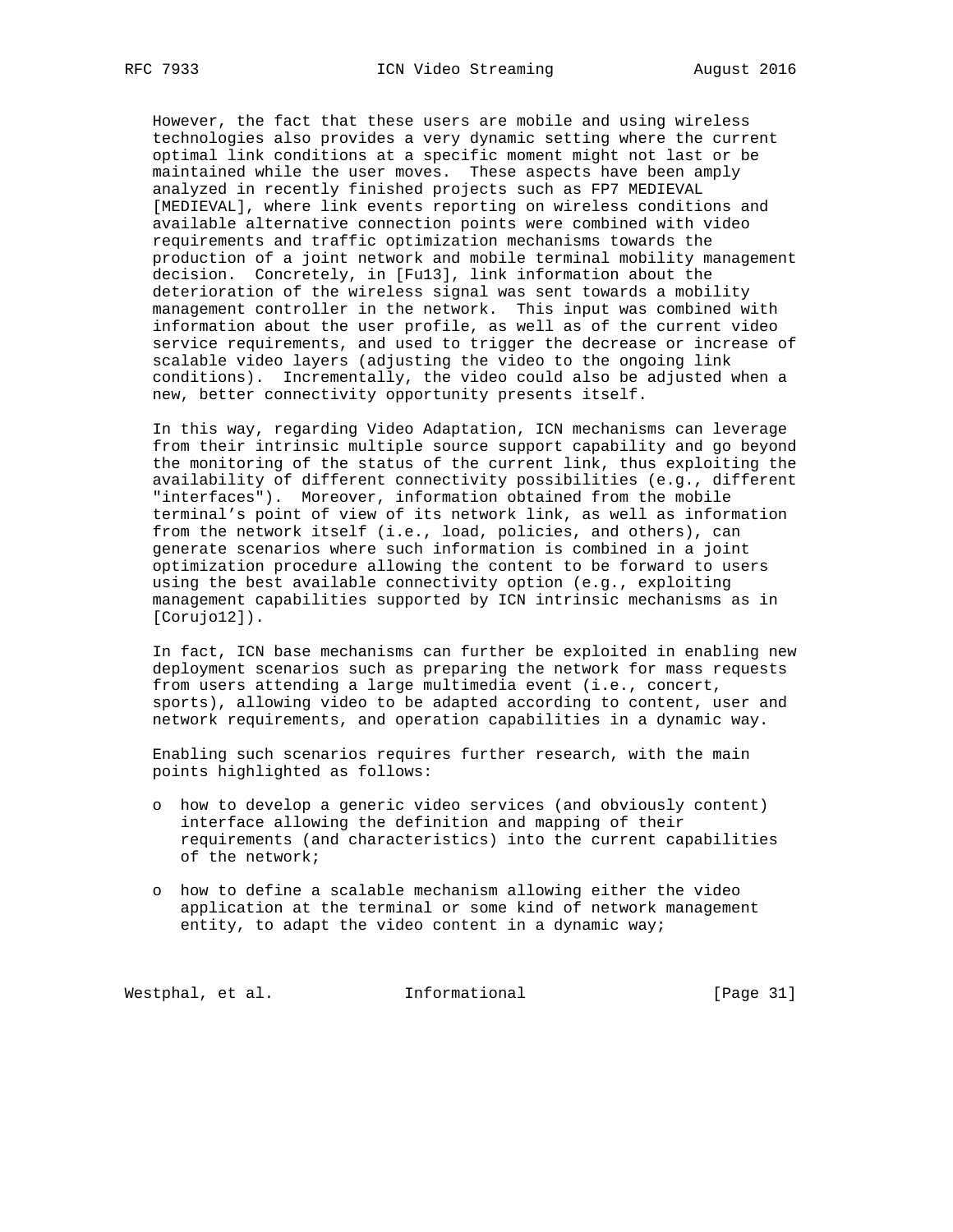However, the fact that these users are mobile and using wireless technologies also provides a very dynamic setting where the current optimal link conditions at a specific moment might not last or be maintained while the user moves. These aspects have been amply analyzed in recently finished projects such as FP7 MEDIEVAL [MEDIEVAL], where link events reporting on wireless conditions and available alternative connection points were combined with video requirements and traffic optimization mechanisms towards the production of a joint network and mobile terminal mobility management decision. Concretely, in [Fu13], link information about the deterioration of the wireless signal was sent towards a mobility management controller in the network. This input was combined with information about the user profile, as well as of the current video service requirements, and used to trigger the decrease or increase of scalable video layers (adjusting the video to the ongoing link conditions). Incrementally, the video could also be adjusted when a new, better connectivity opportunity presents itself.

 In this way, regarding Video Adaptation, ICN mechanisms can leverage from their intrinsic multiple source support capability and go beyond the monitoring of the status of the current link, thus exploiting the availability of different connectivity possibilities (e.g., different "interfaces"). Moreover, information obtained from the mobile terminal's point of view of its network link, as well as information from the network itself (i.e., load, policies, and others), can generate scenarios where such information is combined in a joint optimization procedure allowing the content to be forward to users using the best available connectivity option (e.g., exploiting management capabilities supported by ICN intrinsic mechanisms as in [Corujo12]).

 In fact, ICN base mechanisms can further be exploited in enabling new deployment scenarios such as preparing the network for mass requests from users attending a large multimedia event (i.e., concert, sports), allowing video to be adapted according to content, user and network requirements, and operation capabilities in a dynamic way.

 Enabling such scenarios requires further research, with the main points highlighted as follows:

- o how to develop a generic video services (and obviously content) interface allowing the definition and mapping of their requirements (and characteristics) into the current capabilities of the network;
- o how to define a scalable mechanism allowing either the video application at the terminal or some kind of network management entity, to adapt the video content in a dynamic way;

Westphal, et al. 1nformational 1999 [Page 31]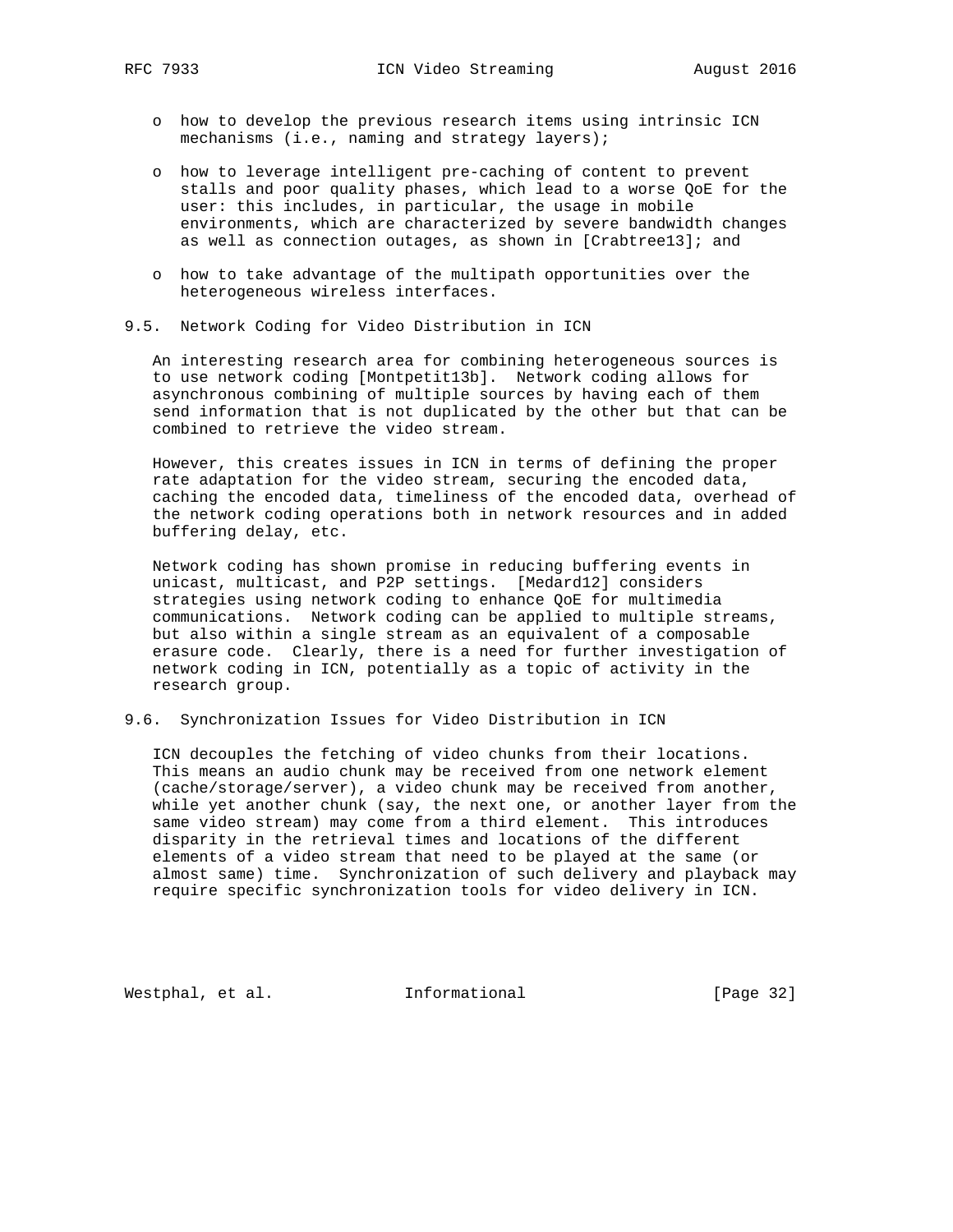- o how to develop the previous research items using intrinsic ICN mechanisms (i.e., naming and strategy layers);
- o how to leverage intelligent pre-caching of content to prevent stalls and poor quality phases, which lead to a worse QoE for the user: this includes, in particular, the usage in mobile environments, which are characterized by severe bandwidth changes as well as connection outages, as shown in [Crabtree13]; and
- o how to take advantage of the multipath opportunities over the heterogeneous wireless interfaces.
- 9.5. Network Coding for Video Distribution in ICN

 An interesting research area for combining heterogeneous sources is to use network coding [Montpetit13b]. Network coding allows for asynchronous combining of multiple sources by having each of them send information that is not duplicated by the other but that can be combined to retrieve the video stream.

 However, this creates issues in ICN in terms of defining the proper rate adaptation for the video stream, securing the encoded data, caching the encoded data, timeliness of the encoded data, overhead of the network coding operations both in network resources and in added buffering delay, etc.

 Network coding has shown promise in reducing buffering events in unicast, multicast, and P2P settings. [Medard12] considers strategies using network coding to enhance QoE for multimedia communications. Network coding can be applied to multiple streams, but also within a single stream as an equivalent of a composable erasure code. Clearly, there is a need for further investigation of network coding in ICN, potentially as a topic of activity in the research group.

9.6. Synchronization Issues for Video Distribution in ICN

 ICN decouples the fetching of video chunks from their locations. This means an audio chunk may be received from one network element (cache/storage/server), a video chunk may be received from another, while yet another chunk (say, the next one, or another layer from the same video stream) may come from a third element. This introduces disparity in the retrieval times and locations of the different elements of a video stream that need to be played at the same (or almost same) time. Synchronization of such delivery and playback may require specific synchronization tools for video delivery in ICN.

Westphal, et al. 1nformational 1999 [Page 32]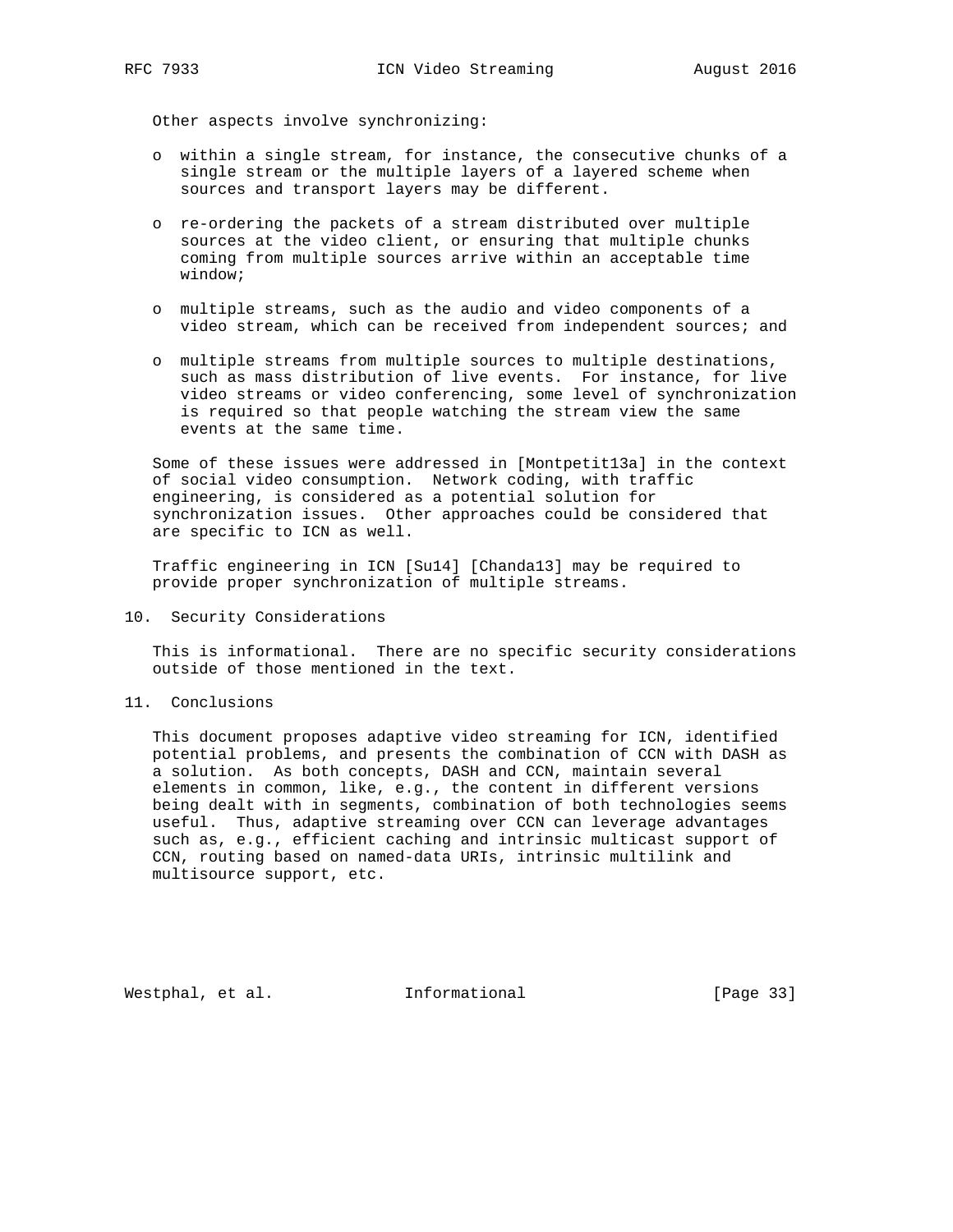Other aspects involve synchronizing:

- o within a single stream, for instance, the consecutive chunks of a single stream or the multiple layers of a layered scheme when sources and transport layers may be different.
- o re-ordering the packets of a stream distributed over multiple sources at the video client, or ensuring that multiple chunks coming from multiple sources arrive within an acceptable time window;
- o multiple streams, such as the audio and video components of a video stream, which can be received from independent sources; and
- o multiple streams from multiple sources to multiple destinations, such as mass distribution of live events. For instance, for live video streams or video conferencing, some level of synchronization is required so that people watching the stream view the same events at the same time.

 Some of these issues were addressed in [Montpetit13a] in the context of social video consumption. Network coding, with traffic engineering, is considered as a potential solution for synchronization issues. Other approaches could be considered that are specific to ICN as well.

 Traffic engineering in ICN [Su14] [Chanda13] may be required to provide proper synchronization of multiple streams.

10. Security Considerations

 This is informational. There are no specific security considerations outside of those mentioned in the text.

11. Conclusions

 This document proposes adaptive video streaming for ICN, identified potential problems, and presents the combination of CCN with DASH as a solution. As both concepts, DASH and CCN, maintain several elements in common, like, e.g., the content in different versions being dealt with in segments, combination of both technologies seems useful. Thus, adaptive streaming over CCN can leverage advantages such as, e.g., efficient caching and intrinsic multicast support of CCN, routing based on named-data URIs, intrinsic multilink and multisource support, etc.

Westphal, et al. 1nformational 1999 [Page 33]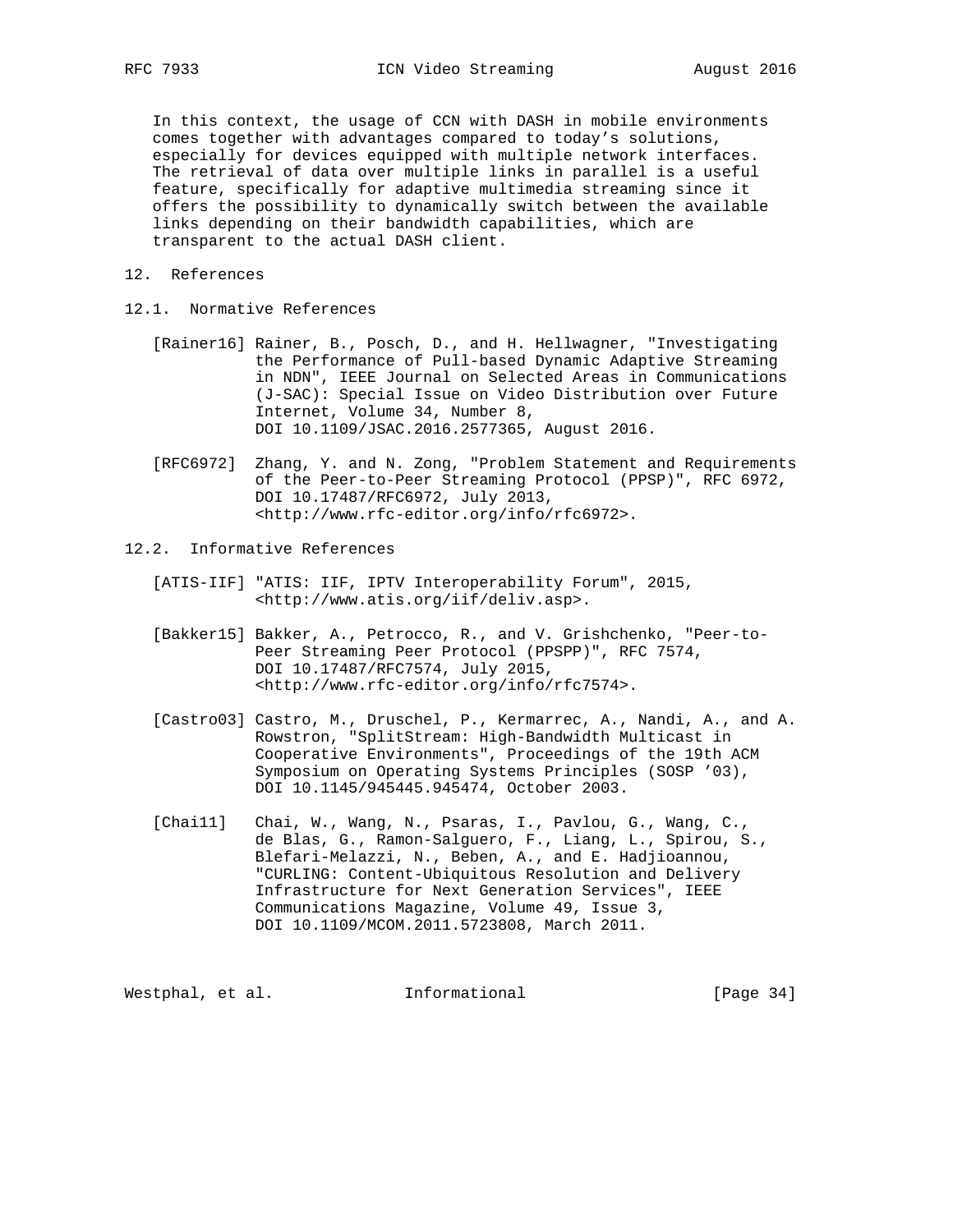In this context, the usage of CCN with DASH in mobile environments comes together with advantages compared to today's solutions, especially for devices equipped with multiple network interfaces. The retrieval of data over multiple links in parallel is a useful feature, specifically for adaptive multimedia streaming since it offers the possibility to dynamically switch between the available links depending on their bandwidth capabilities, which are transparent to the actual DASH client.

- 12. References
- 12.1. Normative References
	- [Rainer16] Rainer, B., Posch, D., and H. Hellwagner, "Investigating the Performance of Pull-based Dynamic Adaptive Streaming in NDN", IEEE Journal on Selected Areas in Communications (J-SAC): Special Issue on Video Distribution over Future Internet, Volume 34, Number 8, DOI 10.1109/JSAC.2016.2577365, August 2016.
	- [RFC6972] Zhang, Y. and N. Zong, "Problem Statement and Requirements of the Peer-to-Peer Streaming Protocol (PPSP)", RFC 6972, DOI 10.17487/RFC6972, July 2013, <http://www.rfc-editor.org/info/rfc6972>.
- 12.2. Informative References
	- [ATIS-IIF] "ATIS: IIF, IPTV Interoperability Forum", 2015, <http://www.atis.org/iif/deliv.asp>.
	- [Bakker15] Bakker, A., Petrocco, R., and V. Grishchenko, "Peer-to- Peer Streaming Peer Protocol (PPSPP)", RFC 7574, DOI 10.17487/RFC7574, July 2015, <http://www.rfc-editor.org/info/rfc7574>.
	- [Castro03] Castro, M., Druschel, P., Kermarrec, A., Nandi, A., and A. Rowstron, "SplitStream: High-Bandwidth Multicast in Cooperative Environments", Proceedings of the 19th ACM Symposium on Operating Systems Principles (SOSP '03), DOI 10.1145/945445.945474, October 2003.
	- [Chai11] Chai, W., Wang, N., Psaras, I., Pavlou, G., Wang, C., de Blas, G., Ramon-Salguero, F., Liang, L., Spirou, S., Blefari-Melazzi, N., Beben, A., and E. Hadjioannou, "CURLING: Content-Ubiquitous Resolution and Delivery Infrastructure for Next Generation Services", IEEE Communications Magazine, Volume 49, Issue 3, DOI 10.1109/MCOM.2011.5723808, March 2011.

Westphal, et al. 1nformational 1999 [Page 34]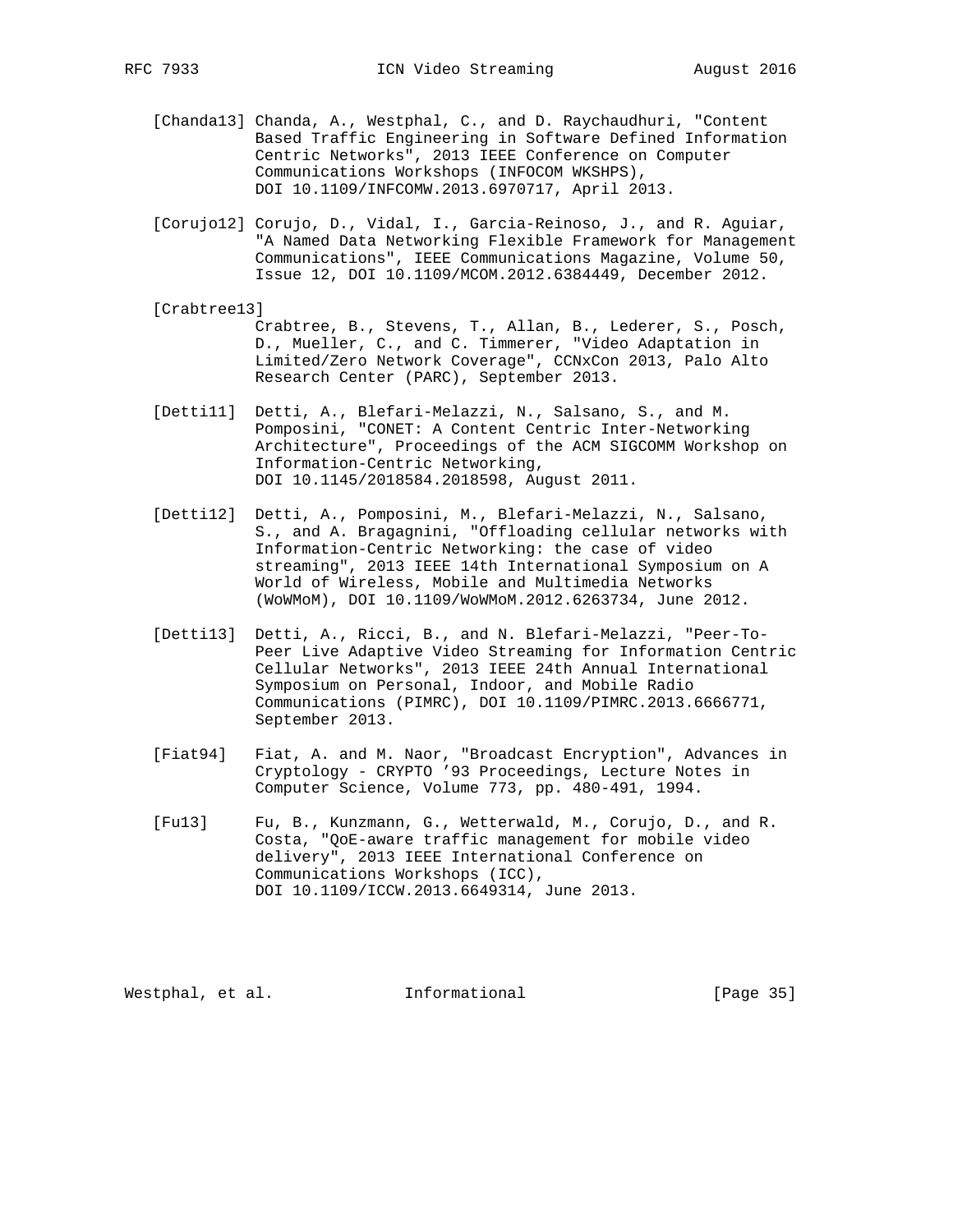- [Chanda13] Chanda, A., Westphal, C., and D. Raychaudhuri, "Content Based Traffic Engineering in Software Defined Information Centric Networks", 2013 IEEE Conference on Computer Communications Workshops (INFOCOM WKSHPS), DOI 10.1109/INFCOMW.2013.6970717, April 2013.
- [Corujo12] Corujo, D., Vidal, I., Garcia-Reinoso, J., and R. Aguiar, "A Named Data Networking Flexible Framework for Management Communications", IEEE Communications Magazine, Volume 50, Issue 12, DOI 10.1109/MCOM.2012.6384449, December 2012.
- [Crabtree13] Crabtree, B., Stevens, T., Allan, B., Lederer, S., Posch, D., Mueller, C., and C. Timmerer, "Video Adaptation in Limited/Zero Network Coverage", CCNxCon 2013, Palo Alto Research Center (PARC), September 2013.
- [Detti11] Detti, A., Blefari-Melazzi, N., Salsano, S., and M. Pomposini, "CONET: A Content Centric Inter-Networking Architecture", Proceedings of the ACM SIGCOMM Workshop on Information-Centric Networking, DOI 10.1145/2018584.2018598, August 2011.
- [Detti12] Detti, A., Pomposini, M., Blefari-Melazzi, N., Salsano, S., and A. Bragagnini, "Offloading cellular networks with Information-Centric Networking: the case of video streaming", 2013 IEEE 14th International Symposium on A World of Wireless, Mobile and Multimedia Networks (WoWMoM), DOI 10.1109/WoWMoM.2012.6263734, June 2012.
- [Detti13] Detti, A., Ricci, B., and N. Blefari-Melazzi, "Peer-To- Peer Live Adaptive Video Streaming for Information Centric Cellular Networks", 2013 IEEE 24th Annual International Symposium on Personal, Indoor, and Mobile Radio Communications (PIMRC), DOI 10.1109/PIMRC.2013.6666771, September 2013.
- [Fiat94] Fiat, A. and M. Naor, "Broadcast Encryption", Advances in Cryptology - CRYPTO '93 Proceedings, Lecture Notes in Computer Science, Volume 773, pp. 480-491, 1994.
- [Fu13] Fu, B., Kunzmann, G., Wetterwald, M., Corujo, D., and R. Costa, "QoE-aware traffic management for mobile video delivery", 2013 IEEE International Conference on Communications Workshops (ICC), DOI 10.1109/ICCW.2013.6649314, June 2013.

Westphal, et al. 1nformational 1999 [Page 35]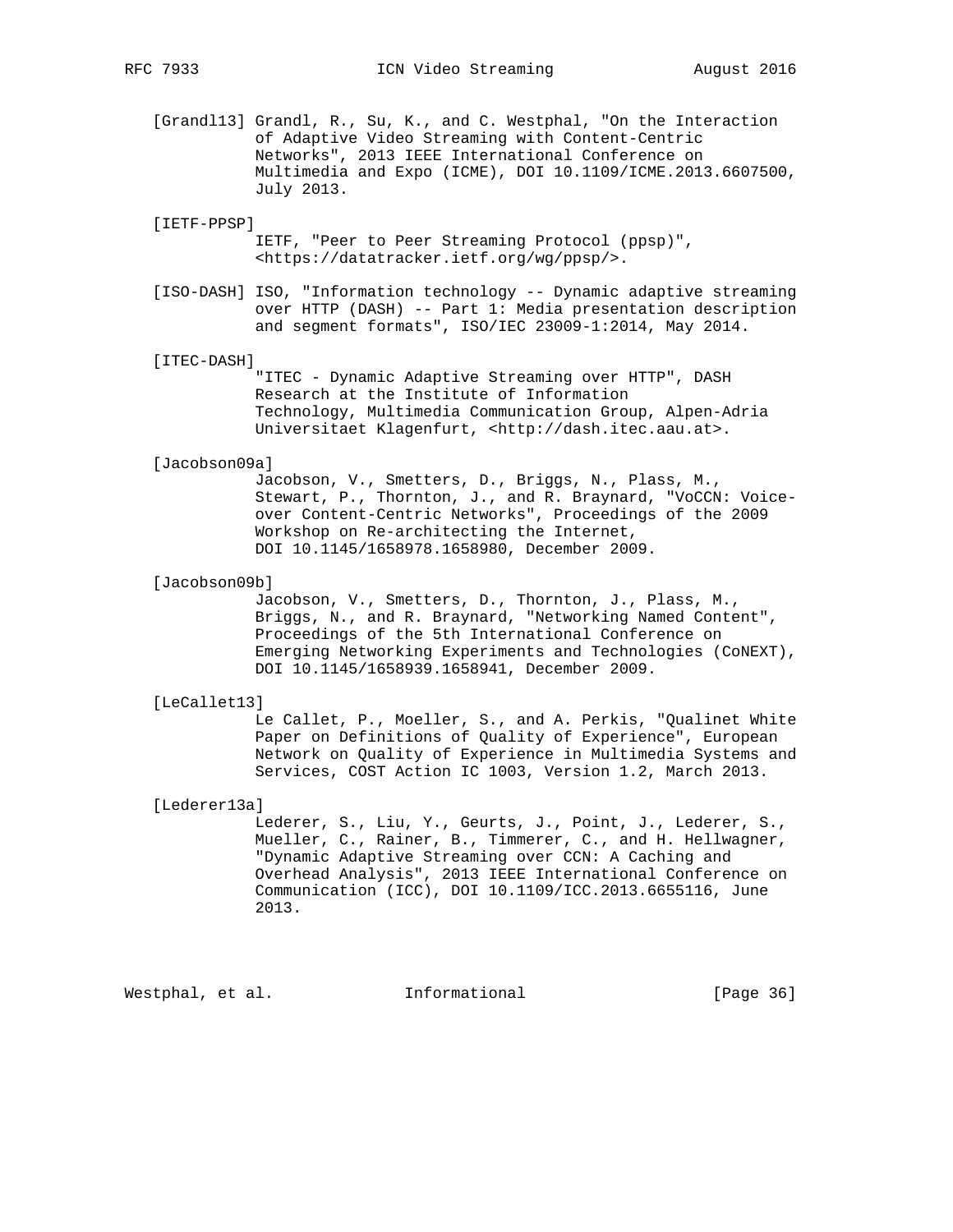[Grandl13] Grandl, R., Su, K., and C. Westphal, "On the Interaction of Adaptive Video Streaming with Content-Centric Networks", 2013 IEEE International Conference on Multimedia and Expo (ICME), DOI 10.1109/ICME.2013.6607500, July 2013.

# [IETF-PPSP]

 IETF, "Peer to Peer Streaming Protocol (ppsp)", <https://datatracker.ietf.org/wg/ppsp/>.

 [ISO-DASH] ISO, "Information technology -- Dynamic adaptive streaming over HTTP (DASH) -- Part 1: Media presentation description and segment formats", ISO/IEC 23009-1:2014, May 2014.

#### [ITEC-DASH]

 "ITEC - Dynamic Adaptive Streaming over HTTP", DASH Research at the Institute of Information Technology, Multimedia Communication Group, Alpen-Adria Universitaet Klagenfurt, <http://dash.itec.aau.at>.

#### [Jacobson09a]

 Jacobson, V., Smetters, D., Briggs, N., Plass, M., Stewart, P., Thornton, J., and R. Braynard, "VoCCN: Voice over Content-Centric Networks", Proceedings of the 2009 Workshop on Re-architecting the Internet, DOI 10.1145/1658978.1658980, December 2009.

## [Jacobson09b]

 Jacobson, V., Smetters, D., Thornton, J., Plass, M., Briggs, N., and R. Braynard, "Networking Named Content", Proceedings of the 5th International Conference on Emerging Networking Experiments and Technologies (CoNEXT), DOI 10.1145/1658939.1658941, December 2009.

#### [LeCallet13]

 Le Callet, P., Moeller, S., and A. Perkis, "Qualinet White Paper on Definitions of Quality of Experience", European Network on Quality of Experience in Multimedia Systems and Services, COST Action IC 1003, Version 1.2, March 2013.

#### [Lederer13a]

Lederer, S., Liu, Y., Geurts, J., Point, J., Lederer, S., Mueller, C., Rainer, B., Timmerer, C., and H. Hellwagner, "Dynamic Adaptive Streaming over CCN: A Caching and Overhead Analysis", 2013 IEEE International Conference on Communication (ICC), DOI 10.1109/ICC.2013.6655116, June 2013.

Westphal, et al. 1nformational 1999 [Page 36]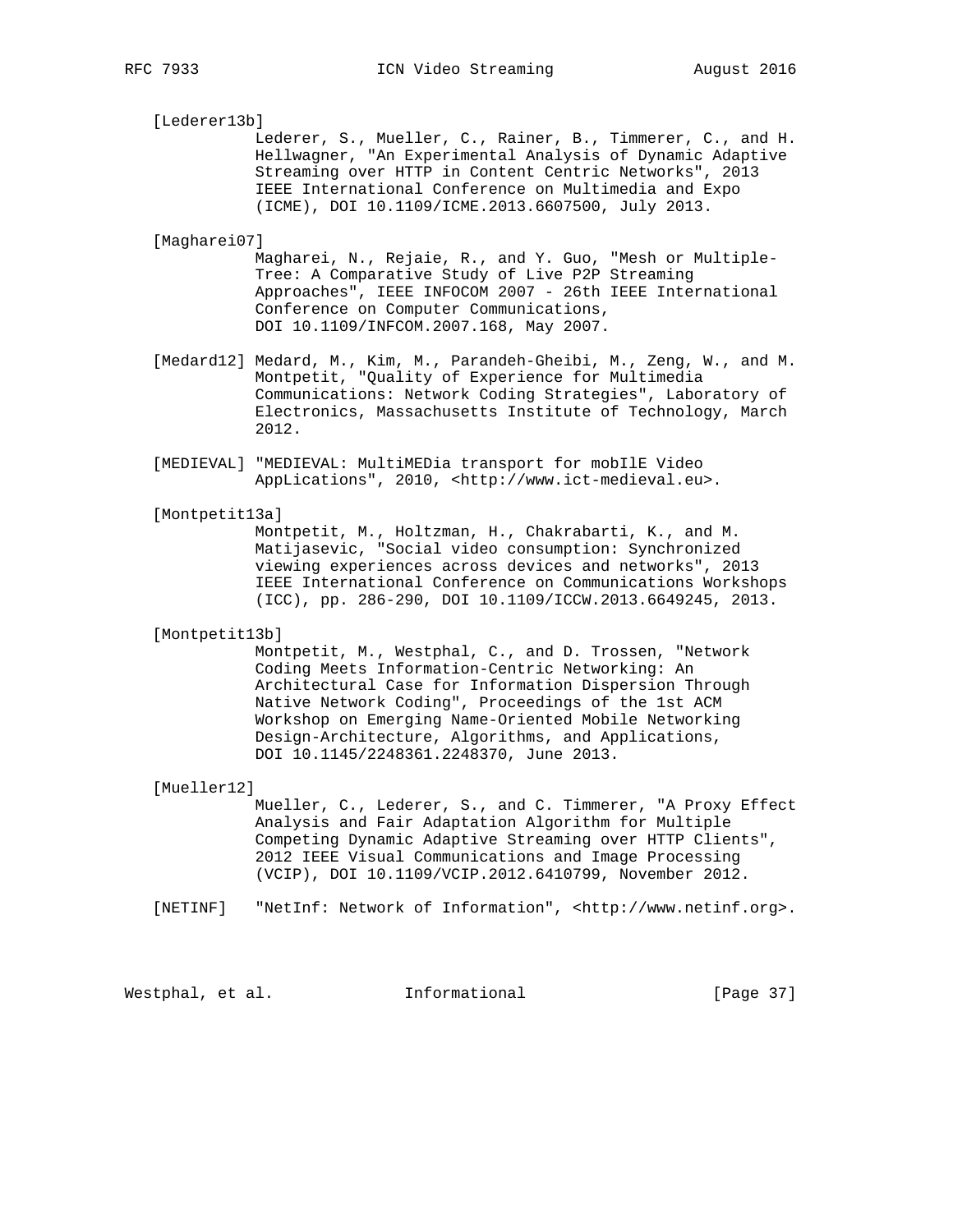[Lederer13b]

 Lederer, S., Mueller, C., Rainer, B., Timmerer, C., and H. Hellwagner, "An Experimental Analysis of Dynamic Adaptive Streaming over HTTP in Content Centric Networks", 2013 IEEE International Conference on Multimedia and Expo (ICME), DOI 10.1109/ICME.2013.6607500, July 2013.

[Magharei07]

 Magharei, N., Rejaie, R., and Y. Guo, "Mesh or Multiple- Tree: A Comparative Study of Live P2P Streaming Approaches", IEEE INFOCOM 2007 - 26th IEEE International Conference on Computer Communications, DOI 10.1109/INFCOM.2007.168, May 2007.

- [Medard12] Medard, M., Kim, M., Parandeh-Gheibi, M., Zeng, W., and M. Montpetit, "Quality of Experience for Multimedia Communications: Network Coding Strategies", Laboratory of Electronics, Massachusetts Institute of Technology, March 2012.
- [MEDIEVAL] "MEDIEVAL: MultiMEDia transport for mobIlE Video AppLications", 2010, <http://www.ict-medieval.eu>.

[Montpetit13a]

 Montpetit, M., Holtzman, H., Chakrabarti, K., and M. Matijasevic, "Social video consumption: Synchronized viewing experiences across devices and networks", 2013 IEEE International Conference on Communications Workshops (ICC), pp. 286-290, DOI 10.1109/ICCW.2013.6649245, 2013.

#### [Montpetit13b]

 Montpetit, M., Westphal, C., and D. Trossen, "Network Coding Meets Information-Centric Networking: An Architectural Case for Information Dispersion Through Native Network Coding", Proceedings of the 1st ACM Workshop on Emerging Name-Oriented Mobile Networking Design-Architecture, Algorithms, and Applications, DOI 10.1145/2248361.2248370, June 2013.

# [Mueller12]

 Mueller, C., Lederer, S., and C. Timmerer, "A Proxy Effect Analysis and Fair Adaptation Algorithm for Multiple Competing Dynamic Adaptive Streaming over HTTP Clients", 2012 IEEE Visual Communications and Image Processing (VCIP), DOI 10.1109/VCIP.2012.6410799, November 2012.

[NETINF] "NetInf: Network of Information", <http://www.netinf.org>.

Westphal, et al. 1nformational 1999 [Page 37]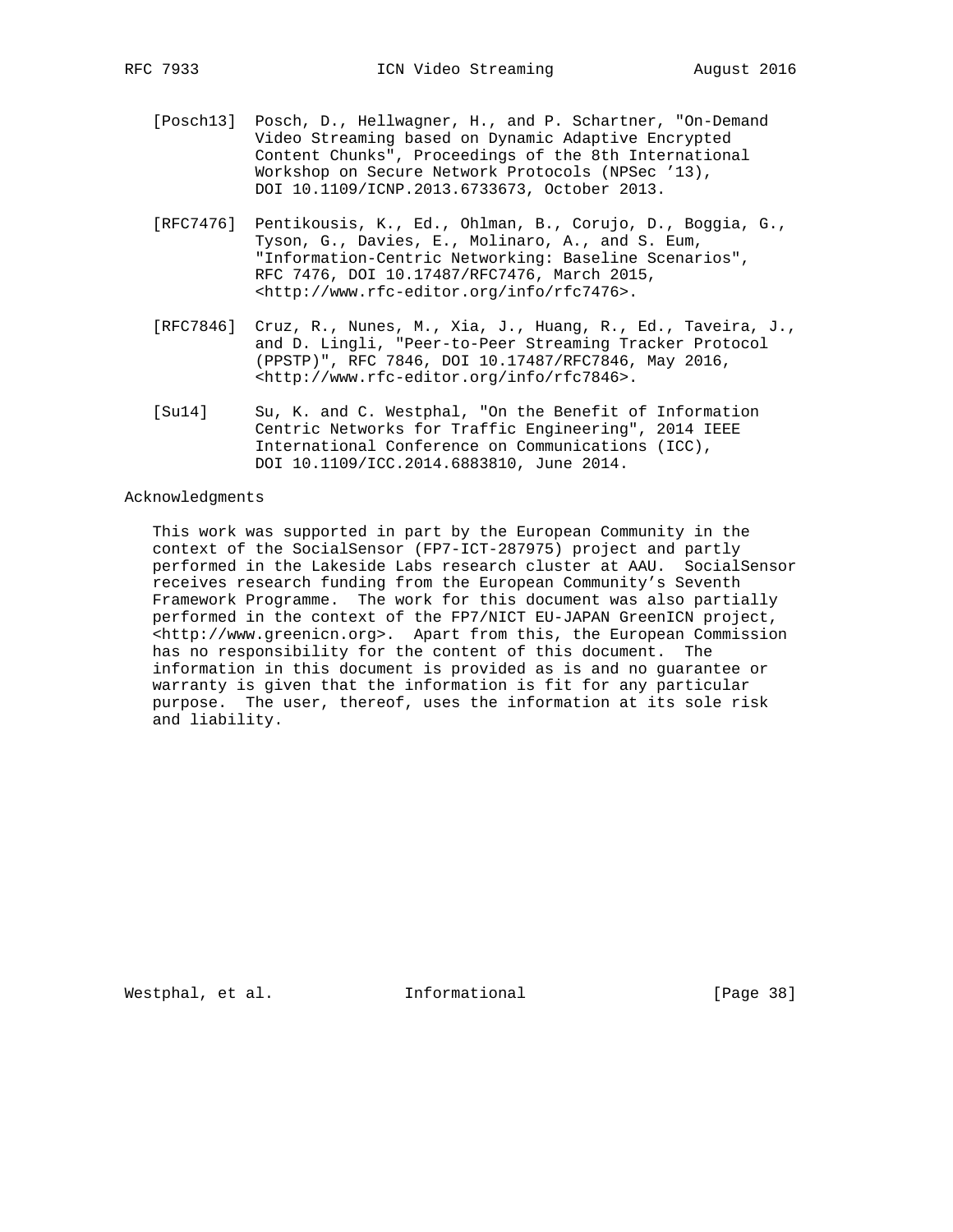- [Posch13] Posch, D., Hellwagner, H., and P. Schartner, "On-Demand Video Streaming based on Dynamic Adaptive Encrypted Content Chunks", Proceedings of the 8th International Workshop on Secure Network Protocols (NPSec '13), DOI 10.1109/ICNP.2013.6733673, October 2013.
- [RFC7476] Pentikousis, K., Ed., Ohlman, B., Corujo, D., Boggia, G., Tyson, G., Davies, E., Molinaro, A., and S. Eum, "Information-Centric Networking: Baseline Scenarios", RFC 7476, DOI 10.17487/RFC7476, March 2015, <http://www.rfc-editor.org/info/rfc7476>.
- [RFC7846] Cruz, R., Nunes, M., Xia, J., Huang, R., Ed., Taveira, J., and D. Lingli, "Peer-to-Peer Streaming Tracker Protocol (PPSTP)", RFC 7846, DOI 10.17487/RFC7846, May 2016, <http://www.rfc-editor.org/info/rfc7846>.
- [Su14] Su, K. and C. Westphal, "On the Benefit of Information Centric Networks for Traffic Engineering", 2014 IEEE International Conference on Communications (ICC), DOI 10.1109/ICC.2014.6883810, June 2014.

# Acknowledgments

 This work was supported in part by the European Community in the context of the SocialSensor (FP7-ICT-287975) project and partly performed in the Lakeside Labs research cluster at AAU. SocialSensor receives research funding from the European Community's Seventh Framework Programme. The work for this document was also partially performed in the context of the FP7/NICT EU-JAPAN GreenICN project, <http://www.greenicn.org>. Apart from this, the European Commission has no responsibility for the content of this document. The information in this document is provided as is and no guarantee or warranty is given that the information is fit for any particular purpose. The user, thereof, uses the information at its sole risk and liability.

Westphal, et al. 1nformational 1999 [Page 38]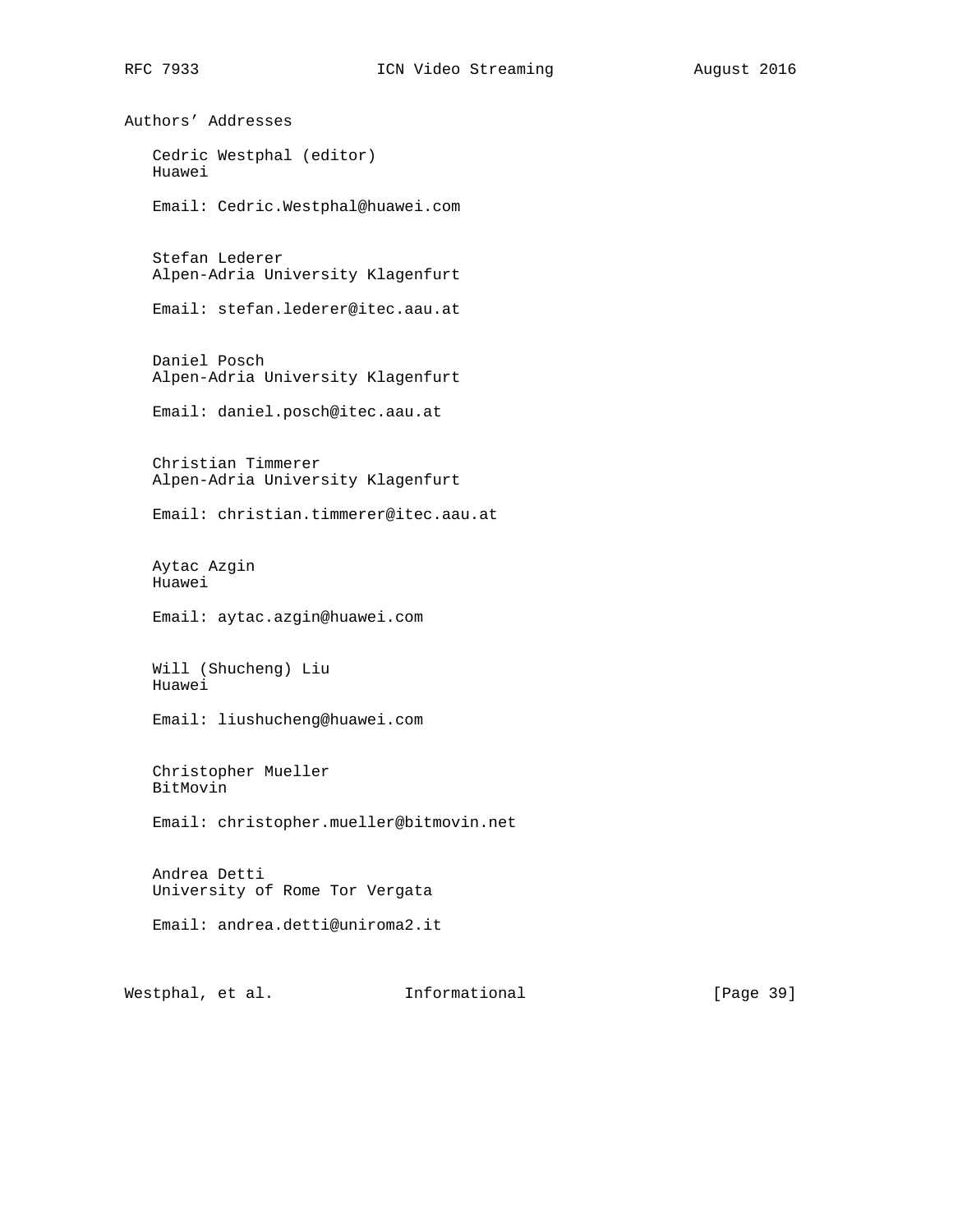Authors' Addresses Cedric Westphal (editor) Huawei Email: Cedric.Westphal@huawei.com Stefan Lederer Alpen-Adria University Klagenfurt Email: stefan.lederer@itec.aau.at Daniel Posch Alpen-Adria University Klagenfurt Email: daniel.posch@itec.aau.at Christian Timmerer Alpen-Adria University Klagenfurt Email: christian.timmerer@itec.aau.at Aytac Azgin Huawei Email: aytac.azgin@huawei.com Will (Shucheng) Liu Huawei Email: liushucheng@huawei.com Christopher Mueller BitMovin Email: christopher.mueller@bitmovin.net Andrea Detti University of Rome Tor Vergata Email: andrea.detti@uniroma2.it

Westphal, et al. 1nformational [Page 39]